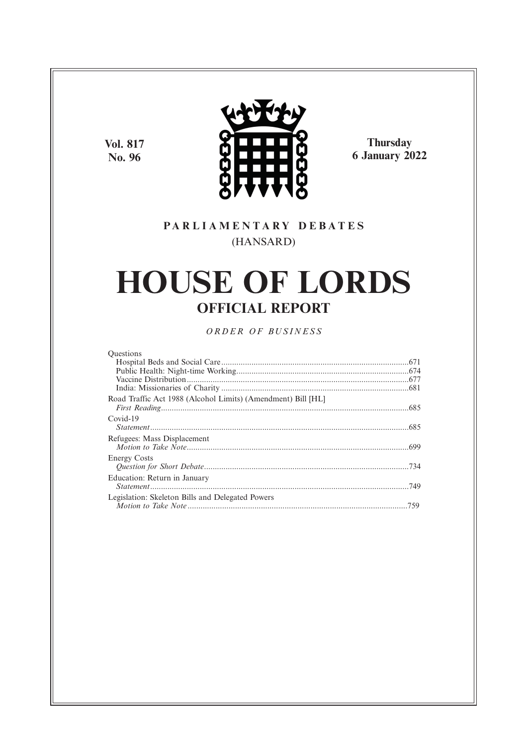**Vol. 817 No. 96**



**Thursday 6 January 2022**

# **P A R L I A M E N T A R Y D E B A T E S** (HANSARD)

# **HOUSE OF LORDS OFFICIAL REPORT**

*O R D E R O F BU S I N E S S*

| <b>Ouestions</b>                                             |  |
|--------------------------------------------------------------|--|
|                                                              |  |
|                                                              |  |
|                                                              |  |
|                                                              |  |
| Road Traffic Act 1988 (Alcohol Limits) (Amendment) Bill [HL] |  |
| Covid-19                                                     |  |
|                                                              |  |
| Refugees: Mass Displacement                                  |  |
| <b>Energy Costs</b>                                          |  |
| Education: Return in January                                 |  |
| Legislation: Skeleton Bills and Delegated Powers             |  |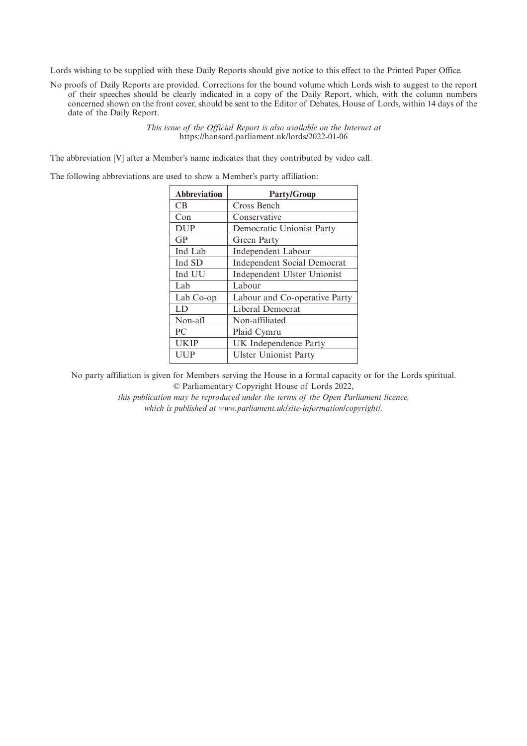Lords wishing to be supplied with these Daily Reports should give notice to this effect to the Printed Paper Office.

No proofs of Daily Reports are provided. Corrections for the bound volume which Lords wish to suggest to the report of their speeches should be clearly indicated in a copy of the Daily Report, which, with the column numbers concerned shown on the front cover, should be sent to the Editor of Debates, House of Lords, within 14 days of the date of the Daily Report.

> *This issue of the Official Report is also available on the Internet at* https://hansard.parliament.uk/lords/2022-01-06

The abbreviation [V] after a Member's name indicates that they contributed by video call.

The following abbreviations are used to show a Member's party affiliation:

| <b>Abbreviation</b> | <b>Party/Group</b>                 |
|---------------------|------------------------------------|
| <b>CB</b>           | Cross Bench                        |
| Con                 | Conservative                       |
| <b>DUP</b>          | Democratic Unionist Party          |
| GP                  | Green Party                        |
| Ind Lab             | Independent Labour                 |
| Ind SD              | <b>Independent Social Democrat</b> |
| Ind UU              | Independent Ulster Unionist        |
| Lab                 | Labour                             |
| Lab Co-op           | Labour and Co-operative Party      |
| LD                  | Liberal Democrat                   |
| Non-afl             | Non-affiliated                     |
| PC                  | Plaid Cymru                        |
| <b>UKIP</b>         | UK Independence Party              |
| UUP                 | <b>Ulster Unionist Party</b>       |

No party affiliation is given for Members serving the House in a formal capacity or for the Lords spiritual. © Parliamentary Copyright House of Lords 2022,

> *this publication may be reproduced under the terms of the Open Parliament licence, which is published at www.parliament.uk/site-information/copyright/.*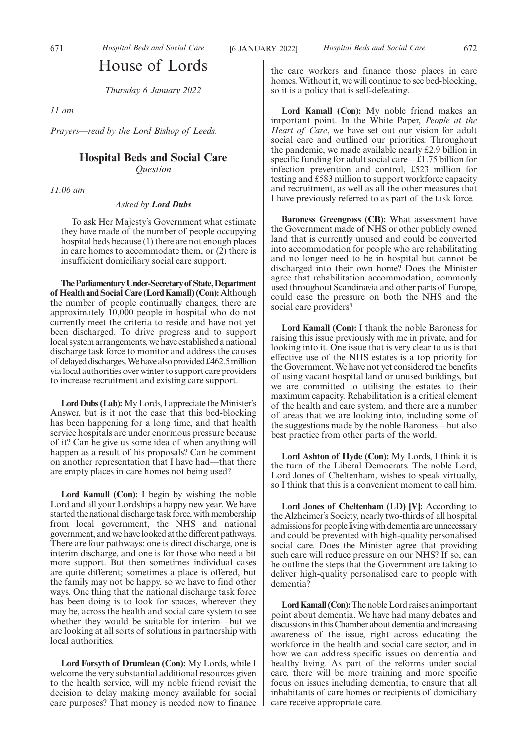# House of Lords

*Thursday 6 January 2022*

*11 am*

*Prayers—read by the Lord Bishop of Leeds.*

## **Hospital Beds and Social Care**

*Question*

*11.06 am*

*Asked by Lord Dubs*

To ask Her Majesty's Government what estimate they have made of the number of people occupying hospital beds because (1) there are not enough places in care homes to accommodate them, or (2) there is insufficient domiciliary social care support.

**TheParliamentaryUnder-Secretaryof State,Department of Health and Social Care (Lord Kamall) (Con):**Although the number of people continually changes, there are approximately 10,000 people in hospital who do not currently meet the criteria to reside and have not yet been discharged. To drive progress and to support local system arrangements, we have established a national discharge task force to monitor and address the causes of delayed discharges. We have also provided £462.5 million via local authorities over winter to support care providers to increase recruitment and existing care support.

**Lord Dubs (Lab):**My Lords, I appreciate the Minister's Answer, but is it not the case that this bed-blocking has been happening for a long time, and that health service hospitals are under enormous pressure because of it? Can he give us some idea of when anything will happen as a result of his proposals? Can he comment on another representation that I have had—that there are empty places in care homes not being used?

**Lord Kamall (Con):** I begin by wishing the noble Lord and all your Lordships a happy new year. We have started the national discharge task force, with membership from local government, the NHS and national government, and we have looked at the different pathways. There are four pathways: one is direct discharge, one is interim discharge, and one is for those who need a bit more support. But then sometimes individual cases are quite different; sometimes a place is offered, but the family may not be happy, so we have to find other ways. One thing that the national discharge task force has been doing is to look for spaces, wherever they may be, across the health and social care system to see whether they would be suitable for interim—but we are looking at all sorts of solutions in partnership with local authorities.

**Lord Forsyth of Drumlean (Con):** My Lords, while I welcome the very substantial additional resources given to the health service, will my noble friend revisit the decision to delay making money available for social care purposes? That money is needed now to finance the care workers and finance those places in care homes. Without it, we will continue to see bed-blocking, so it is a policy that is self-defeating.

**Lord Kamall (Con):** My noble friend makes an important point. In the White Paper, *People at the Heart of Care*, we have set out our vision for adult social care and outlined our priorities. Throughout the pandemic, we made available nearly £2.9 billion in specific funding for adult social care—£1.75 billion for infection prevention and control, £523 million for testing and £583 million to support workforce capacity and recruitment, as well as all the other measures that I have previously referred to as part of the task force.

**Baroness Greengross (CB):** What assessment have the Government made of NHS or other publicly owned land that is currently unused and could be converted into accommodation for people who are rehabilitating and no longer need to be in hospital but cannot be discharged into their own home? Does the Minister agree that rehabilitation accommodation, commonly used throughout Scandinavia and other parts of Europe, could ease the pressure on both the NHS and the social care providers?

**Lord Kamall (Con):** I thank the noble Baroness for raising this issue previously with me in private, and for looking into it. One issue that is very clear to us is that effective use of the NHS estates is a top priority for the Government. We have not yet considered the benefits of using vacant hospital land or unused buildings, but we are committed to utilising the estates to their maximum capacity. Rehabilitation is a critical element of the health and care system, and there are a number of areas that we are looking into, including some of the suggestions made by the noble Baroness—but also best practice from other parts of the world.

**Lord Ashton of Hyde (Con):** My Lords, I think it is the turn of the Liberal Democrats. The noble Lord, Lord Jones of Cheltenham, wishes to speak virtually, so I think that this is a convenient moment to call him.

Lord Jones of Cheltenham (LD) [V]: According to the Alzheimer's Society, nearly two-thirds of all hospital admissions for people living with dementia are unnecessary and could be prevented with high-quality personalised social care. Does the Minister agree that providing such care will reduce pressure on our NHS? If so, can he outline the steps that the Government are taking to deliver high-quality personalised care to people with dementia?

**Lord Kamall (Con):**The noble Lord raises an important point about dementia. We have had many debates and discussions in this Chamber about dementia and increasing awareness of the issue, right across educating the workforce in the health and social care sector, and in how we can address specific issues on dementia and healthy living. As part of the reforms under social care, there will be more training and more specific focus on issues including dementia, to ensure that all inhabitants of care homes or recipients of domiciliary care receive appropriate care.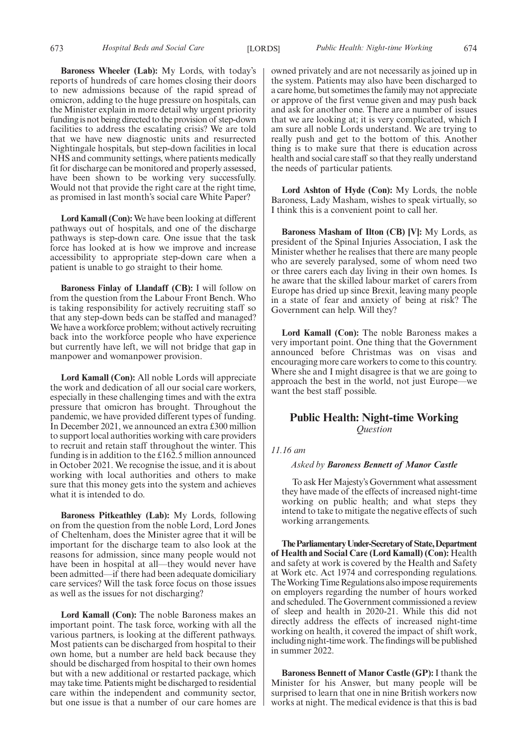**Baroness Wheeler (Lab):** My Lords, with today's reports of hundreds of care homes closing their doors to new admissions because of the rapid spread of omicron, adding to the huge pressure on hospitals, can the Minister explain in more detail why urgent priority funding is not being directed to the provision of step-down facilities to address the escalating crisis? We are told that we have new diagnostic units and resurrected Nightingale hospitals, but step-down facilities in local NHS and community settings, where patients medically fit for discharge can be monitored and properly assessed, have been shown to be working very successfully. Would not that provide the right care at the right time, as promised in last month's social care White Paper?

**Lord Kamall (Con):** We have been looking at different pathways out of hospitals, and one of the discharge pathways is step-down care. One issue that the task force has looked at is how we improve and increase accessibility to appropriate step-down care when a patient is unable to go straight to their home.

**Baroness Finlay of Llandaff (CB):** I will follow on from the question from the Labour Front Bench. Who is taking responsibility for actively recruiting staff so that any step-down beds can be staffed and managed? We have a workforce problem; without actively recruiting back into the workforce people who have experience but currently have left, we will not bridge that gap in manpower and womanpower provision.

**Lord Kamall (Con):** All noble Lords will appreciate the work and dedication of all our social care workers, especially in these challenging times and with the extra pressure that omicron has brought. Throughout the pandemic, we have provided different types of funding. In December 2021, we announced an extra £300 million to support local authorities working with care providers to recruit and retain staff throughout the winter. This funding is in addition to the £162.5 million announced in October 2021. We recognise the issue, and it is about working with local authorities and others to make sure that this money gets into the system and achieves what it is intended to do.

**Baroness Pitkeathley (Lab):** My Lords, following on from the question from the noble Lord, Lord Jones of Cheltenham, does the Minister agree that it will be important for the discharge team to also look at the reasons for admission, since many people would not have been in hospital at all—they would never have been admitted—if there had been adequate domiciliary care services? Will the task force focus on those issues as well as the issues for not discharging?

**Lord Kamall (Con):** The noble Baroness makes an important point. The task force, working with all the various partners, is looking at the different pathways. Most patients can be discharged from hospital to their own home, but a number are held back because they should be discharged from hospital to their own homes but with a new additional or restarted package, which may take time. Patients might be discharged to residential care within the independent and community sector, but one issue is that a number of our care homes are owned privately and are not necessarily as joined up in the system. Patients may also have been discharged to a care home, but sometimes the family may not appreciate or approve of the first venue given and may push back and ask for another one. There are a number of issues that we are looking at; it is very complicated, which I am sure all noble Lords understand. We are trying to really push and get to the bottom of this. Another thing is to make sure that there is education across health and social care staff so that they really understand the needs of particular patients.

**Lord Ashton of Hyde (Con):** My Lords, the noble Baroness, Lady Masham, wishes to speak virtually, so I think this is a convenient point to call her.

**Baroness Masham of Ilton (CB) [V]:** My Lords, as president of the Spinal Injuries Association, I ask the Minister whether he realises that there are many people who are severely paralysed, some of whom need two or three carers each day living in their own homes. Is he aware that the skilled labour market of carers from Europe has dried up since Brexit, leaving many people in a state of fear and anxiety of being at risk? The Government can help. Will they?

**Lord Kamall (Con):** The noble Baroness makes a very important point. One thing that the Government announced before Christmas was on visas and encouraging more care workers to come to this country. Where she and I might disagree is that we are going to approach the best in the world, not just Europe—we want the best staff possible.

## **Public Health: Night-time Working** *Question*

## *11.16 am*

## *Asked by Baroness Bennett of Manor Castle*

To ask Her Majesty's Government what assessment they have made of the effects of increased night-time working on public health; and what steps they intend to take to mitigate the negative effects of such working arrangements.

**TheParliamentaryUnder-Secretaryof State,Department of Health and Social Care (Lord Kamall) (Con):** Health and safety at work is covered by the Health and Safety at Work etc. Act 1974 and corresponding regulations. The Working Time Regulations also impose requirements on employers regarding the number of hours worked and scheduled. The Government commissioned a review of sleep and health in 2020-21. While this did not directly address the effects of increased night-time working on health, it covered the impact of shift work, including night-time work. The findings will be published in summer 2022.

**Baroness Bennett of Manor Castle (GP):** I thank the Minister for his Answer, but many people will be surprised to learn that one in nine British workers now works at night. The medical evidence is that this is bad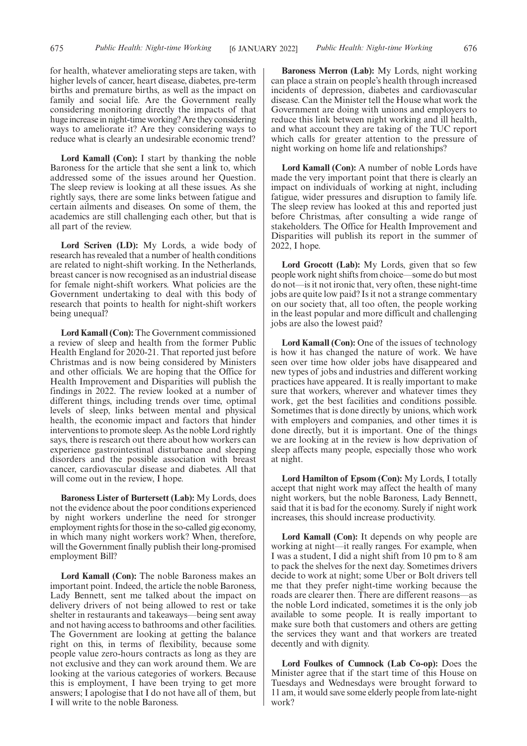for health, whatever ameliorating steps are taken, with higher levels of cancer, heart disease, diabetes, pre-term births and premature births, as well as the impact on family and social life. Are the Government really considering monitoring directly the impacts of that huge increase in night-time working? Are they considering ways to ameliorate it? Are they considering ways to reduce what is clearly an undesirable economic trend?

**Lord Kamall (Con):** I start by thanking the noble Baroness for the article that she sent a link to, which addressed some of the issues around her Question. The sleep review is looking at all these issues. As she rightly says, there are some links between fatigue and certain ailments and diseases. On some of them, the academics are still challenging each other, but that is all part of the review.

**Lord Scriven (LD):** My Lords, a wide body of research has revealed that a number of health conditions are related to night-shift working. In the Netherlands, breast cancer is now recognised as an industrial disease for female night-shift workers. What policies are the Government undertaking to deal with this body of research that points to health for night-shift workers being unequal?

**Lord Kamall (Con):** The Government commissioned a review of sleep and health from the former Public Health England for 2020-21. That reported just before Christmas and is now being considered by Ministers and other officials. We are hoping that the Office for Health Improvement and Disparities will publish the findings in 2022. The review looked at a number of different things, including trends over time, optimal levels of sleep, links between mental and physical health, the economic impact and factors that hinder interventions to promote sleep. As the noble Lord rightly says, there is research out there about how workers can experience gastrointestinal disturbance and sleeping disorders and the possible association with breast cancer, cardiovascular disease and diabetes. All that will come out in the review, I hope.

**Baroness Lister of Burtersett (Lab):** My Lords, does not the evidence about the poor conditions experienced by night workers underline the need for stronger employment rights for those in the so-called gig economy, in which many night workers work? When, therefore, will the Government finally publish their long-promised employment Bill?

**Lord Kamall (Con):** The noble Baroness makes an important point. Indeed, the article the noble Baroness, Lady Bennett, sent me talked about the impact on delivery drivers of not being allowed to rest or take shelter in restaurants and takeaways—being sent away and not having access to bathrooms and other facilities. The Government are looking at getting the balance right on this, in terms of flexibility, because some people value zero-hours contracts as long as they are not exclusive and they can work around them. We are looking at the various categories of workers. Because this is employment, I have been trying to get more answers; I apologise that I do not have all of them, but I will write to the noble Baroness.

**Baroness Merron (Lab):** My Lords, night working can place a strain on people's health through increased incidents of depression, diabetes and cardiovascular disease. Can the Minister tell the House what work the Government are doing with unions and employers to reduce this link between night working and ill health, and what account they are taking of the TUC report which calls for greater attention to the pressure of night working on home life and relationships?

**Lord Kamall (Con):** A number of noble Lords have made the very important point that there is clearly an impact on individuals of working at night, including fatigue, wider pressures and disruption to family life. The sleep review has looked at this and reported just before Christmas, after consulting a wide range of stakeholders. The Office for Health Improvement and Disparities will publish its report in the summer of 2022, I hope.

**Lord Grocott (Lab):** My Lords, given that so few people work night shifts from choice—some do but most do not—is it not ironic that, very often, these night-time jobs are quite low paid? Is it not a strange commentary on our society that, all too often, the people working in the least popular and more difficult and challenging jobs are also the lowest paid?

**Lord Kamall (Con):** One of the issues of technology is how it has changed the nature of work. We have seen over time how older jobs have disappeared and new types of jobs and industries and different working practices have appeared. It is really important to make sure that workers, wherever and whatever times they work, get the best facilities and conditions possible. Sometimes that is done directly by unions, which work with employers and companies, and other times it is done directly, but it is important. One of the things we are looking at in the review is how deprivation of sleep affects many people, especially those who work at night.

**Lord Hamilton of Epsom (Con):** My Lords, I totally accept that night work may affect the health of many night workers, but the noble Baroness, Lady Bennett, said that it is bad for the economy. Surely if night work increases, this should increase productivity.

**Lord Kamall (Con):** It depends on why people are working at night—it really ranges. For example, when I was a student, I did a night shift from 10 pm to 8 am to pack the shelves for the next day. Sometimes drivers decide to work at night; some Uber or Bolt drivers tell me that they prefer night-time working because the roads are clearer then. There are different reasons—as the noble Lord indicated, sometimes it is the only job available to some people. It is really important to make sure both that customers and others are getting the services they want and that workers are treated decently and with dignity.

**Lord Foulkes of Cumnock (Lab Co-op):** Does the Minister agree that if the start time of this House on Tuesdays and Wednesdays were brought forward to 11 am, it would save some elderly people from late-night work?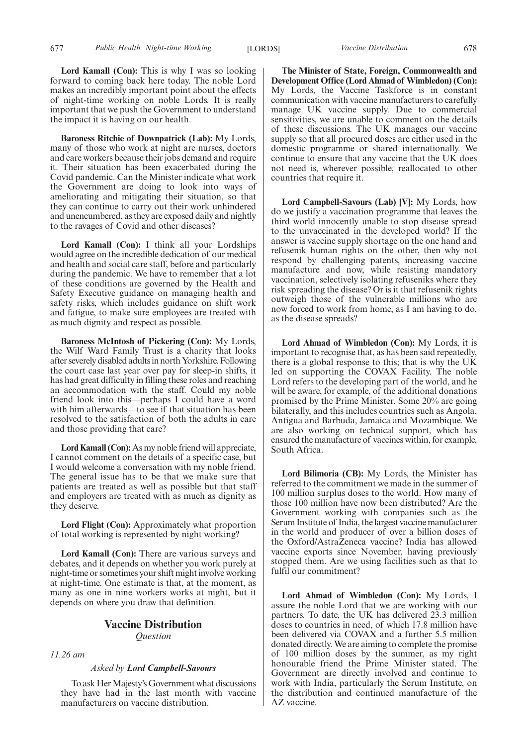Lord Kamall (Con): This is why I was so looking forward to coming back here today. The noble Lord makes an incredibly important point about the effects of night-time working on noble Lords. It is really important that we push the Government to understand the impact it is having on our health.

**Baroness Ritchie of Downpatrick (Lab):** My Lords, many of those who work at night are nurses, doctors and care workers because their jobs demand and require it. Their situation has been exacerbated during the Covid pandemic. Can the Minister indicate what work the Government are doing to look into ways of ameliorating and mitigating their situation, so that they can continue to carry out their work unhindered and unencumbered, as they are exposed daily and nightly to the ravages of Covid and other diseases?

**Lord Kamall (Con):** I think all your Lordships would agree on the incredible dedication of our medical and health and social care staff, before and particularly during the pandemic. We have to remember that a lot of these conditions are governed by the Health and Safety Executive guidance on managing health and safety risks, which includes guidance on shift work and fatigue, to make sure employees are treated with as much dignity and respect as possible.

**Baroness McIntosh of Pickering (Con):** My Lords, the Wilf Ward Family Trust is a charity that looks after severely disabled adults in north Yorkshire. Following the court case last year over pay for sleep-in shifts, it has had great difficulty in filling these roles and reaching an accommodation with the staff. Could my noble friend look into this—perhaps I could have a word with him afterwards—to see if that situation has been resolved to the satisfaction of both the adults in care and those providing that care?

**Lord Kamall (Con):** As my noble friend will appreciate, I cannot comment on the details of a specific case, but I would welcome a conversation with my noble friend. The general issue has to be that we make sure that patients are treated as well as possible but that staff and employers are treated with as much as dignity as they deserve.

**Lord Flight (Con):** Approximately what proportion of total working is represented by night working?

**Lord Kamall (Con):** There are various surveys and debates, and it depends on whether you work purely at night-time or sometimes your shift might involve working at night-time. One estimate is that, at the moment, as many as one in nine workers works at night, but it depends on where you draw that definition.

## **Vaccine Distribution** *Question*

*11.26 am*

## *Asked by Lord Campbell-Savours*

To ask Her Majesty's Government what discussions they have had in the last month with vaccine manufacturers on vaccine distribution.

**The Minister of State, Foreign, Commonwealth and Development Office (Lord Ahmad of Wimbledon) (Con):** My Lords, the Vaccine Taskforce is in constant communication with vaccine manufacturers to carefully manage UK vaccine supply. Due to commercial sensitivities, we are unable to comment on the details of these discussions. The UK manages our vaccine supply so that all procured doses are either used in the domestic programme or shared internationally. We continue to ensure that any vaccine that the UK does not need is, wherever possible, reallocated to other countries that require it.

**Lord Campbell-Savours (Lab) [V]:** My Lords, how do we justify a vaccination programme that leaves the third world innocently unable to stop disease spread to the unvaccinated in the developed world? If the answer is vaccine supply shortage on the one hand and refusenik human rights on the other, then why not respond by challenging patents, increasing vaccine manufacture and now, while resisting mandatory vaccination, selectively isolating refuseniks where they risk spreading the disease? Or is it that refusenik rights outweigh those of the vulnerable millions who are now forced to work from home, as I am having to do, as the disease spreads?

**Lord Ahmad of Wimbledon (Con):** My Lords, it is important to recognise that, as has been said repeatedly, there is a global response to this; that is why the UK led on supporting the COVAX Facility. The noble Lord refers to the developing part of the world, and he will be aware, for example, of the additional donations promised by the Prime Minister. Some 20% are going bilaterally, and this includes countries such as Angola, Antigua and Barbuda, Jamaica and Mozambique. We are also working on technical support, which has ensured the manufacture of vaccines within, for example, South Africa.

**Lord Bilimoria (CB):** My Lords, the Minister has referred to the commitment we made in the summer of 100 million surplus doses to the world. How many of those 100 million have now been distributed? Are the Government working with companies such as the Serum Institute of India, the largest vaccine manufacturer in the world and producer of over a billion doses of the Oxford/AstraZeneca vaccine? India has allowed vaccine exports since November, having previously stopped them. Are we using facilities such as that to fulfil our commitment?

**Lord Ahmad of Wimbledon (Con):** My Lords, I assure the noble Lord that we are working with our partners. To date, the UK has delivered 23.3 million doses to countries in need, of which 17.8 million have been delivered via COVAX and a further 5.5 million donated directly. We are aiming to complete the promise of 100 million doses by the summer, as my right honourable friend the Prime Minister stated. The Government are directly involved and continue to work with India, particularly the Serum Institute, on the distribution and continued manufacture of the AZ vaccine.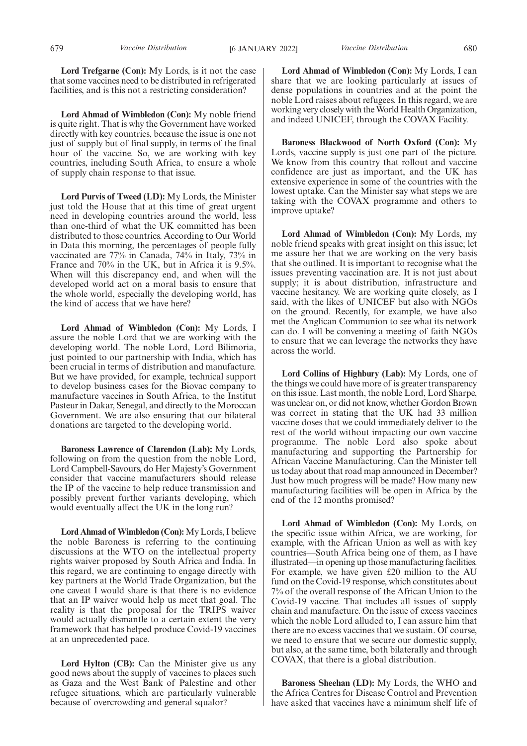**Lord Trefgarne (Con):** My Lords, is it not the case that some vaccines need to be distributed in refrigerated facilities, and is this not a restricting consideration?

**Lord Ahmad of Wimbledon (Con):** My noble friend is quite right. That is why the Government have worked directly with key countries, because the issue is one not just of supply but of final supply, in terms of the final hour of the vaccine. So, we are working with key countries, including South Africa, to ensure a whole of supply chain response to that issue.

**Lord Purvis of Tweed (LD):** My Lords, the Minister just told the House that at this time of great urgent need in developing countries around the world, less than one-third of what the UK committed has been distributed to those countries. According to Our World in Data this morning, the percentages of people fully vaccinated are 77% in Canada, 74% in Italy, 73% in France and 70% in the UK, but in Africa it is 9.5%. When will this discrepancy end, and when will the developed world act on a moral basis to ensure that the whole world, especially the developing world, has the kind of access that we have here?

**Lord Ahmad of Wimbledon (Con):** My Lords, I assure the noble Lord that we are working with the developing world. The noble Lord, Lord Bilimoria, just pointed to our partnership with India, which has been crucial in terms of distribution and manufacture. But we have provided, for example, technical support to develop business cases for the Biovac company to manufacture vaccines in South Africa, to the Institut Pasteur in Dakar, Senegal, and directly to the Moroccan Government. We are also ensuring that our bilateral donations are targeted to the developing world.

**Baroness Lawrence of Clarendon (Lab):** My Lords, following on from the question from the noble Lord, Lord Campbell-Savours, do Her Majesty's Government consider that vaccine manufacturers should release the IP of the vaccine to help reduce transmission and possibly prevent further variants developing, which would eventually affect the UK in the long run?

**Lord Ahmad of Wimbledon (Con):**My Lords, I believe the noble Baroness is referring to the continuing discussions at the WTO on the intellectual property rights waiver proposed by South Africa and India. In this regard, we are continuing to engage directly with key partners at the World Trade Organization, but the one caveat I would share is that there is no evidence that an IP waiver would help us meet that goal. The reality is that the proposal for the TRIPS waiver would actually dismantle to a certain extent the very framework that has helped produce Covid-19 vaccines at an unprecedented pace.

Lord Hylton (CB): Can the Minister give us any good news about the supply of vaccines to places such as Gaza and the West Bank of Palestine and other refugee situations, which are particularly vulnerable because of overcrowding and general squalor?

**Lord Ahmad of Wimbledon (Con):** My Lords, I can share that we are looking particularly at issues of dense populations in countries and at the point the noble Lord raises about refugees. In this regard, we are working very closely with the World Health Organization, and indeed UNICEF, through the COVAX Facility.

**Baroness Blackwood of North Oxford (Con):** My Lords, vaccine supply is just one part of the picture. We know from this country that rollout and vaccine confidence are just as important, and the UK has extensive experience in some of the countries with the lowest uptake. Can the Minister say what steps we are taking with the COVAX programme and others to improve uptake?

**Lord Ahmad of Wimbledon (Con):** My Lords, my noble friend speaks with great insight on this issue; let me assure her that we are working on the very basis that she outlined. It is important to recognise what the issues preventing vaccination are. It is not just about supply; it is about distribution, infrastructure and vaccine hesitancy. We are working quite closely, as I said, with the likes of UNICEF but also with NGOs on the ground. Recently, for example, we have also met the Anglican Communion to see what its network can do. I will be convening a meeting of faith NGOs to ensure that we can leverage the networks they have across the world.

**Lord Collins of Highbury (Lab):** My Lords, one of the things we could have more of is greater transparency on this issue. Last month, the noble Lord, Lord Sharpe, was unclear on, or did not know, whether Gordon Brown was correct in stating that the UK had 33 million vaccine doses that we could immediately deliver to the rest of the world without impacting our own vaccine programme. The noble Lord also spoke about manufacturing and supporting the Partnership for African Vaccine Manufacturing. Can the Minister tell us today about that road map announced in December? Just how much progress will be made? How many new manufacturing facilities will be open in Africa by the end of the 12 months promised?

**Lord Ahmad of Wimbledon (Con):** My Lords, on the specific issue within Africa, we are working, for example, with the African Union as well as with key countries—South Africa being one of them, as I have illustrated—in opening up those manufacturing facilities. For example, we have given £20 million to the AU fund on the Covid-19 response, which constitutes about 7% of the overall response of the African Union to the Covid-19 vaccine. That includes all issues of supply chain and manufacture. On the issue of excess vaccines which the noble Lord alluded to, I can assure him that there are no excess vaccines that we sustain. Of course, we need to ensure that we secure our domestic supply, but also, at the same time, both bilaterally and through COVAX, that there is a global distribution.

**Baroness Sheehan (LD):** My Lords, the WHO and the Africa Centres for Disease Control and Prevention have asked that vaccines have a minimum shelf life of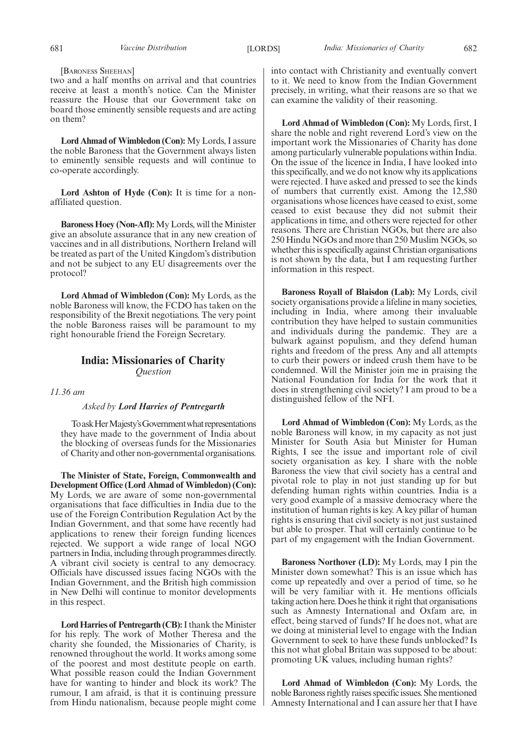[BARONESS SHEEHAN]

two and a half months on arrival and that countries receive at least a month's notice. Can the Minister reassure the House that our Government take on board those eminently sensible requests and are acting on them?

**Lord Ahmad of Wimbledon (Con):** My Lords, I assure the noble Baroness that the Government always listen to eminently sensible requests and will continue to co-operate accordingly.

**Lord Ashton of Hyde (Con):** It is time for a nonaffiliated question.

**Baroness Hoey (Non-Afl):**My Lords, will the Minister give an absolute assurance that in any new creation of vaccines and in all distributions, Northern Ireland will be treated as part of the United Kingdom's distribution and not be subject to any EU disagreements over the protocol?

**Lord Ahmad of Wimbledon (Con):** My Lords, as the noble Baroness will know, the FCDO has taken on the responsibility of the Brexit negotiations. The very point the noble Baroness raises will be paramount to my right honourable friend the Foreign Secretary.

## **India: Missionaries of Charity** *Question*

*11.36 am*

## *Asked by Lord Harries of Pentregarth*

To ask Her Majesty's Government what representations they have made to the government of India about the blocking of overseas funds for the Missionaries of Charity and other non-governmental organisations.

**The Minister of State, Foreign, Commonwealth and Development Office (Lord Ahmad of Wimbledon) (Con):** My Lords, we are aware of some non-governmental organisations that face difficulties in India due to the use of the Foreign Contribution Regulation Act by the Indian Government, and that some have recently had applications to renew their foreign funding licences rejected. We support a wide range of local NGO partners in India, including through programmes directly. A vibrant civil society is central to any democracy. Officials have discussed issues facing NGOs with the Indian Government, and the British high commission in New Delhi will continue to monitor developments in this respect.

**Lord Harries of Pentregarth (CB):**I thank the Minister for his reply. The work of Mother Theresa and the charity she founded, the Missionaries of Charity, is renowned throughout the world. It works among some of the poorest and most destitute people on earth. What possible reason could the Indian Government have for wanting to hinder and block its work? The rumour, I am afraid, is that it is continuing pressure from Hindu nationalism, because people might come

into contact with Christianity and eventually convert to it. We need to know from the Indian Government precisely, in writing, what their reasons are so that we can examine the validity of their reasoning.

**Lord Ahmad of Wimbledon (Con):** My Lords, first, I share the noble and right reverend Lord's view on the important work the Missionaries of Charity has done among particularly vulnerable populations within India. On the issue of the licence in India, I have looked into this specifically, and we do not know why its applications were rejected. I have asked and pressed to see the kinds of numbers that currently exist. Among the 12,580 organisations whose licences have ceased to exist, some ceased to exist because they did not submit their applications in time, and others were rejected for other reasons. There are Christian NGOs, but there are also 250 Hindu NGOs and more than 250 Muslim NGOs, so whether this is specifically against Christian organisations is not shown by the data, but I am requesting further information in this respect.

**Baroness Royall of Blaisdon (Lab):** My Lords, civil society organisations provide a lifeline in many societies, including in India, where among their invaluable contribution they have helped to sustain communities and individuals during the pandemic. They are a bulwark against populism, and they defend human rights and freedom of the press. Any and all attempts to curb their powers or indeed crush them have to be condemned. Will the Minister join me in praising the National Foundation for India for the work that it does in strengthening civil society? I am proud to be a distinguished fellow of the NFI.

**Lord Ahmad of Wimbledon (Con):** My Lords, as the noble Baroness will know, in my capacity as not just Minister for South Asia but Minister for Human Rights, I see the issue and important role of civil society organisation as key. I share with the noble Baroness the view that civil society has a central and pivotal role to play in not just standing up for but defending human rights within countries. India is a very good example of a massive democracy where the institution of human rights is key. A key pillar of human rights is ensuring that civil society is not just sustained but able to prosper. That will certainly continue to be part of my engagement with the Indian Government.

**Baroness Northover (LD):** My Lords, may I pin the Minister down somewhat? This is an issue which has come up repeatedly and over a period of time, so he will be very familiar with it. He mentions officials taking action here. Does he think it right that organisations such as Amnesty International and Oxfam are, in effect, being starved of funds? If he does not, what are we doing at ministerial level to engage with the Indian Government to seek to have these funds unblocked? Is this not what global Britain was supposed to be about: promoting UK values, including human rights?

**Lord Ahmad of Wimbledon (Con):** My Lords, the noble Baroness rightly raises specific issues. She mentioned Amnesty International and I can assure her that I have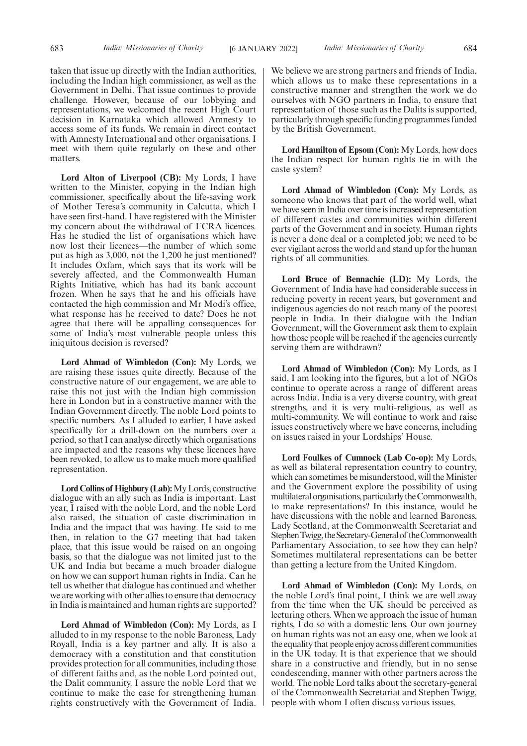taken that issue up directly with the Indian authorities, including the Indian high commissioner, as well as the Government in Delhi. That issue continues to provide challenge. However, because of our lobbying and representations, we welcomed the recent High Court decision in Karnataka which allowed Amnesty to access some of its funds. We remain in direct contact with Amnesty International and other organisations. I meet with them quite regularly on these and other matters.

**Lord Alton of Liverpool (CB):** My Lords, I have written to the Minister, copying in the Indian high commissioner, specifically about the life-saving work of Mother Teresa's community in Calcutta, which I have seen first-hand. I have registered with the Minister my concern about the withdrawal of FCRA licences. Has he studied the list of organisations which have now lost their licences—the number of which some put as high as 3,000, not the 1,200 he just mentioned? It includes Oxfam, which says that its work will be severely affected, and the Commonwealth Human Rights Initiative, which has had its bank account frozen. When he says that he and his officials have contacted the high commission and Mr Modi's office, what response has he received to date? Does he not agree that there will be appalling consequences for some of India's most vulnerable people unless this iniquitous decision is reversed?

**Lord Ahmad of Wimbledon (Con):** My Lords, we are raising these issues quite directly. Because of the constructive nature of our engagement, we are able to raise this not just with the Indian high commission here in London but in a constructive manner with the Indian Government directly. The noble Lord points to specific numbers. As I alluded to earlier, I have asked specifically for a drill-down on the numbers over a period, so that I can analyse directly which organisations are impacted and the reasons why these licences have been revoked, to allow us to make much more qualified representation.

**Lord Collins of Highbury (Lab):**My Lords, constructive dialogue with an ally such as India is important. Last year, I raised with the noble Lord, and the noble Lord also raised, the situation of caste discrimination in India and the impact that was having. He said to me then, in relation to the G7 meeting that had taken place, that this issue would be raised on an ongoing basis, so that the dialogue was not limited just to the UK and India but became a much broader dialogue on how we can support human rights in India. Can he tell us whether that dialogue has continued and whether we are working with other allies to ensure that democracy in India is maintained and human rights are supported?

**Lord Ahmad of Wimbledon (Con):** My Lords, as I alluded to in my response to the noble Baroness, Lady Royall, India is a key partner and ally. It is also a democracy with a constitution and that constitution provides protection for all communities, including those of different faiths and, as the noble Lord pointed out, the Dalit community. I assure the noble Lord that we continue to make the case for strengthening human rights constructively with the Government of India.

We believe we are strong partners and friends of India, which allows us to make these representations in a constructive manner and strengthen the work we do ourselves with NGO partners in India, to ensure that representation of those such as the Dalits is supported, particularly through specific funding programmes funded by the British Government.

**Lord Hamilton of Epsom (Con):** My Lords, how does the Indian respect for human rights tie in with the caste system?

**Lord Ahmad of Wimbledon (Con):** My Lords, as someone who knows that part of the world well, what we have seen in India over time is increased representation of different castes and communities within different parts of the Government and in society. Human rights is never a done deal or a completed job; we need to be ever vigilant across the world and stand up for the human rights of all communities.

**Lord Bruce of Bennachie (LD):** My Lords, the Government of India have had considerable success in reducing poverty in recent years, but government and indigenous agencies do not reach many of the poorest people in India. In their dialogue with the Indian Government, will the Government ask them to explain how those people will be reached if the agencies currently serving them are withdrawn?

**Lord Ahmad of Wimbledon (Con):** My Lords, as I said, I am looking into the figures, but a lot of NGOs continue to operate across a range of different areas across India. India is a very diverse country, with great strengths, and it is very multi-religious, as well as multi-community. We will continue to work and raise issues constructively where we have concerns, including on issues raised in your Lordships' House.

**Lord Foulkes of Cumnock (Lab Co-op):** My Lords, as well as bilateral representation country to country, which can sometimes be misunderstood, will the Minister and the Government explore the possibility of using multilateral organisations, particularly the Commonwealth, to make representations? In this instance, would he have discussions with the noble and learned Baroness, Lady Scotland, at the Commonwealth Secretariat and Stephen Twigg, the Secretary-General of the Commonwealth Parliamentary Association, to see how they can help? Sometimes multilateral representations can be better than getting a lecture from the United Kingdom.

**Lord Ahmad of Wimbledon (Con):** My Lords, on the noble Lord's final point, I think we are well away from the time when the UK should be perceived as lecturing others. When we approach the issue of human rights, I do so with a domestic lens. Our own journey on human rights was not an easy one, when we look at the equality that people enjoy across different communities in the UK today. It is that experience that we should share in a constructive and friendly, but in no sense condescending, manner with other partners across the world. The noble Lord talks about the secretary-general of the Commonwealth Secretariat and Stephen Twigg, people with whom I often discuss various issues.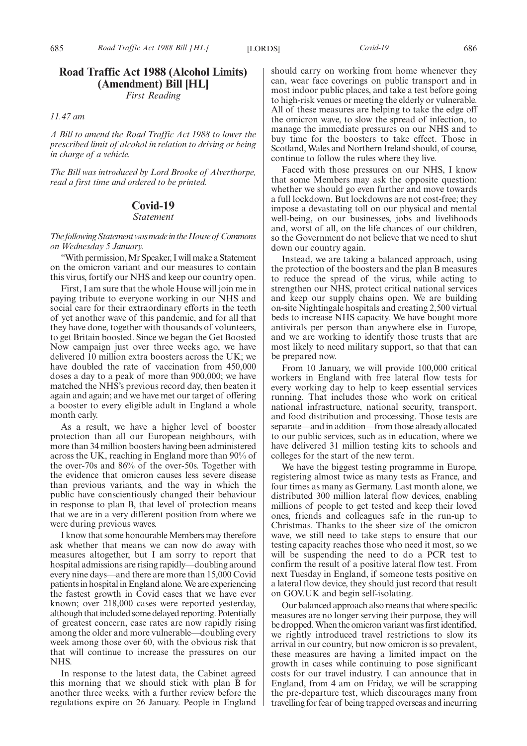*First Reading*

## *11.47 am*

*A Bill to amend the Road Traffic Act 1988 to lower the prescribed limit of alcohol in relation to driving or being in charge of a vehicle.*

*The Bill was introduced by Lord Brooke of Alverthorpe, read a first time and ordered to be printed.*

## **Covid-19**

*Statement*

*ThefollowingStatementwasmadeintheHouseof Commons on Wednesday 5 January.*

"With permission, Mr Speaker, I will make a Statement on the omicron variant and our measures to contain this virus, fortify our NHS and keep our country open.

First, I am sure that the whole House will join me in paying tribute to everyone working in our NHS and social care for their extraordinary efforts in the teeth of yet another wave of this pandemic, and for all that they have done, together with thousands of volunteers, to get Britain boosted. Since we began the Get Boosted Now campaign just over three weeks ago, we have delivered 10 million extra boosters across the UK; we have doubled the rate of vaccination from 450,000 doses a day to a peak of more than 900,000; we have matched the NHS's previous record day, then beaten it again and again; and we have met our target of offering a booster to every eligible adult in England a whole month early.

As a result, we have a higher level of booster protection than all our European neighbours, with more than 34 million boosters having been administered across the UK, reaching in England more than 90% of the over-70s and 86% of the over-50s. Together with the evidence that omicron causes less severe disease than previous variants, and the way in which the public have conscientiously changed their behaviour in response to plan B, that level of protection means that we are in a very different position from where we were during previous waves.

I know that some honourable Members may therefore ask whether that means we can now do away with measures altogether, but I am sorry to report that hospital admissions are rising rapidly—doubling around every nine days—and there are more than 15,000 Covid patients in hospital in England alone. We are experiencing the fastest growth in Covid cases that we have ever known; over 218,000 cases were reported yesterday, although that included some delayed reporting. Potentially of greatest concern, case rates are now rapidly rising among the older and more vulnerable—doubling every week among those over 60, with the obvious risk that that will continue to increase the pressures on our NHS.

In response to the latest data, the Cabinet agreed this morning that we should stick with plan B for another three weeks, with a further review before the regulations expire on 26 January. People in England should carry on working from home whenever they can, wear face coverings on public transport and in most indoor public places, and take a test before going to high-risk venues or meeting the elderly or vulnerable. All of these measures are helping to take the edge off the omicron wave, to slow the spread of infection, to manage the immediate pressures on our NHS and to buy time for the boosters to take effect. Those in Scotland, Wales and Northern Ireland should, of course, continue to follow the rules where they live.

Faced with those pressures on our NHS, I know that some Members may ask the opposite question: whether we should go even further and move towards a full lockdown. But lockdowns are not cost-free; they impose a devastating toll on our physical and mental well-being, on our businesses, jobs and livelihoods and, worst of all, on the life chances of our children, so the Government do not believe that we need to shut down our country again.

Instead, we are taking a balanced approach, using the protection of the boosters and the plan B measures to reduce the spread of the virus, while acting to strengthen our NHS, protect critical national services and keep our supply chains open. We are building on-site Nightingale hospitals and creating 2,500 virtual beds to increase NHS capacity. We have bought more antivirals per person than anywhere else in Europe, and we are working to identify those trusts that are most likely to need military support, so that that can be prepared now.

From 10 January, we will provide 100,000 critical workers in England with free lateral flow tests for every working day to help to keep essential services running. That includes those who work on critical national infrastructure, national security, transport, and food distribution and processing. Those tests are separate—and in addition—from those already allocated to our public services, such as in education, where we have delivered 31 million testing kits to schools and colleges for the start of the new term.

We have the biggest testing programme in Europe, registering almost twice as many tests as France, and four times as many as Germany. Last month alone, we distributed 300 million lateral flow devices, enabling millions of people to get tested and keep their loved ones, friends and colleagues safe in the run-up to Christmas. Thanks to the sheer size of the omicron wave, we still need to take steps to ensure that our testing capacity reaches those who need it most, so we will be suspending the need to do a PCR test to confirm the result of a positive lateral flow test. From next Tuesday in England, if someone tests positive on a lateral flow device, they should just record that result on GOV.UK and begin self-isolating.

Our balanced approach also means that where specific measures are no longer serving their purpose, they will be dropped. When the omicron variant was first identified, we rightly introduced travel restrictions to slow its arrival in our country, but now omicron is so prevalent, these measures are having a limited impact on the growth in cases while continuing to pose significant costs for our travel industry. I can announce that in England, from 4 am on Friday, we will be scrapping the pre-departure test, which discourages many from travelling for fear of being trapped overseas and incurring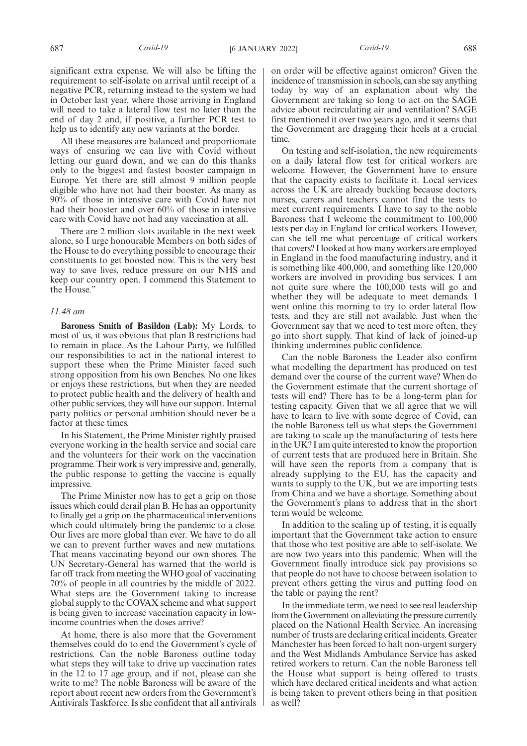significant extra expense. We will also be lifting the requirement to self-isolate on arrival until receipt of a negative PCR, returning instead to the system we had in October last year, where those arriving in England will need to take a lateral flow test no later than the end of day 2 and, if positive, a further PCR test to help us to identify any new variants at the border.

All these measures are balanced and proportionate ways of ensuring we can live with Covid without letting our guard down, and we can do this thanks only to the biggest and fastest booster campaign in Europe. Yet there are still almost 9 million people eligible who have not had their booster. As many as 90% of those in intensive care with Covid have not had their booster and over 60% of those in intensive care with Covid have not had any vaccination at all.

There are 2 million slots available in the next week alone, so I urge honourable Members on both sides of the House to do everything possible to encourage their constituents to get boosted now. This is the very best way to save lives, reduce pressure on our NHS and keep our country open. I commend this Statement to the House."

## *11.48 am*

**Baroness Smith of Basildon (Lab):** My Lords, to most of us, it was obvious that plan B restrictions had to remain in place. As the Labour Party, we fulfilled our responsibilities to act in the national interest to support these when the Prime Minister faced such strong opposition from his own Benches. No one likes or enjoys these restrictions, but when they are needed to protect public health and the delivery of health and other public services, they will have our support. Internal party politics or personal ambition should never be a factor at these times.

In his Statement, the Prime Minister rightly praised everyone working in the health service and social care and the volunteers for their work on the vaccination programme. Their work is very impressive and, generally, the public response to getting the vaccine is equally impressive.

The Prime Minister now has to get a grip on those issues which could derail plan B. He has an opportunity to finally get a grip on the pharmaceutical interventions which could ultimately bring the pandemic to a close. Our lives are more global than ever. We have to do all we can to prevent further waves and new mutations. That means vaccinating beyond our own shores. The UN Secretary-General has warned that the world is far off track from meeting the WHO goal of vaccinating 70% of people in all countries by the middle of 2022. What steps are the Government taking to increase global supply to the COVAX scheme and what support is being given to increase vaccination capacity in lowincome countries when the doses arrive?

At home, there is also more that the Government themselves could do to end the Government's cycle of restrictions. Can the noble Baroness outline today what steps they will take to drive up vaccination rates in the 12 to 17 age group, and if not, please can she write to me? The noble Baroness will be aware of the report about recent new orders from the Government's Antivirals Taskforce. Is she confident that all antivirals on order will be effective against omicron? Given the incidence of transmission in schools, can she say anything today by way of an explanation about why the Government are taking so long to act on the SAGE advice about recirculating air and ventilation? SAGE first mentioned it over two years ago, and it seems that the Government are dragging their heels at a crucial time.

On testing and self-isolation, the new requirements on a daily lateral flow test for critical workers are welcome. However, the Government have to ensure that the capacity exists to facilitate it. Local services across the UK are already buckling because doctors, nurses, carers and teachers cannot find the tests to meet current requirements. I have to say to the noble Baroness that I welcome the commitment to 100,000 tests per day in England for critical workers. However, can she tell me what percentage of critical workers that covers? I looked at how many workers are employed in England in the food manufacturing industry, and it is something like 400,000, and something like 120,000 workers are involved in providing bus services. I am not quite sure where the 100,000 tests will go and whether they will be adequate to meet demands. I went online this morning to try to order lateral flow tests, and they are still not available. Just when the Government say that we need to test more often, they go into short supply. That kind of lack of joined-up thinking undermines public confidence.

Can the noble Baroness the Leader also confirm what modelling the department has produced on test demand over the course of the current wave? When do the Government estimate that the current shortage of tests will end? There has to be a long-term plan for testing capacity. Given that we all agree that we will have to learn to live with some degree of Covid, can the noble Baroness tell us what steps the Government are taking to scale up the manufacturing of tests here in the UK? I am quite interested to know the proportion of current tests that are produced here in Britain. She will have seen the reports from a company that is already supplying to the EU, has the capacity and wants to supply to the UK, but we are importing tests from China and we have a shortage. Something about the Government's plans to address that in the short term would be welcome.

In addition to the scaling up of testing, it is equally important that the Government take action to ensure that those who test positive are able to self-isolate. We are now two years into this pandemic. When will the Government finally introduce sick pay provisions so that people do not have to choose between isolation to prevent others getting the virus and putting food on the table or paying the rent?

In the immediate term, we need to see real leadership from the Government on alleviating the pressure currently placed on the National Health Service. An increasing number of trusts are declaring critical incidents. Greater Manchester has been forced to halt non-urgent surgery and the West Midlands Ambulance Service has asked retired workers to return. Can the noble Baroness tell the House what support is being offered to trusts which have declared critical incidents and what action is being taken to prevent others being in that position as well?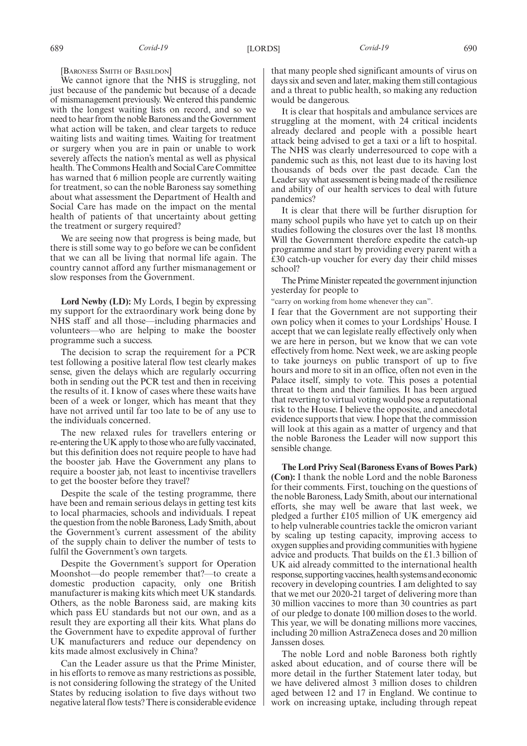[BARONESS SMITH OF BASILDON]

We cannot ignore that the NHS is struggling, not just because of the pandemic but because of a decade of mismanagement previously. We entered this pandemic with the longest waiting lists on record, and so we need to hear from the noble Baroness and the Government what action will be taken, and clear targets to reduce waiting lists and waiting times. Waiting for treatment or surgery when you are in pain or unable to work severely affects the nation's mental as well as physical health. The Commons Health and Social Care Committee has warned that 6 million people are currently waiting for treatment, so can the noble Baroness say something about what assessment the Department of Health and Social Care has made on the impact on the mental health of patients of that uncertainty about getting the treatment or surgery required?

We are seeing now that progress is being made, but there is still some way to go before we can be confident that we can all be living that normal life again. The country cannot afford any further mismanagement or slow responses from the Government.

**Lord Newby (LD):** My Lords, I begin by expressing my support for the extraordinary work being done by NHS staff and all those—including pharmacies and volunteers—who are helping to make the booster programme such a success.

The decision to scrap the requirement for a PCR test following a positive lateral flow test clearly makes sense, given the delays which are regularly occurring both in sending out the PCR test and then in receiving the results of it. I know of cases where these waits have been of a week or longer, which has meant that they have not arrived until far too late to be of any use to the individuals concerned.

The new relaxed rules for travellers entering or re-entering the UK apply to those who are fully vaccinated, but this definition does not require people to have had the booster jab. Have the Government any plans to require a booster jab, not least to incentivise travellers to get the booster before they travel?

Despite the scale of the testing programme, there have been and remain serious delays in getting test kits to local pharmacies, schools and individuals. I repeat the question from the noble Baroness, Lady Smith, about the Government's current assessment of the ability of the supply chain to deliver the number of tests to fulfil the Government's own targets.

Despite the Government's support for Operation Moonshot—do people remember that?—to create a domestic production capacity, only one British manufacturer is making kits which meet UK standards. Others, as the noble Baroness said, are making kits which pass EU standards but not our own, and as a result they are exporting all their kits. What plans do the Government have to expedite approval of further UK manufacturers and reduce our dependency on kits made almost exclusively in China?

Can the Leader assure us that the Prime Minister, in his efforts to remove as many restrictions as possible, is not considering following the strategy of the United States by reducing isolation to five days without two negative lateral flow tests? There is considerable evidence that many people shed significant amounts of virus on days six and seven and later, making them still contagious and a threat to public health, so making any reduction would be dangerous.

It is clear that hospitals and ambulance services are struggling at the moment, with 24 critical incidents already declared and people with a possible heart attack being advised to get a taxi or a lift to hospital. The NHS was clearly underresourced to cope with a pandemic such as this, not least due to its having lost thousands of beds over the past decade. Can the Leader say what assessment is being made of the resilience and ability of our health services to deal with future pandemics?

It is clear that there will be further disruption for many school pupils who have yet to catch up on their studies following the closures over the last 18 months. Will the Government therefore expedite the catch-up programme and start by providing every parent with a £30 catch-up voucher for every day their child misses school?

The Prime Minister repeated the government injunction yesterday for people to

"carry on working from home whenever they can".

I fear that the Government are not supporting their own policy when it comes to your Lordships' House. I accept that we can legislate really effectively only when we are here in person, but we know that we can vote effectively from home. Next week, we are asking people to take journeys on public transport of up to five hours and more to sit in an office, often not even in the Palace itself, simply to vote. This poses a potential threat to them and their families. It has been argued that reverting to virtual voting would pose a reputational risk to the House. I believe the opposite, and anecdotal evidence supports that view. I hope that the commission will look at this again as a matter of urgency and that the noble Baroness the Leader will now support this sensible change.

**The Lord Privy Seal (Baroness Evans of Bowes Park) (Con):** I thank the noble Lord and the noble Baroness for their comments. First, touching on the questions of the noble Baroness, Lady Smith, about our international efforts, she may well be aware that last week, we pledged a further £105 million of UK emergency aid to help vulnerable countries tackle the omicron variant by scaling up testing capacity, improving access to oxygen supplies and providing communities with hygiene advice and products. That builds on the £1.3 billion of UK aid already committed to the international health response, supporting vaccines, health systems and economic recovery in developing countries. I am delighted to say that we met our 2020-21 target of delivering more than 30 million vaccines to more than 30 countries as part of our pledge to donate 100 million doses to the world. This year, we will be donating millions more vaccines, including 20 million AstraZeneca doses and 20 million Janssen doses.

The noble Lord and noble Baroness both rightly asked about education, and of course there will be more detail in the further Statement later today, but we have delivered almost 3 million doses to children aged between 12 and 17 in England. We continue to work on increasing uptake, including through repeat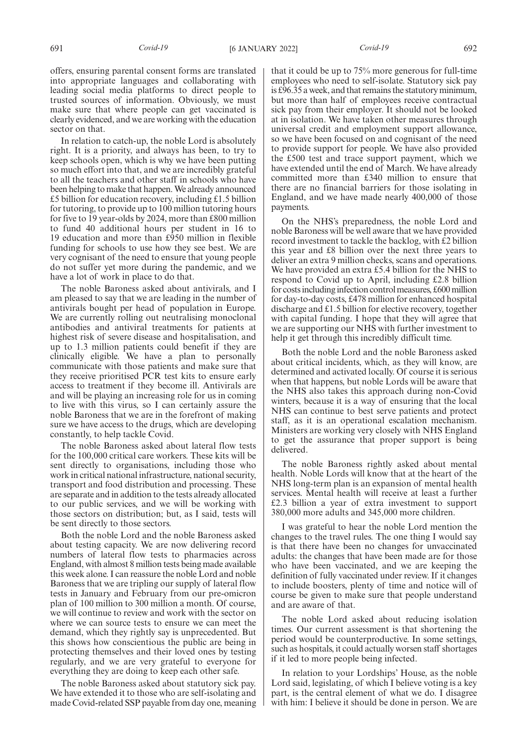offers, ensuring parental consent forms are translated into appropriate languages and collaborating with leading social media platforms to direct people to trusted sources of information. Obviously, we must make sure that where people can get vaccinated is clearly evidenced, and we are working with the education sector on that.

In relation to catch-up, the noble Lord is absolutely right. It is a priority, and always has been, to try to keep schools open, which is why we have been putting so much effort into that, and we are incredibly grateful to all the teachers and other staff in schools who have been helping to make that happen. We already announced £5 billion for education recovery, including £1.5 billion for tutoring, to provide up to 100 million tutoring hours for five to 19 year-olds by 2024, more than £800 million to fund 40 additional hours per student in 16 to 19 education and more than £950 million in flexible funding for schools to use how they see best. We are very cognisant of the need to ensure that young people do not suffer yet more during the pandemic, and we have a lot of work in place to do that.

The noble Baroness asked about antivirals, and I am pleased to say that we are leading in the number of antivirals bought per head of population in Europe. We are currently rolling out neutralising monoclonal antibodies and antiviral treatments for patients at highest risk of severe disease and hospitalisation, and up to 1.3 million patients could benefit if they are clinically eligible. We have a plan to personally communicate with those patients and make sure that they receive prioritised PCR test kits to ensure early access to treatment if they become ill. Antivirals are and will be playing an increasing role for us in coming to live with this virus, so I can certainly assure the noble Baroness that we are in the forefront of making sure we have access to the drugs, which are developing constantly, to help tackle Covid.

The noble Baroness asked about lateral flow tests for the 100,000 critical care workers. These kits will be sent directly to organisations, including those who work in critical national infrastructure, national security, transport and food distribution and processing. These are separate and in addition to the tests already allocated to our public services, and we will be working with those sectors on distribution; but, as I said, tests will be sent directly to those sectors.

Both the noble Lord and the noble Baroness asked about testing capacity. We are now delivering record numbers of lateral flow tests to pharmacies across England, with almost 8 million tests being made available this week alone. I can reassure the noble Lord and noble Baroness that we are tripling our supply of lateral flow tests in January and February from our pre-omicron plan of 100 million to 300 million a month. Of course, we will continue to review and work with the sector on where we can source tests to ensure we can meet the demand, which they rightly say is unprecedented. But this shows how conscientious the public are being in protecting themselves and their loved ones by testing regularly, and we are very grateful to everyone for everything they are doing to keep each other safe.

The noble Baroness asked about statutory sick pay. We have extended it to those who are self-isolating and made Covid-related SSP payable from day one, meaning that it could be up to 75% more generous for full-time employees who need to self-isolate. Statutory sick pay is £96.35 a week, and that remains the statutory minimum, but more than half of employees receive contractual sick pay from their employer. It should not be looked at in isolation. We have taken other measures through universal credit and employment support allowance, so we have been focused on and cognisant of the need to provide support for people. We have also provided the £500 test and trace support payment, which we have extended until the end of March. We have already committed more than £340 million to ensure that there are no financial barriers for those isolating in England, and we have made nearly 400,000 of those payments.

On the NHS's preparedness, the noble Lord and noble Baroness will be well aware that we have provided record investment to tackle the backlog, with £2 billion this year and £8 billion over the next three years to deliver an extra 9 million checks, scans and operations. We have provided an extra £5.4 billion for the NHS to respond to Covid up to April, including £2.8 billion for costs including infection control measures, £600 million for day-to-day costs, £478 million for enhanced hospital discharge and £1.5 billion for elective recovery, together with capital funding. I hope that they will agree that we are supporting our NHS with further investment to help it get through this incredibly difficult time.

Both the noble Lord and the noble Baroness asked about critical incidents, which, as they will know, are determined and activated locally. Of course it is serious when that happens, but noble Lords will be aware that the NHS also takes this approach during non-Covid winters, because it is a way of ensuring that the local NHS can continue to best serve patients and protect staff, as it is an operational escalation mechanism. Ministers are working very closely with NHS England to get the assurance that proper support is being delivered.

The noble Baroness rightly asked about mental health. Noble Lords will know that at the heart of the NHS long-term plan is an expansion of mental health services. Mental health will receive at least a further £2.3 billion a year of extra investment to support 380,000 more adults and 345,000 more children.

I was grateful to hear the noble Lord mention the changes to the travel rules. The one thing I would say is that there have been no changes for unvaccinated adults: the changes that have been made are for those who have been vaccinated, and we are keeping the definition of fully vaccinated under review. If it changes to include boosters, plenty of time and notice will of course be given to make sure that people understand and are aware of that.

The noble Lord asked about reducing isolation times. Our current assessment is that shortening the period would be counterproductive. In some settings, such as hospitals, it could actually worsen staff shortages if it led to more people being infected.

In relation to your Lordships' House, as the noble Lord said, legislating, of which I believe voting is a key part, is the central element of what we do. I disagree with him: I believe it should be done in person. We are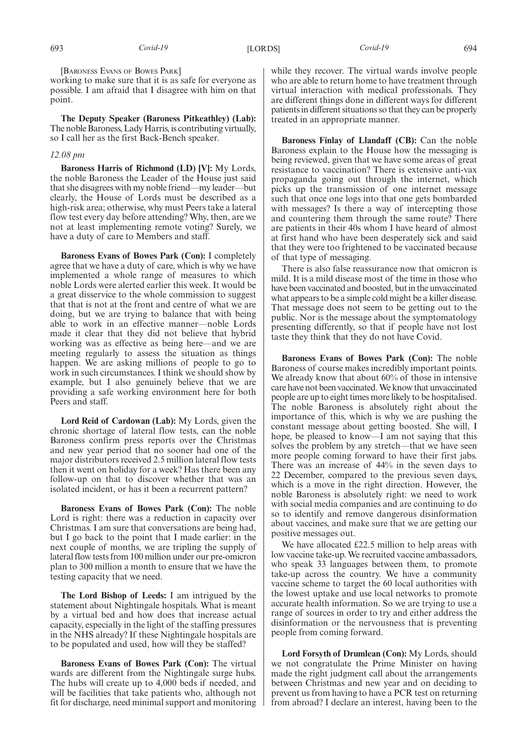[BARONESS EVANS OF BOWES PARK]

working to make sure that it is as safe for everyone as possible. I am afraid that I disagree with him on that point.

**The Deputy Speaker (Baroness Pitkeathley) (Lab):** The noble Baroness, Lady Harris, is contributing virtually, so I call her as the first Back-Bench speaker.

## *12.08 pm*

**Baroness Harris of Richmond (LD) [V]:** My Lords, the noble Baroness the Leader of the House just said that she disagrees with my noble friend—my leader—but clearly, the House of Lords must be described as a high-risk area; otherwise, why must Peers take a lateral flow test every day before attending? Why, then, are we not at least implementing remote voting? Surely, we have a duty of care to Members and staff.

**Baroness Evans of Bowes Park (Con):** I completely agree that we have a duty of care, which is why we have implemented a whole range of measures to which noble Lords were alerted earlier this week. It would be a great disservice to the whole commission to suggest that that is not at the front and centre of what we are doing, but we are trying to balance that with being able to work in an effective manner—noble Lords made it clear that they did not believe that hybrid working was as effective as being here—and we are meeting regularly to assess the situation as things happen. We are asking millions of people to go to work in such circumstances. I think we should show by example, but I also genuinely believe that we are providing a safe working environment here for both Peers and staff.

**Lord Reid of Cardowan (Lab):** My Lords, given the chronic shortage of lateral flow tests, can the noble Baroness confirm press reports over the Christmas and new year period that no sooner had one of the major distributors received 2.5 million lateral flow tests then it went on holiday for a week? Has there been any follow-up on that to discover whether that was an isolated incident, or has it been a recurrent pattern?

**Baroness Evans of Bowes Park (Con):** The noble Lord is right: there was a reduction in capacity over Christmas. I am sure that conversations are being had, but I go back to the point that I made earlier: in the next couple of months, we are tripling the supply of lateral flow tests from 100 million under our pre-omicron plan to 300 million a month to ensure that we have the testing capacity that we need.

**The Lord Bishop of Leeds:** I am intrigued by the statement about Nightingale hospitals. What is meant by a virtual bed and how does that increase actual capacity, especially in the light of the staffing pressures in the NHS already? If these Nightingale hospitals are to be populated and used, how will they be staffed?

**Baroness Evans of Bowes Park (Con):** The virtual wards are different from the Nightingale surge hubs. The hubs will create up to 4,000 beds if needed, and will be facilities that take patients who, although not fit for discharge, need minimal support and monitoring while they recover. The virtual wards involve people who are able to return home to have treatment through virtual interaction with medical professionals. They are different things done in different ways for different patients in different situations so that they can be properly treated in an appropriate manner.

**Baroness Finlay of Llandaff (CB):** Can the noble Baroness explain to the House how the messaging is being reviewed, given that we have some areas of great resistance to vaccination? There is extensive anti-vax propaganda going out through the internet, which picks up the transmission of one internet message such that once one logs into that one gets bombarded with messages? Is there a way of intercepting those and countering them through the same route? There are patients in their 40s whom I have heard of almost at first hand who have been desperately sick and said that they were too frightened to be vaccinated because of that type of messaging.

There is also false reassurance now that omicron is mild. It is a mild disease most of the time in those who have been vaccinated and boosted, but in the unvaccinated what appears to be a simple cold might be a killer disease. That message does not seem to be getting out to the public. Nor is the message about the symptomatology presenting differently, so that if people have not lost taste they think that they do not have Covid.

**Baroness Evans of Bowes Park (Con):** The noble Baroness of course makes incredibly important points. We already know that about 60% of those in intensive care have not been vaccinated. We know that unvaccinated people are up to eight times more likely to be hospitalised. The noble Baroness is absolutely right about the importance of this, which is why we are pushing the constant message about getting boosted. She will, I hope, be pleased to know—I am not saying that this solves the problem by any stretch—that we have seen more people coming forward to have their first jabs. There was an increase of 44% in the seven days to 22 December, compared to the previous seven days, which is a move in the right direction. However, the noble Baroness is absolutely right: we need to work with social media companies and are continuing to do so to identify and remove dangerous disinformation about vaccines, and make sure that we are getting our positive messages out.

We have allocated £22.5 million to help areas with low vaccine take-up. We recruited vaccine ambassadors, who speak 33 languages between them, to promote take-up across the country. We have a community vaccine scheme to target the 60 local authorities with the lowest uptake and use local networks to promote accurate health information. So we are trying to use a range of sources in order to try and either address the disinformation or the nervousness that is preventing people from coming forward.

**Lord Forsyth of Drumlean (Con):** My Lords, should we not congratulate the Prime Minister on having made the right judgment call about the arrangements between Christmas and new year and on deciding to prevent us from having to have a PCR test on returning from abroad? I declare an interest, having been to the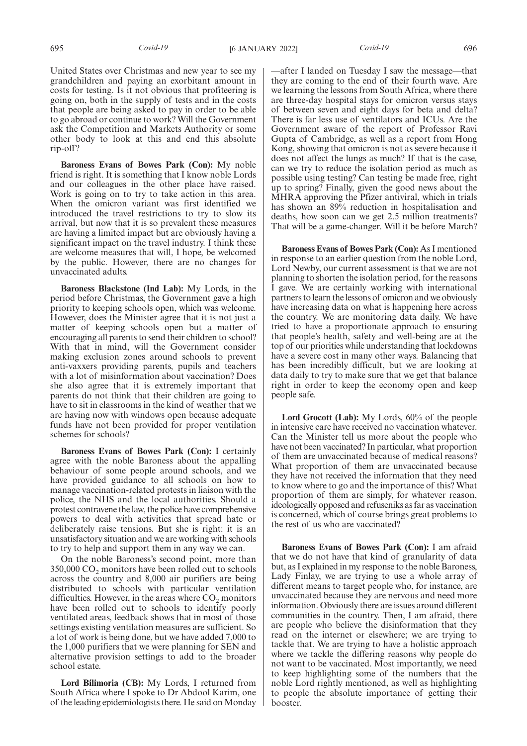United States over Christmas and new year to see my grandchildren and paying an exorbitant amount in costs for testing. Is it not obvious that profiteering is going on, both in the supply of tests and in the costs that people are being asked to pay in order to be able to go abroad or continue to work? Will the Government ask the Competition and Markets Authority or some other body to look at this and end this absolute rip-off?

**Baroness Evans of Bowes Park (Con):** My noble friend is right. It is something that I know noble Lords and our colleagues in the other place have raised. Work is going on to try to take action in this area. When the omicron variant was first identified we introduced the travel restrictions to try to slow its arrival, but now that it is so prevalent these measures are having a limited impact but are obviously having a significant impact on the travel industry. I think these are welcome measures that will, I hope, be welcomed by the public. However, there are no changes for unvaccinated adults.

**Baroness Blackstone (Ind Lab):** My Lords, in the period before Christmas, the Government gave a high priority to keeping schools open, which was welcome. However, does the Minister agree that it is not just a matter of keeping schools open but a matter of encouraging all parents to send their children to school? With that in mind, will the Government consider making exclusion zones around schools to prevent anti-vaxxers providing parents, pupils and teachers with a lot of misinformation about vaccination? Does she also agree that it is extremely important that parents do not think that their children are going to have to sit in classrooms in the kind of weather that we are having now with windows open because adequate funds have not been provided for proper ventilation schemes for schools?

**Baroness Evans of Bowes Park (Con):** I certainly agree with the noble Baroness about the appalling behaviour of some people around schools, and we have provided guidance to all schools on how to manage vaccination-related protests in liaison with the police, the NHS and the local authorities. Should a protest contravene the law, the police have comprehensive powers to deal with activities that spread hate or deliberately raise tensions. But she is right: it is an unsatisfactory situation and we are working with schools to try to help and support them in any way we can.

On the noble Baroness's second point, more than 350,000 CO<sub>2</sub> monitors have been rolled out to schools across the country and 8,000 air purifiers are being distributed to schools with particular ventilation difficulties. However, in the areas where  $CO<sub>2</sub>$  monitors have been rolled out to schools to identify poorly ventilated areas, feedback shows that in most of those settings existing ventilation measures are sufficient. So a lot of work is being done, but we have added 7,000 to the 1,000 purifiers that we were planning for SEN and alternative provision settings to add to the broader school estate.

**Lord Bilimoria (CB):** My Lords, I returned from South Africa where I spoke to Dr Abdool Karim, one of the leading epidemiologists there. He said on Monday

—after I landed on Tuesday I saw the message—that they are coming to the end of their fourth wave. Are we learning the lessons from South Africa, where there are three-day hospital stays for omicron versus stays of between seven and eight days for beta and delta? There is far less use of ventilators and ICUs. Are the Government aware of the report of Professor Ravi Gupta of Cambridge, as well as a report from Hong Kong, showing that omicron is not as severe because it does not affect the lungs as much? If that is the case, can we try to reduce the isolation period as much as possible using testing? Can testing be made free, right up to spring? Finally, given the good news about the MHRA approving the Pfizer antiviral, which in trials has shown an 89% reduction in hospitalisation and deaths, how soon can we get 2.5 million treatments? That will be a game-changer. Will it be before March?

**Baroness Evans of Bowes Park (Con):** As I mentioned in response to an earlier question from the noble Lord, Lord Newby, our current assessment is that we are not planning to shorten the isolation period, for the reasons I gave. We are certainly working with international partners to learn the lessons of omicron and we obviously have increasing data on what is happening here across the country. We are monitoring data daily. We have tried to have a proportionate approach to ensuring that people's health, safety and well-being are at the top of our priorities while understanding that lockdowns have a severe cost in many other ways. Balancing that has been incredibly difficult, but we are looking at data daily to try to make sure that we get that balance right in order to keep the economy open and keep people safe.

**Lord Grocott (Lab):** My Lords, 60% of the people in intensive care have received no vaccination whatever. Can the Minister tell us more about the people who have not been vaccinated? In particular, what proportion of them are unvaccinated because of medical reasons? What proportion of them are unvaccinated because they have not received the information that they need to know where to go and the importance of this? What proportion of them are simply, for whatever reason, ideologically opposed and refuseniks as far as vaccination is concerned, which of course brings great problems to the rest of us who are vaccinated?

**Baroness Evans of Bowes Park (Con):** I am afraid that we do not have that kind of granularity of data but, as I explained in my response to the noble Baroness, Lady Finlay, we are trying to use a whole array of different means to target people who, for instance, are unvaccinated because they are nervous and need more information. Obviously there are issues around different communities in the country. Then, I am afraid, there are people who believe the disinformation that they read on the internet or elsewhere; we are trying to tackle that. We are trying to have a holistic approach where we tackle the differing reasons why people do not want to be vaccinated. Most importantly, we need to keep highlighting some of the numbers that the noble Lord rightly mentioned, as well as highlighting to people the absolute importance of getting their booster.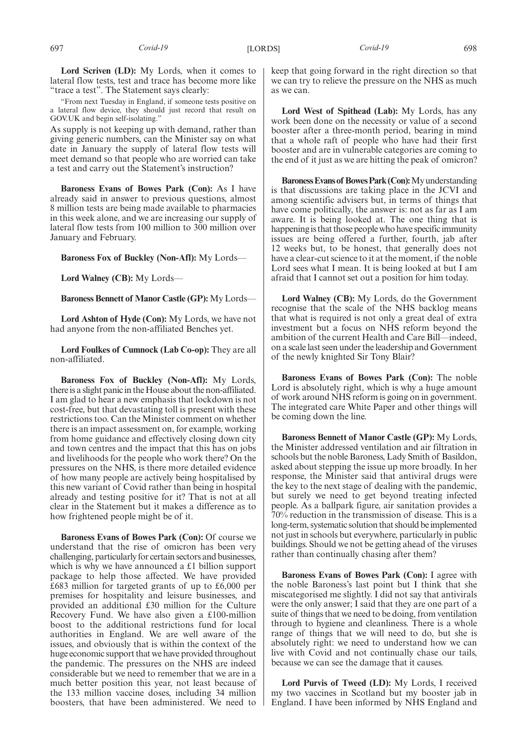"From next Tuesday in England, if someone tests positive on a lateral flow device, they should just record that result on GOV.UK and begin self-isolating."

As supply is not keeping up with demand, rather than giving generic numbers, can the Minister say on what date in January the supply of lateral flow tests will meet demand so that people who are worried can take a test and carry out the Statement's instruction?

**Baroness Evans of Bowes Park (Con):** As I have already said in answer to previous questions, almost 8 million tests are being made available to pharmacies in this week alone, and we are increasing our supply of lateral flow tests from 100 million to 300 million over January and February.

**Baroness Fox of Buckley (Non-Afl):** My Lords—

**Lord Walney (CB):** My Lords—

**Baroness Bennett of Manor Castle (GP):** My Lords—

**Lord Ashton of Hyde (Con):** My Lords, we have not had anyone from the non-affiliated Benches yet.

**Lord Foulkes of Cumnock (Lab Co-op):** They are all non-affiliated.

**Baroness Fox of Buckley (Non-Afl):** My Lords, there is a slight panic in the House about the non-affiliated. I am glad to hear a new emphasis that lockdown is not cost-free, but that devastating toll is present with these restrictions too. Can the Minister comment on whether there is an impact assessment on, for example, working from home guidance and effectively closing down city and town centres and the impact that this has on jobs and livelihoods for the people who work there? On the pressures on the NHS, is there more detailed evidence of how many people are actively being hospitalised by this new variant of Covid rather than being in hospital already and testing positive for it? That is not at all clear in the Statement but it makes a difference as to how frightened people might be of it.

**Baroness Evans of Bowes Park (Con):** Of course we understand that the rise of omicron has been very challenging, particularly for certain sectors and businesses, which is why we have announced a £1 billion support package to help those affected. We have provided £683 million for targeted grants of up to £6,000 per premises for hospitality and leisure businesses, and provided an additional £30 million for the Culture Recovery Fund. We have also given a £100-million boost to the additional restrictions fund for local authorities in England. We are well aware of the issues, and obviously that is within the context of the huge economic support that we have provided throughout the pandemic. The pressures on the NHS are indeed considerable but we need to remember that we are in a much better position this year, not least because of the 133 million vaccine doses, including 34 million boosters, that have been administered. We need to keep that going forward in the right direction so that we can try to relieve the pressure on the NHS as much as we can.

**Lord West of Spithead (Lab):** My Lords, has any work been done on the necessity or value of a second booster after a three-month period, bearing in mind that a whole raft of people who have had their first booster and are in vulnerable categories are coming to the end of it just as we are hitting the peak of omicron?

**BaronessEvansof BowesPark(Con):**Myunderstanding is that discussions are taking place in the JCVI and among scientific advisers but, in terms of things that have come politically, the answer is: not as far as I am aware. It is being looked at. The one thing that is happening is that those people who have specific immunity issues are being offered a further, fourth, jab after 12 weeks but, to be honest, that generally does not have a clear-cut science to it at the moment, if the noble Lord sees what I mean. It is being looked at but I am afraid that I cannot set out a position for him today.

**Lord Walney (CB):** My Lords, do the Government recognise that the scale of the NHS backlog means that what is required is not only a great deal of extra investment but a focus on NHS reform beyond the ambition of the current Health and Care Bill—indeed, on a scale last seen under the leadership and Government of the newly knighted Sir Tony Blair?

**Baroness Evans of Bowes Park (Con):** The noble Lord is absolutely right, which is why a huge amount of work around NHS reform is going on in government. The integrated care White Paper and other things will be coming down the line.

**Baroness Bennett of Manor Castle (GP):** My Lords, the Minister addressed ventilation and air filtration in schools but the noble Baroness, Lady Smith of Basildon, asked about stepping the issue up more broadly. In her response, the Minister said that antiviral drugs were the key to the next stage of dealing with the pandemic, but surely we need to get beyond treating infected people. As a ballpark figure, air sanitation provides a 70% reduction in the transmission of disease. This is a long-term, systematic solution that should be implemented not just in schools but everywhere, particularly in public buildings. Should we not be getting ahead of the viruses rather than continually chasing after them?

**Baroness Evans of Bowes Park (Con):** I agree with the noble Baroness's last point but I think that she miscategorised me slightly. I did not say that antivirals were the only answer; I said that they are one part of a suite of things that we need to be doing, from ventilation through to hygiene and cleanliness. There is a whole range of things that we will need to do, but she is absolutely right: we need to understand how we can live with Covid and not continually chase our tails, because we can see the damage that it causes.

**Lord Purvis of Tweed (LD):** My Lords, I received my two vaccines in Scotland but my booster jab in England. I have been informed by NHS England and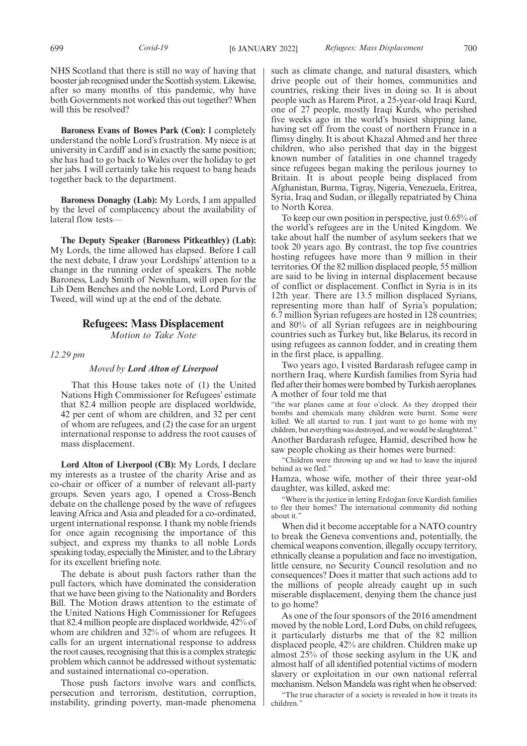NHS Scotland that there is still no way of having that booster jab recognised under the Scottish system. Likewise, after so many months of this pandemic, why have both Governments not worked this out together? When will this be resolved?

**Baroness Evans of Bowes Park (Con):** I completely understand the noble Lord's frustration. My niece is at university in Cardiff and is in exactly the same position; she has had to go back to Wales over the holiday to get her jabs. I will certainly take his request to bang heads together back to the department.

**Baroness Donaghy (Lab):** My Lords, I am appalled by the level of complacency about the availability of lateral flow tests—

**The Deputy Speaker (Baroness Pitkeathley) (Lab):** My Lords, the time allowed has elapsed. Before I call the next debate, I draw your Lordships' attention to a change in the running order of speakers. The noble Baroness, Lady Smith of Newnham, will open for the Lib Dem Benches and the noble Lord, Lord Purvis of Tweed, will wind up at the end of the debate.

## **Refugees: Mass Displacement**

*Motion to Take Note*

*12.29 pm*

## *Moved by Lord Alton of Liverpool*

That this House takes note of (1) the United Nations High Commissioner for Refugees' estimate that 82.4 million people are displaced worldwide, 42 per cent of whom are children, and 32 per cent of whom are refugees, and (2) the case for an urgent international response to address the root causes of mass displacement.

**Lord Alton of Liverpool (CB):** My Lords, I declare my interests as a trustee of the charity Arise and as co-chair or officer of a number of relevant all-party groups. Seven years ago, I opened a Cross-Bench debate on the challenge posed by the wave of refugees leaving Africa and Asia and pleaded for a co-ordinated, urgent international response. I thank my noble friends for once again recognising the importance of this subject, and express my thanks to all noble Lords speaking today, especially the Minister, and to the Library for its excellent briefing note.

The debate is about push factors rather than the pull factors, which have dominated the consideration that we have been giving to the Nationality and Borders Bill. The Motion draws attention to the estimate of the United Nations High Commissioner for Refugees that 82.4 million people are displaced worldwide, 42% of whom are children and 32% of whom are refugees. It calls for an urgent international response to address the root causes, recognising that this is a complex strategic problem which cannot be addressed without systematic and sustained international co-operation.

Those push factors involve wars and conflicts, persecution and terrorism, destitution, corruption, instability, grinding poverty, man-made phenomena such as climate change, and natural disasters, which drive people out of their homes, communities and countries, risking their lives in doing so. It is about people such as Harem Pirot, a 25-year-old Iraqi Kurd, one of 27 people, mostly Iraqi Kurds, who perished five weeks ago in the world's busiest shipping lane, having set off from the coast of northern France in a flimsy dinghy. It is about Khazal Ahmed and her three children, who also perished that day in the biggest known number of fatalities in one channel tragedy since refugees began making the perilous journey to Britain. It is about people being displaced from Afghanistan, Burma, Tigray, Nigeria, Venezuela, Eritrea, Syria, Iraq and Sudan, or illegally repatriated by China to North Korea.

To keep our own position in perspective, just 0.65% of the world's refugees are in the United Kingdom. We take about half the number of asylum seekers that we took 20 years ago. By contrast, the top five countries hosting refugees have more than 9 million in their territories. Of the 82 million displaced people, 55 million are said to be living in internal displacement because of conflict or displacement. Conflict in Syria is in its 12th year. There are 13.5 million displaced Syrians, representing more than half of Syria's population; 6.7 million Syrian refugees are hosted in 128 countries; and 80% of all Syrian refugees are in neighbouring countries such as Turkey but, like Belarus, its record in using refugees as cannon fodder, and in creating them in the first place, is appalling.

Two years ago, I visited Bardarash refugee camp in northern Iraq, where Kurdish families from Syria had fled after their homes were bombed by Turkish aeroplanes. A mother of four told me that

"the war planes came at four o'clock. As they dropped their bombs and chemicals many children were burnt. Some were killed. We all started to run. I just want to go home with my children, but everything was destroyed, and we would be slaughtered." Another Bardarash refugee, Hamid, described how he saw people choking as their homes were burned:

"Children were throwing up and we had to leave the injured behind as we fled."

Hamza, whose wife, mother of their three year-old daughter, was killed, asked me:

"Where is the justice in letting Erdoğan force Kurdish families to flee their homes? The international community did nothing about it."

When did it become acceptable for a NATO country to break the Geneva conventions and, potentially, the chemical weapons convention, illegally occupy territory, ethnically cleanse a population and face no investigation, little censure, no Security Council resolution and no consequences? Does it matter that such actions add to the millions of people already caught up in such miserable displacement, denying them the chance just to go home?

As one of the four sponsors of the 2016 amendment moved by the noble Lord, Lord Dubs, on child refugees, it particularly disturbs me that of the 82 million displaced people, 42% are children. Children make up almost 25% of those seeking asylum in the UK and almost half of all identified potential victims of modern slavery or exploitation in our own national referral mechanism. Nelson Mandela was right when he observed:

"The true character of a society is revealed in how it treats its children."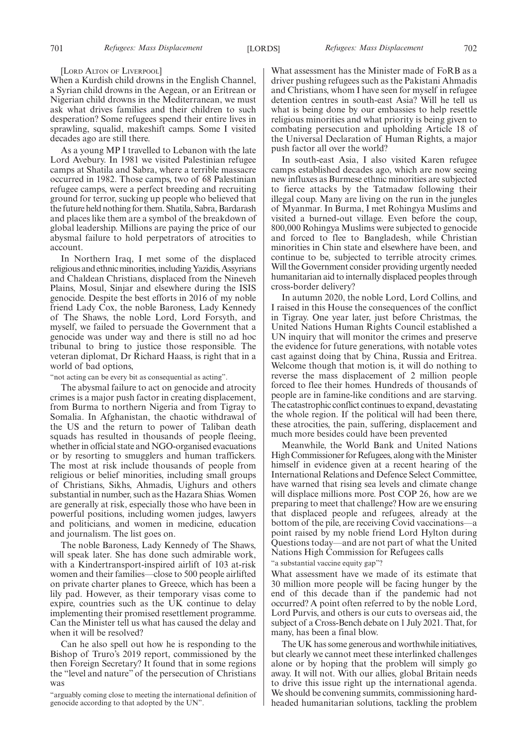#### [LORD ALTON OF LIVERPOOL]

When a Kurdish child drowns in the English Channel, a Syrian child drowns in the Aegean, or an Eritrean or Nigerian child drowns in the Mediterranean, we must ask what drives families and their children to such desperation? Some refugees spend their entire lives in sprawling, squalid, makeshift camps. Some I visited decades ago are still there.

As a young MP I travelled to Lebanon with the late Lord Avebury. In 1981 we visited Palestinian refugee camps at Shatila and Sabra, where a terrible massacre occurred in 1982. Those camps, two of 68 Palestinian refugee camps, were a perfect breeding and recruiting ground for terror, sucking up people who believed that the future held nothing for them. Shatila, Sabra, Bardarash and places like them are a symbol of the breakdown of global leadership. Millions are paying the price of our abysmal failure to hold perpetrators of atrocities to account.

In Northern Iraq, I met some of the displaced religious and ethnic minorities, including Yazidis, Assyrians and Chaldean Christians, displaced from the Nineveh Plains, Mosul, Sinjar and elsewhere during the ISIS genocide. Despite the best efforts in 2016 of my noble friend Lady Cox, the noble Baroness, Lady Kennedy of The Shaws, the noble Lord, Lord Forsyth, and myself, we failed to persuade the Government that a genocide was under way and there is still no ad hoc tribunal to bring to justice those responsible. The veteran diplomat, Dr Richard Haass, is right that in a world of bad options,

"not acting can be every bit as consequential as acting".

The abysmal failure to act on genocide and atrocity crimes is a major push factor in creating displacement, from Burma to northern Nigeria and from Tigray to Somalia. In Afghanistan, the chaotic withdrawal of the US and the return to power of Taliban death squads has resulted in thousands of people fleeing, whether in official state and NGO-organised evacuations or by resorting to smugglers and human traffickers. The most at risk include thousands of people from religious or belief minorities, including small groups of Christians, Sikhs, Ahmadis, Uighurs and others substantial in number, such as the Hazara Shias. Women are generally at risk, especially those who have been in powerful positions, including women judges, lawyers and politicians, and women in medicine, education and journalism. The list goes on.

The noble Baroness, Lady Kennedy of The Shaws, will speak later. She has done such admirable work, with a Kindertransport-inspired airlift of 103 at-risk women and their families—close to 500 people airlifted on private charter planes to Greece, which has been a lily pad. However, as their temporary visas come to expire, countries such as the UK continue to delay implementing their promised resettlement programme. Can the Minister tell us what has caused the delay and when it will be resolved?

Can he also spell out how he is responding to the Bishop of Truro's 2019 report, commissioned by the then Foreign Secretary? It found that in some regions the "level and nature" of the persecution of Christians was

"arguably coming close to meeting the international definition of genocide according to that adopted by the UN".

What assessment has the Minister made of FoRB as a driver pushing refugees such as the Pakistani Ahmadis and Christians, whom I have seen for myself in refugee detention centres in south-east Asia? Will he tell us what is being done by our embassies to help resettle religious minorities and what priority is being given to combating persecution and upholding Article 18 of the Universal Declaration of Human Rights, a major push factor all over the world?

In south-east Asia, I also visited Karen refugee camps established decades ago, which are now seeing new influxes as Burmese ethnic minorities are subjected to fierce attacks by the Tatmadaw following their illegal coup. Many are living on the run in the jungles of Myanmar. In Burma, I met Rohingya Muslims and visited a burned-out village. Even before the coup, 800,000 Rohingya Muslims were subjected to genocide and forced to flee to Bangladesh, while Christian minorities in Chin state and elsewhere have been, and continue to be, subjected to terrible atrocity crimes. Will the Government consider providing urgently needed humanitarian aid to internally displaced peoples through cross-border delivery?

In autumn 2020, the noble Lord, Lord Collins, and I raised in this House the consequences of the conflict in Tigray. One year later, just before Christmas, the United Nations Human Rights Council established a UN inquiry that will monitor the crimes and preserve the evidence for future generations, with notable votes cast against doing that by China, Russia and Eritrea. Welcome though that motion is, it will do nothing to reverse the mass displacement of 2 million people forced to flee their homes. Hundreds of thousands of people are in famine-like conditions and are starving. The catastrophic conflict continues to expand, devastating the whole region. If the political will had been there, these atrocities, the pain, suffering, displacement and much more besides could have been prevented

Meanwhile, the World Bank and United Nations High Commissioner for Refugees, along with the Minister himself in evidence given at a recent hearing of the International Relations and Defence Select Committee, have warned that rising sea levels and climate change will displace millions more. Post COP 26, how are we preparing to meet that challenge? How are we ensuring that displaced people and refugees, already at the bottom of the pile, are receiving Covid vaccinations—a point raised by my noble friend Lord Hylton during Questions today—and are not part of what the United Nations High Commission for Refugees calls

"a substantial vaccine equity gap"?

What assessment have we made of its estimate that 30 million more people will be facing hunger by the end of this decade than if the pandemic had not occurred? A point often referred to by the noble Lord, Lord Purvis, and others is our cuts to overseas aid, the subject of a Cross-Bench debate on 1 July 2021. That, for many, has been a final blow.

The UK has some generous and worthwhile initiatives, but clearly we cannot meet these interlinked challenges alone or by hoping that the problem will simply go away. It will not. With our allies, global Britain needs to drive this issue right up the international agenda. We should be convening summits, commissioning hardheaded humanitarian solutions, tackling the problem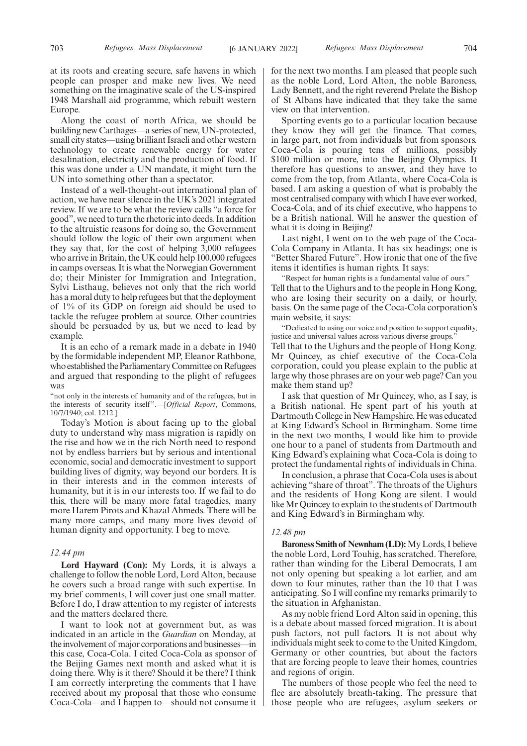at its roots and creating secure, safe havens in which people can prosper and make new lives. We need something on the imaginative scale of the US-inspired 1948 Marshall aid programme, which rebuilt western Europe.

Along the coast of north Africa, we should be building new Carthages—a series of new, UN-protected, small city states—using brilliant Israeli and other western technology to create renewable energy for water desalination, electricity and the production of food. If this was done under a UN mandate, it might turn the UN into something other than a spectator.

Instead of a well-thought-out international plan of action, we have near silence in the UK's 2021 integrated review. If we are to be what the review calls "a force for good", we need to turn the rhetoric into deeds. In addition to the altruistic reasons for doing so, the Government should follow the logic of their own argument when they say that, for the cost of helping 3,000 refugees who arrive in Britain, the UK could help 100,000 refugees in camps overseas. It is what the Norwegian Government do; their Minister for Immigration and Integration, Sylvi Listhaug, believes not only that the rich world has a moral duty to help refugees but that the deployment of 1% of its GDP on foreign aid should be used to tackle the refugee problem at source. Other countries should be persuaded by us, but we need to lead by example.

It is an echo of a remark made in a debate in 1940 by the formidable independent MP, Eleanor Rathbone, who established the Parliamentary Committee on Refugees and argued that responding to the plight of refugees was

"not only in the interests of humanity and of the refugees, but in the interests of security itself".—[*Official Report*, Commons, 10/7/1940; col. 1212.]

Today's Motion is about facing up to the global duty to understand why mass migration is rapidly on the rise and how we in the rich North need to respond not by endless barriers but by serious and intentional economic, social and democratic investment to support building lives of dignity, way beyond our borders. It is in their interests and in the common interests of humanity, but it is in our interests too. If we fail to do this, there will be many more fatal tragedies, many more Harem Pirots and Khazal Ahmeds. There will be many more camps, and many more lives devoid of human dignity and opportunity. I beg to move.

## *12.44 pm*

**Lord Hayward (Con):** My Lords, it is always a challenge to follow the noble Lord, Lord Alton, because he covers such a broad range with such expertise. In my brief comments, I will cover just one small matter. Before I do, I draw attention to my register of interests and the matters declared there.

I want to look not at government but, as was indicated in an article in the *Guardian* on Monday, at the involvement of major corporations and businesses—in this case, Coca-Cola. I cited Coca-Cola as sponsor of the Beijing Games next month and asked what it is doing there. Why is it there? Should it be there? I think I am correctly interpreting the comments that I have received about my proposal that those who consume Coca-Cola—and I happen to—should not consume it for the next two months. I am pleased that people such as the noble Lord, Lord Alton, the noble Baroness, Lady Bennett, and the right reverend Prelate the Bishop of St Albans have indicated that they take the same view on that intervention.

Sporting events go to a particular location because they know they will get the finance. That comes, in large part, not from individuals but from sponsors. Coca-Cola is pouring tens of millions, possibly \$100 million or more, into the Beijing Olympics. It therefore has questions to answer, and they have to come from the top, from Atlanta, where Coca-Cola is based. I am asking a question of what is probably the most centralised company with which I have ever worked, Coca-Cola, and of its chief executive, who happens to be a British national. Will he answer the question of what it is doing in Beijing?

Last night, I went on to the web page of the Coca-Cola Company in Atlanta. It has six headings; one is "Better Shared Future". How ironic that one of the five items it identifies is human rights. It says:

"Respect for human rights is a fundamental value of ours." Tell that to the Uighurs and to the people in Hong Kong, who are losing their security on a daily, or hourly, basis. On the same page of the Coca-Cola corporation's main website, it says:

"Dedicated to using our voice and position to support equality, justice and universal values across various diverse groups. Tell that to the Uighurs and the people of Hong Kong. Mr Quincey, as chief executive of the Coca-Cola corporation, could you please explain to the public at large why those phrases are on your web page? Can you make them stand up?

I ask that question of Mr Quincey, who, as I say, is a British national. He spent part of his youth at Dartmouth College in New Hampshire. He was educated at King Edward's School in Birmingham. Some time in the next two months, I would like him to provide one hour to a panel of students from Dartmouth and King Edward's explaining what Coca-Cola is doing to protect the fundamental rights of individuals in China.

In conclusion, a phrase that Coca-Cola uses is about achieving "share of throat". The throats of the Uighurs and the residents of Hong Kong are silent. I would like Mr Quincey to explain to the students of Dartmouth and King Edward's in Birmingham why.

## *12.48 pm*

**Baroness Smith of Newnham (LD):**My Lords, I believe the noble Lord, Lord Touhig, has scratched. Therefore, rather than winding for the Liberal Democrats, I am not only opening but speaking a lot earlier, and am down to four minutes, rather than the 10 that I was anticipating. So I will confine my remarks primarily to the situation in Afghanistan.

As my noble friend Lord Alton said in opening, this is a debate about massed forced migration. It is about push factors, not pull factors. It is not about why individuals might seek to come to the United Kingdom, Germany or other countries, but about the factors that are forcing people to leave their homes, countries and regions of origin.

The numbers of those people who feel the need to flee are absolutely breath-taking. The pressure that those people who are refugees, asylum seekers or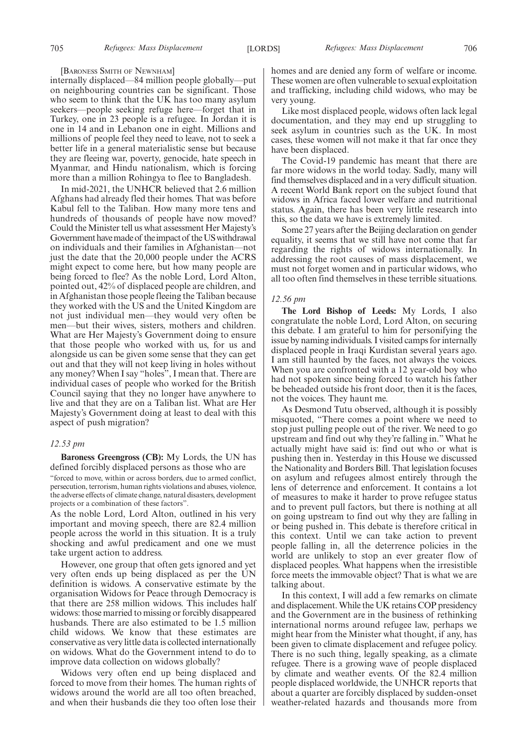#### [BARONESS SMITH OF NEWNHAM]

internally displaced—84 million people globally—put on neighbouring countries can be significant. Those who seem to think that the UK has too many asylum seekers—people seeking refuge here—forget that in Turkey, one in 23 people is a refugee. In Jordan it is one in 14 and in Lebanon one in eight. Millions and millions of people feel they need to leave, not to seek a better life in a general materialistic sense but because they are fleeing war, poverty, genocide, hate speech in Myanmar, and Hindu nationalism, which is forcing more than a million Rohingya to flee to Bangladesh.

In mid-2021, the UNHCR believed that 2.6 million Afghans had already fled their homes. That was before Kabul fell to the Taliban. How many more tens and hundreds of thousands of people have now moved? Could the Minister tell us what assessment Her Majesty's Government have made of the impact of the US withdrawal on individuals and their families in Afghanistan—not just the date that the 20,000 people under the ACRS might expect to come here, but how many people are being forced to flee? As the noble Lord, Lord Alton, pointed out, 42% of displaced people are children, and in Afghanistan those people fleeing the Taliban because they worked with the US and the United Kingdom are not just individual men—they would very often be men—but their wives, sisters, mothers and children. What are Her Majesty's Government doing to ensure that those people who worked with us, for us and alongside us can be given some sense that they can get out and that they will not keep living in holes without any money? When I say "holes", I mean that. There are individual cases of people who worked for the British Council saying that they no longer have anywhere to live and that they are on a Taliban list. What are Her Majesty's Government doing at least to deal with this aspect of push migration?

## *12.53 pm*

**Baroness Greengross (CB):** My Lords, the UN has defined forcibly displaced persons as those who are

"forced to move, within or across borders, due to armed conflict, persecution, terrorism, human rights violations and abuses, violence, the adverse effects of climate change, natural disasters, development projects or a combination of these factors".

As the noble Lord, Lord Alton, outlined in his very important and moving speech, there are 82.4 million people across the world in this situation. It is a truly shocking and awful predicament and one we must take urgent action to address.

However, one group that often gets ignored and yet very often ends up being displaced as per the UN definition is widows. A conservative estimate by the organisation Widows for Peace through Democracy is that there are 258 million widows. This includes half widows: those married to missing or forcibly disappeared husbands. There are also estimated to be 1.5 million child widows. We know that these estimates are conservative as very little data is collected internationally on widows. What do the Government intend to do to improve data collection on widows globally?

Widows very often end up being displaced and forced to move from their homes. The human rights of widows around the world are all too often breached, and when their husbands die they too often lose their homes and are denied any form of welfare or income. These women are often vulnerable to sexual exploitation and trafficking, including child widows, who may be very young.

Like most displaced people, widows often lack legal documentation, and they may end up struggling to seek asylum in countries such as the UK. In most cases, these women will not make it that far once they have been displaced.

The Covid-19 pandemic has meant that there are far more widows in the world today. Sadly, many will find themselves displaced and in a very difficult situation. A recent World Bank report on the subject found that widows in Africa faced lower welfare and nutritional status. Again, there has been very little research into this, so the data we have is extremely limited.

Some 27 years after the Beijing declaration on gender equality, it seems that we still have not come that far regarding the rights of widows internationally. In addressing the root causes of mass displacement, we must not forget women and in particular widows, who all too often find themselves in these terrible situations.

## *12.56 pm*

**The Lord Bishop of Leeds:** My Lords, I also congratulate the noble Lord, Lord Alton, on securing this debate. I am grateful to him for personifying the issue by naming individuals. I visited camps for internally displaced people in Iraqi Kurdistan several years ago. I am still haunted by the faces, not always the voices. When you are confronted with a 12 year-old boy who had not spoken since being forced to watch his father be beheaded outside his front door, then it is the faces, not the voices. They haunt me.

As Desmond Tutu observed, although it is possibly misquoted, "There comes a point where we need to stop just pulling people out of the river. We need to go upstream and find out why they're falling in." What he actually might have said is: find out who or what is pushing then in. Yesterday in this House we discussed the Nationality and Borders Bill. That legislation focuses on asylum and refugees almost entirely through the lens of deterrence and enforcement. It contains a lot of measures to make it harder to prove refugee status and to prevent pull factors, but there is nothing at all on going upstream to find out why they are falling in or being pushed in. This debate is therefore critical in this context. Until we can take action to prevent people falling in, all the deterrence policies in the world are unlikely to stop an ever greater flow of displaced peoples. What happens when the irresistible force meets the immovable object? That is what we are talking about.

In this context, I will add a few remarks on climate and displacement. While the UK retains COP presidency and the Government are in the business of rethinking international norms around refugee law, perhaps we might hear from the Minister what thought, if any, has been given to climate displacement and refugee policy. There is no such thing, legally speaking, as a climate refugee. There is a growing wave of people displaced by climate and weather events. Of the 82.4 million people displaced worldwide, the UNHCR reports that about a quarter are forcibly displaced by sudden-onset weather-related hazards and thousands more from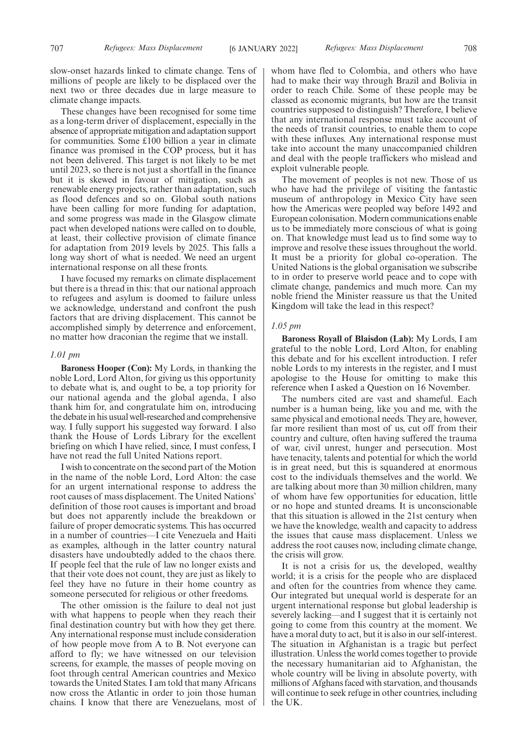These changes have been recognised for some time as a long-term driver of displacement, especially in the absence of appropriate mitigation and adaptation support for communities. Some £100 billion a year in climate finance was promised in the COP process, but it has not been delivered. This target is not likely to be met until 2023, so there is not just a shortfall in the finance but it is skewed in favour of mitigation, such as renewable energy projects, rather than adaptation, such as flood defences and so on. Global south nations have been calling for more funding for adaptation, and some progress was made in the Glasgow climate pact when developed nations were called on to double, at least, their collective provision of climate finance for adaptation from 2019 levels by 2025. This falls a long way short of what is needed. We need an urgent international response on all these fronts.

I have focused my remarks on climate displacement but there is a thread in this: that our national approach to refugees and asylum is doomed to failure unless we acknowledge, understand and confront the push factors that are driving displacement. This cannot be accomplished simply by deterrence and enforcement, no matter how draconian the regime that we install.

## *1.01 pm*

**Baroness Hooper (Con):** My Lords, in thanking the noble Lord, Lord Alton, for giving us this opportunity to debate what is, and ought to be, a top priority for our national agenda and the global agenda, I also thank him for, and congratulate him on, introducing the debate in his usual well-researched and comprehensive way. I fully support his suggested way forward. I also thank the House of Lords Library for the excellent briefing on which I have relied, since, I must confess, I have not read the full United Nations report.

I wish to concentrate on the second part of the Motion in the name of the noble Lord, Lord Alton: the case for an urgent international response to address the root causes of mass displacement. The United Nations' definition of those root causes is important and broad but does not apparently include the breakdown or failure of proper democratic systems. This has occurred in a number of countries—I cite Venezuela and Haiti as examples, although in the latter country natural disasters have undoubtedly added to the chaos there. If people feel that the rule of law no longer exists and that their vote does not count, they are just as likely to feel they have no future in their home country as someone persecuted for religious or other freedoms.

The other omission is the failure to deal not just with what happens to people when they reach their final destination country but with how they get there. Any international response must include consideration of how people move from A to B. Not everyone can afford to fly; we have witnessed on our television screens, for example, the masses of people moving on foot through central American countries and Mexico towards the United States. I am told that many Africans now cross the Atlantic in order to join those human chains. I know that there are Venezuelans, most of whom have fled to Colombia, and others who have had to make their way through Brazil and Bolivia in order to reach Chile. Some of these people may be classed as economic migrants, but how are the transit countries supposed to distinguish? Therefore, I believe that any international response must take account of the needs of transit countries, to enable them to cope with these influxes. Any international response must take into account the many unaccompanied children and deal with the people traffickers who mislead and exploit vulnerable people.

The movement of peoples is not new. Those of us who have had the privilege of visiting the fantastic museum of anthropology in Mexico City have seen how the Americas were peopled way before 1492 and European colonisation. Modern communications enable us to be immediately more conscious of what is going on. That knowledge must lead us to find some way to improve and resolve these issues throughout the world. It must be a priority for global co-operation. The United Nations is the global organisation we subscribe to in order to preserve world peace and to cope with climate change, pandemics and much more. Can my noble friend the Minister reassure us that the United Kingdom will take the lead in this respect?

## *1.05 pm*

**Baroness Royall of Blaisdon (Lab):** My Lords, I am grateful to the noble Lord, Lord Alton, for enabling this debate and for his excellent introduction. I refer noble Lords to my interests in the register, and I must apologise to the House for omitting to make this reference when I asked a Question on 16 November.

The numbers cited are vast and shameful. Each number is a human being, like you and me, with the same physical and emotional needs. They are, however, far more resilient than most of us, cut off from their country and culture, often having suffered the trauma of war, civil unrest, hunger and persecution. Most have tenacity, talents and potential for which the world is in great need, but this is squandered at enormous cost to the individuals themselves and the world. We are talking about more than 30 million children, many of whom have few opportunities for education, little or no hope and stunted dreams. It is unconscionable that this situation is allowed in the 21st century when we have the knowledge, wealth and capacity to address the issues that cause mass displacement. Unless we address the root causes now, including climate change, the crisis will grow.

It is not a crisis for us, the developed, wealthy world; it is a crisis for the people who are displaced and often for the countries from whence they came. Our integrated but unequal world is desperate for an urgent international response but global leadership is severely lacking—and I suggest that it is certainly not going to come from this country at the moment. We have a moral duty to act, but it is also in our self-interest. The situation in Afghanistan is a tragic but perfect illustration. Unless the world comes together to provide the necessary humanitarian aid to Afghanistan, the whole country will be living in absolute poverty, with millions of Afghans faced with starvation, and thousands will continue to seek refuge in other countries, including the UK.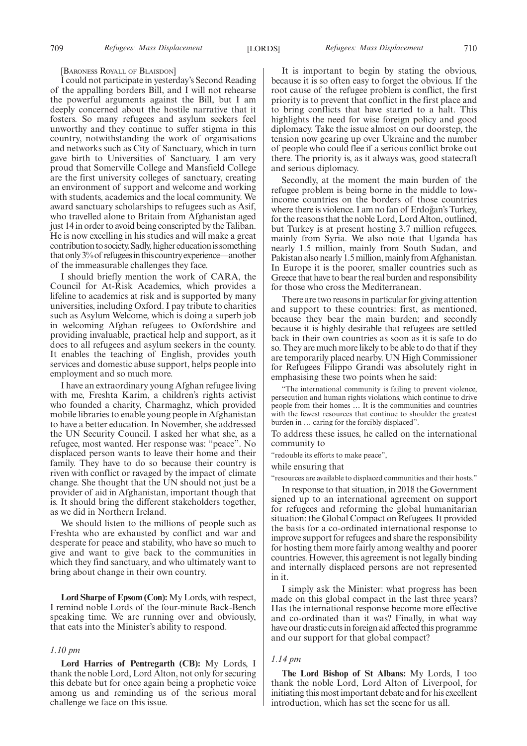#### [BARONESS ROYALL OF BLAISDON]

I could not participate in yesterday's Second Reading of the appalling borders Bill, and I will not rehearse the powerful arguments against the Bill, but I am deeply concerned about the hostile narrative that it fosters. So many refugees and asylum seekers feel unworthy and they continue to suffer stigma in this country, notwithstanding the work of organisations and networks such as City of Sanctuary, which in turn gave birth to Universities of Sanctuary. I am very proud that Somerville College and Mansfield College are the first university colleges of sanctuary, creating an environment of support and welcome and working with students, academics and the local community. We award sanctuary scholarships to refugees such as Asif, who travelled alone to Britain from Afghanistan aged just 14 in order to avoid being conscripted by the Taliban. He is now excelling in his studies and will make a great contribution to society. Sadly, higher education is something that only 3% of refugees in this country experience—another of the immeasurable challenges they face.

I should briefly mention the work of CARA, the Council for At-Risk Academics, which provides a lifeline to academics at risk and is supported by many universities, including Oxford. I pay tribute to charities such as Asylum Welcome, which is doing a superb job in welcoming Afghan refugees to Oxfordshire and providing invaluable, practical help and support, as it does to all refugees and asylum seekers in the county. It enables the teaching of English, provides youth services and domestic abuse support, helps people into employment and so much more.

I have an extraordinary young Afghan refugee living with me, Freshta Karim, a children's rights activist who founded a charity, Charmaghz, which provided mobile libraries to enable young people in Afghanistan to have a better education. In November, she addressed the UN Security Council. I asked her what she, as a refugee, most wanted. Her response was: "peace". No displaced person wants to leave their home and their family. They have to do so because their country is riven with conflict or ravaged by the impact of climate change. She thought that the UN should not just be a provider of aid in Afghanistan, important though that is. It should bring the different stakeholders together, as we did in Northern Ireland.

We should listen to the millions of people such as Freshta who are exhausted by conflict and war and desperate for peace and stability, who have so much to give and want to give back to the communities in which they find sanctuary, and who ultimately want to bring about change in their own country.

**Lord Sharpe of Epsom (Con):** My Lords, with respect, I remind noble Lords of the four-minute Back-Bench speaking time. We are running over and obviously, that eats into the Minister's ability to respond.

## *1.10 pm*

**Lord Harries of Pentregarth (CB):** My Lords, I thank the noble Lord, Lord Alton, not only for securing this debate but for once again being a prophetic voice among us and reminding us of the serious moral challenge we face on this issue.

It is important to begin by stating the obvious, because it is so often easy to forget the obvious. If the root cause of the refugee problem is conflict, the first priority is to prevent that conflict in the first place and to bring conflicts that have started to a halt. This highlights the need for wise foreign policy and good diplomacy. Take the issue almost on our doorstep, the tension now gearing up over Ukraine and the number of people who could flee if a serious conflict broke out there. The priority is, as it always was, good statecraft and serious diplomacy.

Secondly, at the moment the main burden of the refugee problem is being borne in the middle to lowincome countries on the borders of those countries where there is violence. I am no fan of Erdoğan's Turkey, for the reasons that the noble Lord, Lord Alton, outlined, but Turkey is at present hosting 3.7 million refugees, mainly from Syria. We also note that Uganda has nearly 1.5 million, mainly from South Sudan, and Pakistan also nearly 1.5 million, mainly from Afghanistan. In Europe it is the poorer, smaller countries such as Greece that have to bear the real burden and responsibility for those who cross the Mediterranean.

There are two reasons in particular for giving attention and support to these countries: first, as mentioned, because they bear the main burden; and secondly because it is highly desirable that refugees are settled back in their own countries as soon as it is safe to do so. They are much more likely to be able to do that if they are temporarily placed nearby. UN High Commissioner for Refugees Filippo Grandi was absolutely right in emphasising these two points when he said:

"The international community is failing to prevent violence, persecution and human rights violations, which continue to drive people from their homes … It is the communities and countries with the fewest resources that continue to shoulder the greatest burden in … caring for the forcibly displaced".

To address these issues, he called on the international community to

"redouble its efforts to make peace",

while ensuring that

"resources are available to displaced communities and their hosts."

In response to that situation, in 2018 the Government signed up to an international agreement on support for refugees and reforming the global humanitarian situation: the Global Compact on Refugees. It provided the basis for a co-ordinated international response to improve support for refugees and share the responsibility for hosting them more fairly among wealthy and poorer countries. However, this agreement is not legally binding and internally displaced persons are not represented in it.

I simply ask the Minister: what progress has been made on this global compact in the last three years? Has the international response become more effective and co-ordinated than it was? Finally, in what way have our drastic cuts in foreign aid affected this programme and our support for that global compact?

## *1.14 pm*

**The Lord Bishop of St Albans:** My Lords, I too thank the noble Lord, Lord Alton of Liverpool, for initiating this most important debate and for his excellent introduction, which has set the scene for us all.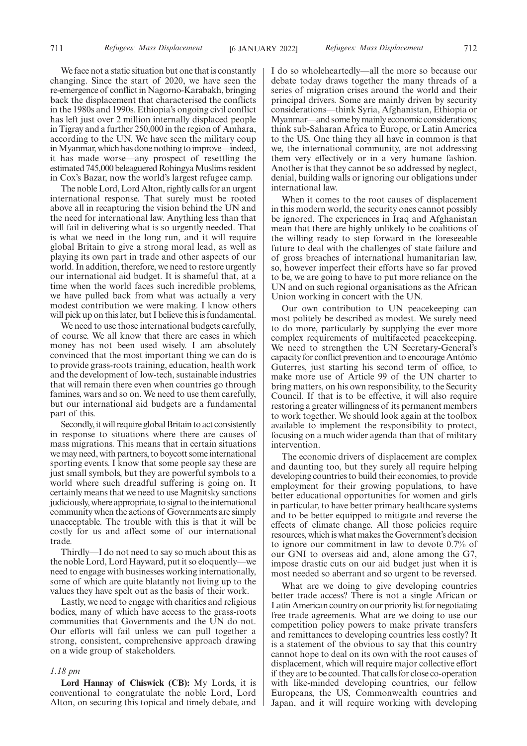We face not a static situation but one that is constantly changing. Since the start of 2020, we have seen the re-emergence of conflict in Nagorno-Karabakh, bringing back the displacement that characterised the conflicts in the 1980s and 1990s. Ethiopia's ongoing civil conflict has left just over 2 million internally displaced people in Tigray and a further 250,000 in the region of Amhara, according to the UN. We have seen the military coup in Myanmar, which has done nothing to improve—indeed, it has made worse—any prospect of resettling the estimated 745,000 beleaguered Rohingya Muslims resident in Cox's Bazar, now the world's largest refugee camp.

The noble Lord, Lord Alton, rightly calls for an urgent international response. That surely must be rooted above all in recapturing the vision behind the UN and the need for international law. Anything less than that will fail in delivering what is so urgently needed. That is what we need in the long run, and it will require global Britain to give a strong moral lead, as well as playing its own part in trade and other aspects of our world. In addition, therefore, we need to restore urgently our international aid budget. It is shameful that, at a time when the world faces such incredible problems, we have pulled back from what was actually a very modest contribution we were making. I know others will pick up on this later, but I believe this is fundamental.

We need to use those international budgets carefully. of course. We all know that there are cases in which money has not been used wisely. I am absolutely convinced that the most important thing we can do is to provide grass-roots training, education, health work and the development of low-tech, sustainable industries that will remain there even when countries go through famines, wars and so on. We need to use them carefully, but our international aid budgets are a fundamental part of this.

Secondly, it will require global Britain to act consistently in response to situations where there are causes of mass migrations. This means that in certain situations we may need, with partners, to boycott some international sporting events. I know that some people say these are just small symbols, but they are powerful symbols to a world where such dreadful suffering is going on. It certainly means that we need to use Magnitsky sanctions judiciously, where appropriate, to signal to the international community when the actions of Governments are simply unacceptable. The trouble with this is that it will be costly for us and affect some of our international trade.

Thirdly—I do not need to say so much about this as the noble Lord, Lord Hayward, put it so eloquently—we need to engage with businesses working internationally, some of which are quite blatantly not living up to the values they have spelt out as the basis of their work.

Lastly, we need to engage with charities and religious bodies, many of which have access to the grass-roots communities that Governments and the UN do not. Our efforts will fail unless we can pull together a strong, consistent, comprehensive approach drawing on a wide group of stakeholders.

#### *1.18 pm*

**Lord Hannay of Chiswick (CB):** My Lords, it is conventional to congratulate the noble Lord, Lord Alton, on securing this topical and timely debate, and I do so wholeheartedly—all the more so because our debate today draws together the many threads of a series of migration crises around the world and their principal drivers. Some are mainly driven by security considerations—think Syria, Afghanistan, Ethiopia or Myanmar—and some by mainly economic considerations; think sub-Saharan Africa to Europe, or Latin America to the US. One thing they all have in common is that we, the international community, are not addressing them very effectively or in a very humane fashion. Another is that they cannot be so addressed by neglect, denial, building walls or ignoring our obligations under international law.

When it comes to the root causes of displacement in this modern world, the security ones cannot possibly be ignored. The experiences in Iraq and Afghanistan mean that there are highly unlikely to be coalitions of the willing ready to step forward in the foreseeable future to deal with the challenges of state failure and of gross breaches of international humanitarian law, so, however imperfect their efforts have so far proved to be, we are going to have to put more reliance on the UN and on such regional organisations as the African Union working in concert with the UN.

Our own contribution to UN peacekeeping can most politely be described as modest. We surely need to do more, particularly by supplying the ever more complex requirements of multifaceted peacekeeping. We need to strengthen the UN Secretary-General's capacity for conflict prevention and to encourage António Guterres, just starting his second term of office, to make more use of Article 99 of the UN charter to bring matters, on his own responsibility, to the Security Council. If that is to be effective, it will also require restoring a greater willingness of its permanent members to work together. We should look again at the toolbox available to implement the responsibility to protect, focusing on a much wider agenda than that of military intervention.

The economic drivers of displacement are complex and daunting too, but they surely all require helping developing countries to build their economies, to provide employment for their growing populations, to have better educational opportunities for women and girls in particular, to have better primary healthcare systems and to be better equipped to mitigate and reverse the effects of climate change. All those policies require resources, which is what makes the Government's decision to ignore our commitment in law to devote 0.7% of our GNI to overseas aid and, alone among the G7, impose drastic cuts on our aid budget just when it is most needed so aberrant and so urgent to be reversed.

What are we doing to give developing countries better trade access? There is not a single African or Latin American country on our priority list for negotiating free trade agreements. What are we doing to use our competition policy powers to make private transfers and remittances to developing countries less costly? It is a statement of the obvious to say that this country cannot hope to deal on its own with the root causes of displacement, which will require major collective effort if they are to be counted. That calls for close co-operation with like-minded developing countries, our fellow Europeans, the US, Commonwealth countries and Japan, and it will require working with developing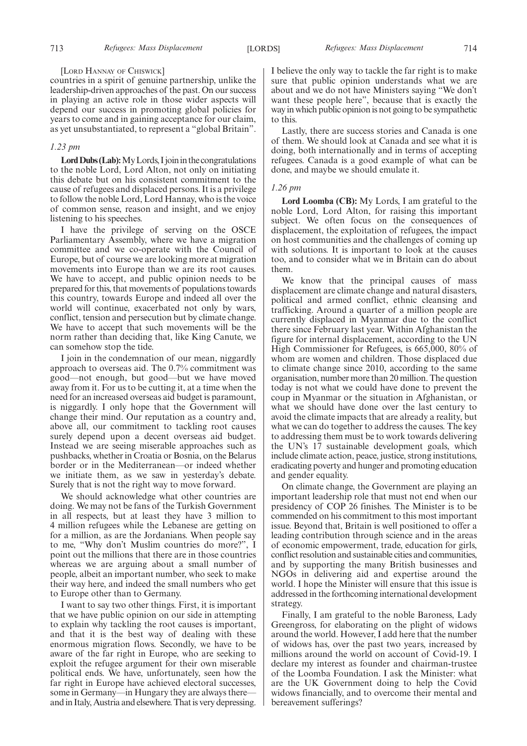#### [LORD HANNAY OF CHISWICK]

countries in a spirit of genuine partnership, unlike the leadership-driven approaches of the past. On our success in playing an active role in those wider aspects will depend our success in promoting global policies for years to come and in gaining acceptance for our claim, as yet unsubstantiated, to represent a "global Britain".

## *1.23 pm*

Lord Dubs (Lab): My Lords, I join in the congratulations to the noble Lord, Lord Alton, not only on initiating this debate but on his consistent commitment to the cause of refugees and displaced persons. It is a privilege to follow the noble Lord, Lord Hannay, who is the voice of common sense, reason and insight, and we enjoy listening to his speeches.

I have the privilege of serving on the OSCE Parliamentary Assembly, where we have a migration committee and we co-operate with the Council of Europe, but of course we are looking more at migration movements into Europe than we are its root causes. We have to accept, and public opinion needs to be prepared for this, that movements of populations towards this country, towards Europe and indeed all over the world will continue, exacerbated not only by wars, conflict, tension and persecution but by climate change. We have to accept that such movements will be the norm rather than deciding that, like King Canute, we can somehow stop the tide.

I join in the condemnation of our mean, niggardly approach to overseas aid. The 0.7% commitment was good—not enough, but good—but we have moved away from it. For us to be cutting it, at a time when the need for an increased overseas aid budget is paramount, is niggardly. I only hope that the Government will change their mind. Our reputation as a country and, above all, our commitment to tackling root causes surely depend upon a decent overseas aid budget. Instead we are seeing miserable approaches such as pushbacks, whether in Croatia or Bosnia, on the Belarus border or in the Mediterranean—or indeed whether we initiate them, as we saw in yesterday's debate. Surely that is not the right way to move forward.

We should acknowledge what other countries are doing. We may not be fans of the Turkish Government in all respects, but at least they have 3 million to 4 million refugees while the Lebanese are getting on for a million, as are the Jordanians. When people say to me, "Why don't Muslim countries do more?", I point out the millions that there are in those countries whereas we are arguing about a small number of people, albeit an important number, who seek to make their way here, and indeed the small numbers who get to Europe other than to Germany.

I want to say two other things. First, it is important that we have public opinion on our side in attempting to explain why tackling the root causes is important, and that it is the best way of dealing with these enormous migration flows. Secondly, we have to be aware of the far right in Europe, who are seeking to exploit the refugee argument for their own miserable political ends. We have, unfortunately, seen how the far right in Europe have achieved electoral successes, some in Germany—in Hungary they are always there and in Italy, Austria and elsewhere. That is very depressing. I believe the only way to tackle the far right is to make sure that public opinion understands what we are about and we do not have Ministers saying "We don't want these people here", because that is exactly the way in which public opinion is not going to be sympathetic to this.

Lastly, there are success stories and Canada is one of them. We should look at Canada and see what it is doing, both internationally and in terms of accepting refugees. Canada is a good example of what can be done, and maybe we should emulate it.

## *1.26 pm*

**Lord Loomba (CB):** My Lords, I am grateful to the noble Lord, Lord Alton, for raising this important subject. We often focus on the consequences of displacement, the exploitation of refugees, the impact on host communities and the challenges of coming up with solutions. It is important to look at the causes too, and to consider what we in Britain can do about them.

We know that the principal causes of mass displacement are climate change and natural disasters, political and armed conflict, ethnic cleansing and trafficking. Around a quarter of a million people are currently displaced in Myanmar due to the conflict there since February last year. Within Afghanistan the figure for internal displacement, according to the UN High Commissioner for Refugees, is 665,000, 80% of whom are women and children. Those displaced due to climate change since 2010, according to the same organisation, number more than 20 million. The question today is not what we could have done to prevent the coup in Myanmar or the situation in Afghanistan, or what we should have done over the last century to avoid the climate impacts that are already a reality, but what we can do together to address the causes. The key to addressing them must be to work towards delivering the UN's 17 sustainable development goals, which include climate action, peace, justice, strong institutions, eradicating poverty and hunger and promoting education and gender equality.

On climate change, the Government are playing an important leadership role that must not end when our presidency of COP 26 finishes. The Minister is to be commended on his commitment to this most important issue. Beyond that, Britain is well positioned to offer a leading contribution through science and in the areas of economic empowerment, trade, education for girls, conflict resolution and sustainable cities and communities, and by supporting the many British businesses and NGOs in delivering aid and expertise around the world. I hope the Minister will ensure that this issue is addressed in the forthcoming international development strategy.

Finally, I am grateful to the noble Baroness, Lady Greengross, for elaborating on the plight of widows around the world. However, I add here that the number of widows has, over the past two years, increased by millions around the world on account of Covid-19. I declare my interest as founder and chairman-trustee of the Loomba Foundation. I ask the Minister: what are the UK Government doing to help the Covid widows financially, and to overcome their mental and bereavement sufferings?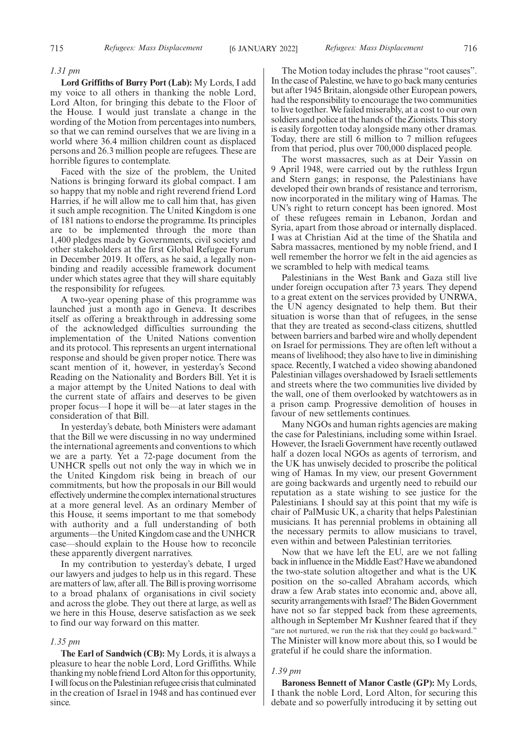## *1.31 pm*

**Lord Griffiths of Burry Port (Lab):** My Lords, I add my voice to all others in thanking the noble Lord, Lord Alton, for bringing this debate to the Floor of the House. I would just translate a change in the wording of the Motion from percentages into numbers, so that we can remind ourselves that we are living in a world where 36.4 million children count as displaced persons and 26.3 million people are refugees. These are horrible figures to contemplate.

Faced with the size of the problem, the United Nations is bringing forward its global compact. I am so happy that my noble and right reverend friend Lord Harries, if he will allow me to call him that, has given it such ample recognition. The United Kingdom is one of 181 nations to endorse the programme. Its principles are to be implemented through the more than 1,400 pledges made by Governments, civil society and other stakeholders at the first Global Refugee Forum in December 2019. It offers, as he said, a legally nonbinding and readily accessible framework document under which states agree that they will share equitably the responsibility for refugees.

A two-year opening phase of this programme was launched just a month ago in Geneva. It describes itself as offering a breakthrough in addressing some of the acknowledged difficulties surrounding the implementation of the United Nations convention and its protocol. This represents an urgent international response and should be given proper notice. There was scant mention of it, however, in yesterday's Second Reading on the Nationality and Borders Bill. Yet it is a major attempt by the United Nations to deal with the current state of affairs and deserves to be given proper focus—I hope it will be—at later stages in the consideration of that Bill.

In yesterday's debate, both Ministers were adamant that the Bill we were discussing in no way undermined the international agreements and conventions to which we are a party. Yet a 72-page document from the UNHCR spells out not only the way in which we in the United Kingdom risk being in breach of our commitments, but how the proposals in our Bill would effectively undermine the complex international structures at a more general level. As an ordinary Member of this House, it seems important to me that somebody with authority and a full understanding of both arguments—the United Kingdom case and the UNHCR case—should explain to the House how to reconcile these apparently divergent narratives.

In my contribution to yesterday's debate, I urged our lawyers and judges to help us in this regard. These are matters of law, after all. The Bill is proving worrisome to a broad phalanx of organisations in civil society and across the globe. They out there at large, as well as we here in this House, deserve satisfaction as we seek to find our way forward on this matter.

## *1.35 pm*

**The Earl of Sandwich (CB):** My Lords, it is always a pleasure to hear the noble Lord, Lord Griffiths. While thanking my noble friend Lord Alton for this opportunity, I will focus on the Palestinian refugee crisis that culminated in the creation of Israel in 1948 and has continued ever since.

The Motion today includes the phrase "root causes". In the case of Palestine, we have to go back many centuries but after 1945 Britain, alongside other European powers, had the responsibility to encourage the two communities to live together. We failed miserably, at a cost to our own soldiers and police at the hands of the Zionists. This story is easily forgotten today alongside many other dramas. Today, there are still 6 million to 7 million refugees from that period, plus over 700,000 displaced people.

The worst massacres, such as at Deir Yassin on 9 April 1948, were carried out by the ruthless Irgun and Stern gangs; in response, the Palestinians have developed their own brands of resistance and terrorism, now incorporated in the military wing of Hamas. The UN's right to return concept has been ignored. Most of these refugees remain in Lebanon, Jordan and Syria, apart from those abroad or internally displaced. I was at Christian Aid at the time of the Shatila and Sabra massacres, mentioned by my noble friend, and I well remember the horror we felt in the aid agencies as we scrambled to help with medical teams.

Palestinians in the West Bank and Gaza still live under foreign occupation after 73 years. They depend to a great extent on the services provided by UNRWA, the UN agency designated to help them. But their situation is worse than that of refugees, in the sense that they are treated as second-class citizens, shuttled between barriers and barbed wire and wholly dependent on Israel for permissions. They are often left without a means of livelihood; they also have to live in diminishing space. Recently, I watched a video showing abandoned Palestinian villages overshadowed by Israeli settlements and streets where the two communities live divided by the wall, one of them overlooked by watchtowers as in a prison camp. Progressive demolition of houses in favour of new settlements continues.

Many NGOs and human rights agencies are making the case for Palestinians, including some within Israel. However, the Israeli Government have recently outlawed half a dozen local NGOs as agents of terrorism, and the UK has unwisely decided to proscribe the political wing of Hamas. In my view, our present Government are going backwards and urgently need to rebuild our reputation as a state wishing to see justice for the Palestinians. I should say at this point that my wife is chair of PalMusic UK, a charity that helps Palestinian musicians. It has perennial problems in obtaining all the necessary permits to allow musicians to travel, even within and between Palestinian territories.

Now that we have left the EU, are we not falling back in influence in the Middle East? Have we abandoned the two-state solution altogether and what is the UK position on the so-called Abraham accords, which draw a few Arab states into economic and, above all, security arrangements with Israel? The Biden Government have not so far stepped back from these agreements, although in September Mr Kushner feared that if they "are not nurtured, we run the risk that they could go backward." The Minister will know more about this, so I would be grateful if he could share the information.

## *1.39 pm*

**Baroness Bennett of Manor Castle (GP):** My Lords, I thank the noble Lord, Lord Alton, for securing this debate and so powerfully introducing it by setting out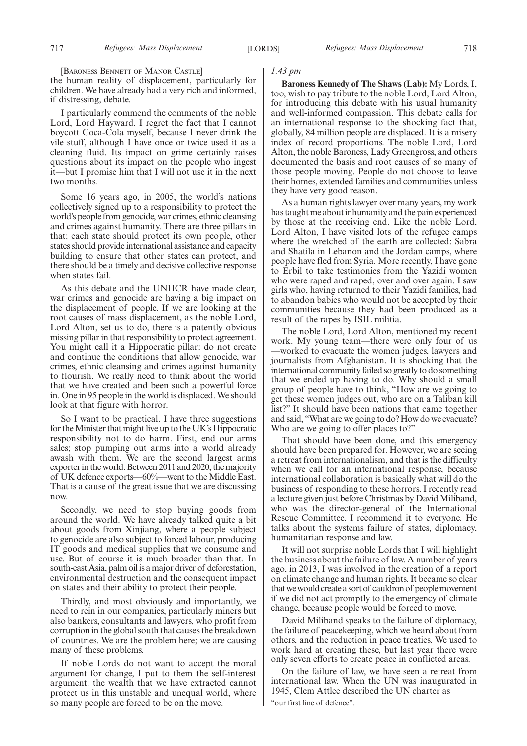[BARONESS BENNETT OF MANOR CASTLE]

the human reality of displacement, particularly for children. We have already had a very rich and informed, if distressing, debate.

I particularly commend the comments of the noble Lord, Lord Hayward. I regret the fact that I cannot boycott Coca-Cola myself, because I never drink the vile stuff, although I have once or twice used it as a cleaning fluid. Its impact on grime certainly raises questions about its impact on the people who ingest it—but I promise him that I will not use it in the next two months.

Some 16 years ago, in 2005, the world's nations collectively signed up to a responsibility to protect the world's people from genocide, war crimes, ethnic cleansing and crimes against humanity. There are three pillars in that: each state should protect its own people, other states should provide international assistance and capacity building to ensure that other states can protect, and there should be a timely and decisive collective response when states fail.

As this debate and the UNHCR have made clear, war crimes and genocide are having a big impact on the displacement of people. If we are looking at the root causes of mass displacement, as the noble Lord, Lord Alton, set us to do, there is a patently obvious missing pillar in that responsibility to protect agreement. You might call it a Hippocratic pillar: do not create and continue the conditions that allow genocide, war crimes, ethnic cleansing and crimes against humanity to flourish. We really need to think about the world that we have created and been such a powerful force in. One in 95 people in the world is displaced. We should look at that figure with horror.

So I want to be practical. I have three suggestions for the Minister that might live up to the UK's Hippocratic responsibility not to do harm. First, end our arms sales; stop pumping out arms into a world already awash with them. We are the second largest arms exporter in the world. Between 2011 and 2020, the majority of UK defence exports—60%—went to the Middle East. That is a cause of the great issue that we are discussing now.

Secondly, we need to stop buying goods from around the world. We have already talked quite a bit about goods from Xinjiang, where a people subject to genocide are also subject to forced labour, producing IT goods and medical supplies that we consume and use. But of course it is much broader than that. In south-east Asia, palm oil is a major driver of deforestation, environmental destruction and the consequent impact on states and their ability to protect their people.

Thirdly, and most obviously and importantly, we need to rein in our companies, particularly miners but also bankers, consultants and lawyers, who profit from corruption in the global south that causes the breakdown of countries. We are the problem here; we are causing many of these problems.

If noble Lords do not want to accept the moral argument for change, I put to them the self-interest argument: the wealth that we have extracted cannot protect us in this unstable and unequal world, where so many people are forced to be on the move.

## *1.43 pm*

**Baroness Kennedy of The Shaws (Lab):** My Lords, I, too, wish to pay tribute to the noble Lord, Lord Alton, for introducing this debate with his usual humanity and well-informed compassion. This debate calls for an international response to the shocking fact that, globally, 84 million people are displaced. It is a misery index of record proportions. The noble Lord, Lord Alton, the noble Baroness, Lady Greengross, and others documented the basis and root causes of so many of those people moving. People do not choose to leave their homes, extended families and communities unless they have very good reason.

As a human rights lawyer over many years, my work has taught me about inhumanity and the pain experienced by those at the receiving end. Like the noble Lord, Lord Alton, I have visited lots of the refugee camps where the wretched of the earth are collected: Sabra and Shatila in Lebanon and the Jordan camps, where people have fled from Syria. More recently, I have gone to Erbil to take testimonies from the Yazidi women who were raped and raped, over and over again. I saw girls who, having returned to their Yazidi families, had to abandon babies who would not be accepted by their communities because they had been produced as a result of the rapes by ISIL militia.

The noble Lord, Lord Alton, mentioned my recent work. My young team—there were only four of us —worked to evacuate the women judges, lawyers and journalists from Afghanistan. It is shocking that the international community failed so greatly to do something that we ended up having to do. Why should a small group of people have to think, "How are we going to get these women judges out, who are on a Taliban kill list?" It should have been nations that came together and said, "What are we going to do? How do we evacuate? Who are we going to offer places to?"

That should have been done, and this emergency should have been prepared for. However, we are seeing a retreat from internationalism, and that is the difficulty when we call for an international response, because international collaboration is basically what will do the business of responding to these horrors. I recently read a lecture given just before Christmas by David Miliband, who was the director-general of the International Rescue Committee. I recommend it to everyone. He talks about the systems failure of states, diplomacy, humanitarian response and law.

It will not surprise noble Lords that I will highlight the business about the failure of law. A number of years ago, in 2013, I was involved in the creation of a report on climate change and human rights. It became so clear that we would create a sort of cauldron of people movement if we did not act promptly to the emergency of climate change, because people would be forced to move.

David Miliband speaks to the failure of diplomacy, the failure of peacekeeping, which we heard about from others, and the reduction in peace treaties. We used to work hard at creating these, but last year there were only seven efforts to create peace in conflicted areas.

On the failure of law, we have seen a retreat from international law. When the UN was inaugurated in 1945, Clem Attlee described the UN charter as "our first line of defence".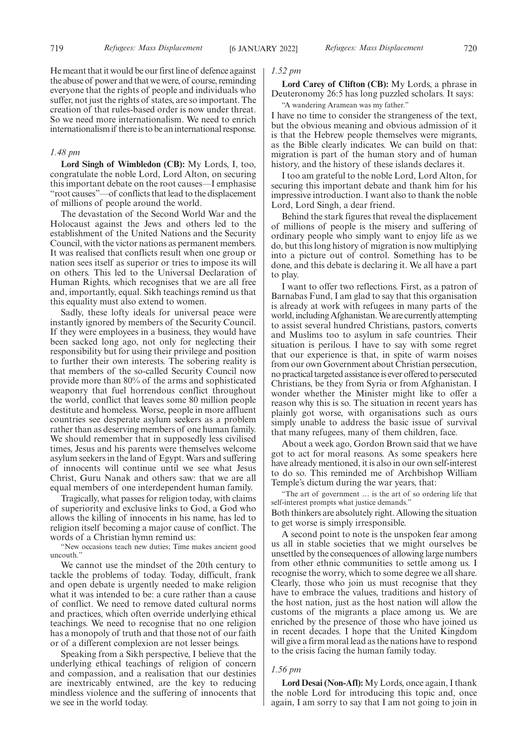He meant that it would be our first line of defence against the abuse of power and that we were, of course, reminding everyone that the rights of people and individuals who suffer, not just the rights of states, are so important. The creation of that rules-based order is now under threat. So we need more internationalism. We need to enrich internationalism if there is to be an international response.

## *1.48 pm*

**Lord Singh of Wimbledon (CB):** My Lords, I, too, congratulate the noble Lord, Lord Alton, on securing this important debate on the root causes—I emphasise "root causes"—of conflicts that lead to the displacement of millions of people around the world.

The devastation of the Second World War and the Holocaust against the Jews and others led to the establishment of the United Nations and the Security Council, with the victor nations as permanent members. It was realised that conflicts result when one group or nation sees itself as superior or tries to impose its will on others. This led to the Universal Declaration of Human Rights, which recognises that we are all free and, importantly, equal. Sikh teachings remind us that this equality must also extend to women.

Sadly, these lofty ideals for universal peace were instantly ignored by members of the Security Council. If they were employees in a business, they would have been sacked long ago, not only for neglecting their responsibility but for using their privilege and position to further their own interests. The sobering reality is that members of the so-called Security Council now provide more than 80% of the arms and sophisticated weaponry that fuel horrendous conflict throughout the world, conflict that leaves some 80 million people destitute and homeless. Worse, people in more affluent countries see desperate asylum seekers as a problem rather than as deserving members of one human family. We should remember that in supposedly less civilised times, Jesus and his parents were themselves welcome asylum seekers in the land of Egypt. Wars and suffering of innocents will continue until we see what Jesus Christ, Guru Nanak and others saw: that we are all equal members of one interdependent human family.

Tragically, what passes for religion today, with claims of superiority and exclusive links to God, a God who allows the killing of innocents in his name, has led to religion itself becoming a major cause of conflict. The words of a Christian hymn remind us:

"New occasions teach new duties; Time makes ancient good uncouth."

We cannot use the mindset of the 20th century to tackle the problems of today. Today, difficult, frank and open debate is urgently needed to make religion what it was intended to be: a cure rather than a cause of conflict. We need to remove dated cultural norms and practices, which often override underlying ethical teachings. We need to recognise that no one religion has a monopoly of truth and that those not of our faith or of a different complexion are not lesser beings.

Speaking from a Sikh perspective, I believe that the underlying ethical teachings of religion of concern and compassion, and a realisation that our destinies are inextricably entwined, are the key to reducing mindless violence and the suffering of innocents that we see in the world today.

## *1.52 pm*

**Lord Carey of Clifton (CB):** My Lords, a phrase in Deuteronomy 26:5 has long puzzled scholars. It says:

"A wandering Aramean was my father."

I have no time to consider the strangeness of the text, but the obvious meaning and obvious admission of it is that the Hebrew people themselves were migrants, as the Bible clearly indicates. We can build on that: migration is part of the human story and of human history, and the history of these islands declares it.

I too am grateful to the noble Lord, Lord Alton, for securing this important debate and thank him for his impressive introduction. I want also to thank the noble Lord, Lord Singh, a dear friend.

Behind the stark figures that reveal the displacement of millions of people is the misery and suffering of ordinary people who simply want to enjoy life as we do, but this long history of migration is now multiplying into a picture out of control. Something has to be done, and this debate is declaring it. We all have a part to play.

I want to offer two reflections. First, as a patron of Barnabas Fund, I am glad to say that this organisation is already at work with refugees in many parts of the world, including Afghanistan. We are currently attempting to assist several hundred Christians, pastors, converts and Muslims too to asylum in safe countries. Their situation is perilous. I have to say with some regret that our experience is that, in spite of warm noises from our own Government about Christian persecution, no practical targeted assistance is ever offered to persecuted Christians, be they from Syria or from Afghanistan. I wonder whether the Minister might like to offer a reason why this is so. The situation in recent years has plainly got worse, with organisations such as ours simply unable to address the basic issue of survival that many refugees, many of them children, face.

About a week ago, Gordon Brown said that we have got to act for moral reasons. As some speakers here have already mentioned, it is also in our own self-interest to do so. This reminded me of Archbishop William Temple's dictum during the war years, that:

"The art of government … is the art of so ordering life that self-interest prompts what justice demands." Both thinkers are absolutely right. Allowing the situation to get worse is simply irresponsible.

A second point to note is the unspoken fear among us all in stable societies that we might ourselves be unsettled by the consequences of allowing large numbers from other ethnic communities to settle among us. I recognise the worry, which to some degree we all share. Clearly, those who join us must recognise that they have to embrace the values, traditions and history of the host nation, just as the host nation will allow the customs of the migrants a place among us. We are enriched by the presence of those who have joined us in recent decades. I hope that the United Kingdom will give a firm moral lead as the nations have to respond to the crisis facing the human family today.

#### *1.56 pm*

**Lord Desai (Non-Afl):** My Lords, once again, I thank the noble Lord for introducing this topic and, once again, I am sorry to say that I am not going to join in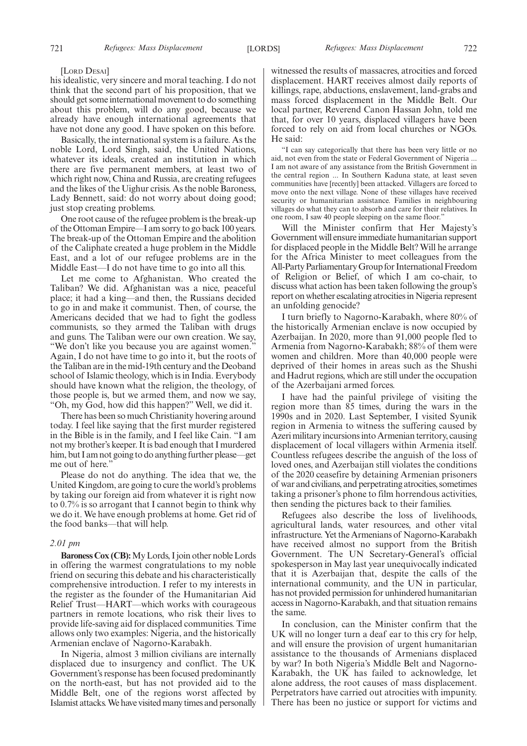[LORD DESAI]

his idealistic, very sincere and moral teaching. I do not think that the second part of his proposition, that we should get some international movement to do something about this problem, will do any good, because we already have enough international agreements that have not done any good. I have spoken on this before.

Basically, the international system is a failure. As the noble Lord, Lord Singh, said, the United Nations, whatever its ideals, created an institution in which there are five permanent members, at least two of which right now, China and Russia, are creating refugees and the likes of the Uighur crisis. As the noble Baroness, Lady Bennett, said: do not worry about doing good; just stop creating problems.

One root cause of the refugee problem is the break-up of the Ottoman Empire—I am sorry to go back 100 years. The break-up of the Ottoman Empire and the abolition of the Caliphate created a huge problem in the Middle East, and a lot of our refugee problems are in the Middle East—I do not have time to go into all this.

Let me come to Afghanistan. Who created the Taliban? We did. Afghanistan was a nice, peaceful place; it had a king—and then, the Russians decided to go in and make it communist. Then, of course, the Americans decided that we had to fight the godless communists, so they armed the Taliban with drugs and guns. The Taliban were our own creation. We say, "We don't like you because you are against women." Again, I do not have time to go into it, but the roots of the Taliban are in the mid-19th century and the Deoband school of Islamic theology, which is in India. Everybody should have known what the religion, the theology, of those people is, but we armed them, and now we say, "Oh, my God, how did this happen?" Well, we did it.

There has been so much Christianity hovering around today. I feel like saying that the first murder registered in the Bible is in the family, and I feel like Cain. "I am not my brother's keeper. It is bad enough that I murdered him, but I am not going to do anything further please—get me out of here.'

Please do not do anything. The idea that we, the United Kingdom, are going to cure the world's problems by taking our foreign aid from whatever it is right now to 0.7% is so arrogant that I cannot begin to think why we do it. We have enough problems at home. Get rid of the food banks—that will help.

## *2.01 pm*

**Baroness Cox (CB):**My Lords, I join other noble Lords in offering the warmest congratulations to my noble friend on securing this debate and his characteristically comprehensive introduction. I refer to my interests in the register as the founder of the Humanitarian Aid Relief Trust—HART—which works with courageous partners in remote locations, who risk their lives to provide life-saving aid for displaced communities. Time allows only two examples: Nigeria, and the historically Armenian enclave of Nagorno-Karabakh.

In Nigeria, almost 3 million civilians are internally displaced due to insurgency and conflict. The UK Government's response has been focused predominantly on the north-east, but has not provided aid to the Middle Belt, one of the regions worst affected by Islamist attacks. We have visited many times and personally witnessed the results of massacres, atrocities and forced displacement. HART receives almost daily reports of killings, rape, abductions, enslavement, land-grabs and mass forced displacement in the Middle Belt. Our local partner, Reverend Canon Hassan John, told me that, for over 10 years, displaced villagers have been forced to rely on aid from local churches or NGOs. He said:

"I can say categorically that there has been very little or no aid, not even from the state or Federal Government of Nigeria ... I am not aware of any assistance from the British Government in the central region ... In Southern Kaduna state, at least seven communities have [recently] been attacked. Villagers are forced to move onto the next village. None of these villages have received security or humanitarian assistance. Families in neighbouring villages do what they can to absorb and care for their relatives. In one room, I saw 40 people sleeping on the same floor."

Will the Minister confirm that Her Majesty's Government will ensure immediate humanitarian support for displaced people in the Middle Belt? Will he arrange for the Africa Minister to meet colleagues from the All-Party Parliamentary Group for International Freedom of Religion or Belief, of which I am co-chair, to discuss what action has been taken following the group's report on whether escalating atrocities in Nigeria represent an unfolding genocide?

I turn briefly to Nagorno-Karabakh, where 80% of the historically Armenian enclave is now occupied by Azerbaijan. In 2020, more than 91,000 people fled to Armenia from Nagorno-Karabakh; 88% of them were women and children. More than 40,000 people were deprived of their homes in areas such as the Shushi and Hadrut regions, which are still under the occupation of the Azerbaijani armed forces.

I have had the painful privilege of visiting the region more than 85 times, during the wars in the 1990s and in 2020. Last September, I visited Syunik region in Armenia to witness the suffering caused by Azeri military incursions into Armenian territory, causing displacement of local villagers within Armenia itself. Countless refugees describe the anguish of the loss of loved ones, and Azerbaijan still violates the conditions of the 2020 ceasefire by detaining Armenian prisoners of war and civilians, and perpetrating atrocities, sometimes taking a prisoner's phone to film horrendous activities, then sending the pictures back to their families.

Refugees also describe the loss of livelihoods, agricultural lands, water resources, and other vital infrastructure. Yet the Armenians of Nagorno-Karabakh have received almost no support from the British Government. The UN Secretary-General's official spokesperson in May last year unequivocally indicated that it is Azerbaijan that, despite the calls of the international community, and the UN in particular, has not provided permission for unhindered humanitarian access in Nagorno-Karabakh, and that situation remains the same.

In conclusion, can the Minister confirm that the UK will no longer turn a deaf ear to this cry for help, and will ensure the provision of urgent humanitarian assistance to the thousands of Armenians displaced by war? In both Nigeria's Middle Belt and Nagorno-Karabakh, the UK has failed to acknowledge, let alone address, the root causes of mass displacement. Perpetrators have carried out atrocities with impunity. There has been no justice or support for victims and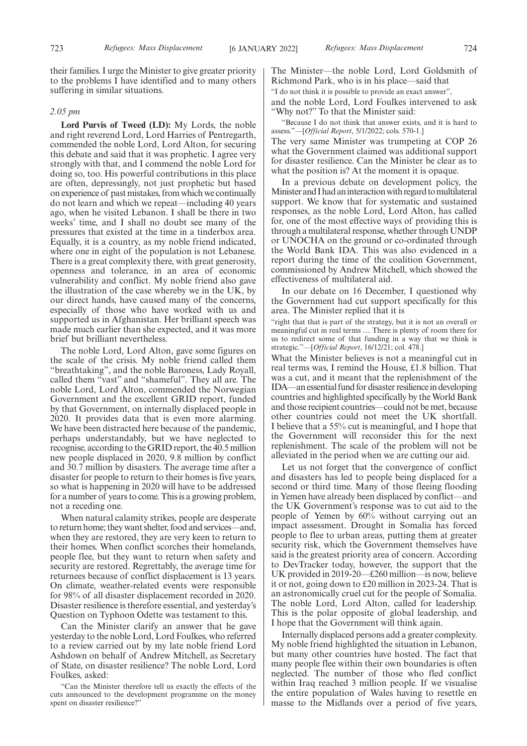their families. I urge the Minister to give greater priority to the problems I have identified and to many others suffering in similar situations.

## *2.05 pm*

**Lord Purvis of Tweed (LD):** My Lords, the noble and right reverend Lord, Lord Harries of Pentregarth, commended the noble Lord, Lord Alton, for securing this debate and said that it was prophetic. I agree very strongly with that, and I commend the noble Lord for doing so, too. His powerful contributions in this place are often, depressingly, not just prophetic but based on experience of past mistakes, from which we continually do not learn and which we repeat—including 40 years ago, when he visited Lebanon. I shall be there in two weeks' time, and I shall no doubt see many of the pressures that existed at the time in a tinderbox area. Equally, it is a country, as my noble friend indicated, where one in eight of the population is not Lebanese. There is a great complexity there, with great generosity, openness and tolerance, in an area of economic vulnerability and conflict. My noble friend also gave the illustration of the case whereby we in the UK, by our direct hands, have caused many of the concerns, especially of those who have worked with us and supported us in Afghanistan. Her brilliant speech was made much earlier than she expected, and it was more brief but brilliant nevertheless.

The noble Lord, Lord Alton, gave some figures on the scale of the crisis. My noble friend called them "breathtaking", and the noble Baroness, Lady Royall, called them "vast" and "shameful". They all are. The noble Lord, Lord Alton, commended the Norwegian Government and the excellent GRID report, funded by that Government, on internally displaced people in 2020. It provides data that is even more alarming. We have been distracted here because of the pandemic, perhaps understandably, but we have neglected to recognise, according to the GRID report, the 40.5 million new people displaced in 2020, 9.8 million by conflict and 30.7 million by disasters. The average time after a disaster for people to return to their homes is five years, so what is happening in 2020 will have to be addressed for a number of years to come. This is a growing problem, not a receding one.

When natural calamity strikes, people are desperate to return home; they want shelter, food and services—and, when they are restored, they are very keen to return to their homes. When conflict scorches their homelands, people flee, but they want to return when safety and security are restored. Regrettably, the average time for returnees because of conflict displacement is 13 years. On climate, weather-related events were responsible for 98% of all disaster displacement recorded in 2020. Disaster resilience is therefore essential, and yesterday's Question on Typhoon Odette was testament to this.

Can the Minister clarify an answer that he gave yesterday to the noble Lord, Lord Foulkes, who referred to a review carried out by my late noble friend Lord Ashdown on behalf of Andrew Mitchell, as Secretary of State, on disaster resilience? The noble Lord, Lord Foulkes, asked:

"Can the Minister therefore tell us exactly the effects of the cuts announced to the development programme on the money spent on disaster resilience?"

The Minister—the noble Lord, Lord Goldsmith of Richmond Park, who is in his place—said that "I do not think it is possible to provide an exact answer", and the noble Lord, Lord Foulkes intervened to ask "Why not?" To that the Minister said:

"Because I do not think that answer exists, and it is hard to assess."—[*Official Report*, 5/1/2022; cols. 570-1.]

The very same Minister was trumpeting at COP 26 what the Government claimed was additional support for disaster resilience. Can the Minister be clear as to what the position is? At the moment it is opaque.

In a previous debate on development policy, the Minister and I had an interaction with regard to multilateral support. We know that for systematic and sustained responses, as the noble Lord, Lord Alton, has called for, one of the most effective ways of providing this is through a multilateral response, whether through UNDP or UNOCHA on the ground or co-ordinated through the World Bank IDA. This was also evidenced in a report during the time of the coalition Government, commissioned by Andrew Mitchell, which showed the effectiveness of multilateral aid.

In our debate on 16 December, I questioned why the Government had cut support specifically for this area. The Minister replied that it is

"right that that is part of the strategy, but it is not an overall or meaningful cut in real terms … There is plenty of room there for us to redirect some of that funding in a way that we think is strategic."—[*Official Report*, 16/12/21; col. 478.]

What the Minister believes is not a meaningful cut in real terms was, I remind the House, £1.8 billion. That was a cut, and it meant that the replenishment of the IDA—an essential fund for disaster resilience in developing countries and highlighted specifically by the World Bank and those recipient countries—could not be met, because other countries could not meet the UK shortfall. I believe that a 55% cut is meaningful, and I hope that the Government will reconsider this for the next replenishment. The scale of the problem will not be alleviated in the period when we are cutting our aid.

Let us not forget that the convergence of conflict and disasters has led to people being displaced for a second or third time. Many of those fleeing flooding in Yemen have already been displaced by conflict—and the UK Government's response was to cut aid to the people of Yemen by 60% without carrying out an impact assessment. Drought in Somalia has forced people to flee to urban areas, putting them at greater security risk, which the Government themselves have said is the greatest priority area of concern. According to DevTracker today, however, the support that the UK provided in 2019-20—£260 million—is now, believe it or not, going down to £20 million in 2023-24. That is an astronomically cruel cut for the people of Somalia. The noble Lord, Lord Alton, called for leadership. This is the polar opposite of global leadership, and I hope that the Government will think again.

Internally displaced persons add a greater complexity. My noble friend highlighted the situation in Lebanon, but many other countries have hosted. The fact that many people flee within their own boundaries is often neglected. The number of those who fled conflict within Iraq reached 3 million people. If we visualise the entire population of Wales having to resettle en masse to the Midlands over a period of five years,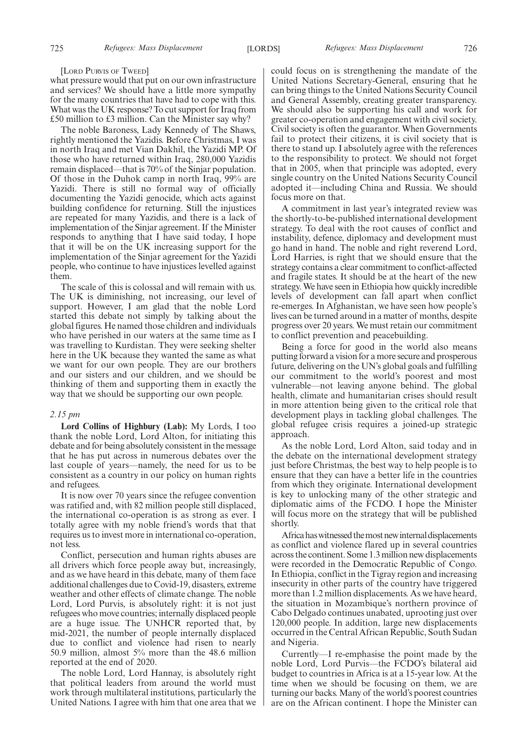#### [LORD PURVIS OF TWEED]

what pressure would that put on our own infrastructure and services? We should have a little more sympathy for the many countries that have had to cope with this. What was the UK response? To cut support for Iraq from £50 million to £3 million. Can the Minister say why?

The noble Baroness, Lady Kennedy of The Shaws, rightly mentioned the Yazidis. Before Christmas, I was in north Iraq and met Vian Dakhil, the Yazidi MP. Of those who have returned within Iraq, 280,000 Yazidis remain displaced—that is 70% of the Sinjar population. Of those in the Duhok camp in north Iraq, 99% are Yazidi. There is still no formal way of officially documenting the Yazidi genocide, which acts against building confidence for returning. Still the injustices are repeated for many Yazidis, and there is a lack of implementation of the Sinjar agreement. If the Minister responds to anything that I have said today, I hope that it will be on the UK increasing support for the implementation of the Sinjar agreement for the Yazidi people, who continue to have injustices levelled against them.

The scale of this is colossal and will remain with us. The UK is diminishing, not increasing, our level of support. However, I am glad that the noble Lord started this debate not simply by talking about the global figures. He named those children and individuals who have perished in our waters at the same time as I was travelling to Kurdistan. They were seeking shelter here in the UK because they wanted the same as what we want for our own people. They are our brothers and our sisters and our children, and we should be thinking of them and supporting them in exactly the way that we should be supporting our own people.

## *2.15 pm*

**Lord Collins of Highbury (Lab):** My Lords, I too thank the noble Lord, Lord Alton, for initiating this debate and for being absolutely consistent in the message that he has put across in numerous debates over the last couple of years—namely, the need for us to be consistent as a country in our policy on human rights and refugees.

It is now over 70 years since the refugee convention was ratified and, with 82 million people still displaced, the international co-operation is as strong as ever. I totally agree with my noble friend's words that that requires us to invest more in international co-operation, not less.

Conflict, persecution and human rights abuses are all drivers which force people away but, increasingly, and as we have heard in this debate, many of them face additional challenges due to Covid-19, disasters, extreme weather and other effects of climate change. The noble Lord, Lord Purvis, is absolutely right: it is not just refugees who move countries; internally displaced people are a huge issue. The UNHCR reported that, by mid-2021, the number of people internally displaced due to conflict and violence had risen to nearly 50.9 million, almost 5% more than the 48.6 million reported at the end of 2020.

The noble Lord, Lord Hannay, is absolutely right that political leaders from around the world must work through multilateral institutions, particularly the United Nations. I agree with him that one area that we

could focus on is strengthening the mandate of the United Nations Secretary-General, ensuring that he can bring things to the United Nations Security Council and General Assembly, creating greater transparency. We should also be supporting his call and work for greater co-operation and engagement with civil society. Civil society is often the guarantor. When Governments fail to protect their citizens, it is civil society that is there to stand up. I absolutely agree with the references to the responsibility to protect. We should not forget that in 2005, when that principle was adopted, every single country on the United Nations Security Council adopted it—including China and Russia. We should focus more on that.

A commitment in last year's integrated review was the shortly-to-be-published international development strategy. To deal with the root causes of conflict and instability, defence, diplomacy and development must go hand in hand. The noble and right reverend Lord, Lord Harries, is right that we should ensure that the strategy contains a clear commitment to conflict-affected and fragile states. It should be at the heart of the new strategy. We have seen in Ethiopia how quickly incredible levels of development can fall apart when conflict re-emerges. In Afghanistan, we have seen how people's lives can be turned around in a matter of months, despite progress over 20 years. We must retain our commitment to conflict prevention and peacebuilding.

Being a force for good in the world also means putting forward a vision for a more secure and prosperous future, delivering on the UN's global goals and fulfilling our commitment to the world's poorest and most vulnerable—not leaving anyone behind. The global health, climate and humanitarian crises should result in more attention being given to the critical role that development plays in tackling global challenges. The global refugee crisis requires a joined-up strategic approach.

As the noble Lord, Lord Alton, said today and in the debate on the international development strategy just before Christmas, the best way to help people is to ensure that they can have a better life in the countries from which they originate. International development is key to unlocking many of the other strategic and diplomatic aims of the FCDO. I hope the Minister will focus more on the strategy that will be published shortly.

Africa has witnessed the most new internal displacements as conflict and violence flared up in several countries across the continent. Some 1.3 million new displacements were recorded in the Democratic Republic of Congo. In Ethiopia, conflict in the Tigray region and increasing insecurity in other parts of the country have triggered more than 1.2 million displacements. As we have heard, the situation in Mozambique's northern province of Cabo Delgado continues unabated, uprooting just over 120,000 people. In addition, large new displacements occurred in the Central African Republic, South Sudan and Nigeria.

Currently—I re-emphasise the point made by the noble Lord, Lord Purvis—the FCDO's bilateral aid budget to countries in Africa is at a 15-year low. At the time when we should be focusing on them, we are turning our backs. Many of the world's poorest countries are on the African continent. I hope the Minister can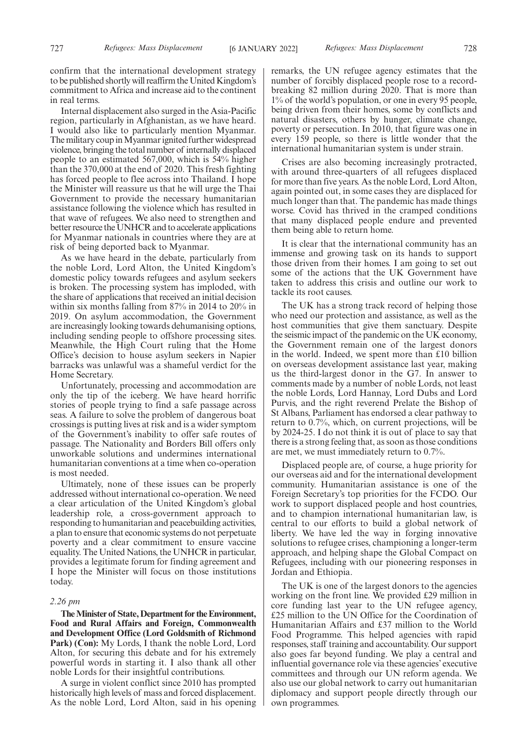confirm that the international development strategy to be published shortly will reaffirm the United Kingdom's commitment to Africa and increase aid to the continent in real terms.

Internal displacement also surged in the Asia-Pacific region, particularly in Afghanistan, as we have heard. I would also like to particularly mention Myanmar. The military coup in Myanmar ignited further widespread violence, bringing the total number of internally displaced people to an estimated 567,000, which is 54% higher than the 370,000 at the end of 2020. This fresh fighting has forced people to flee across into Thailand. I hope the Minister will reassure us that he will urge the Thai Government to provide the necessary humanitarian assistance following the violence which has resulted in that wave of refugees. We also need to strengthen and better resource the UNHCR and to accelerate applications for Myanmar nationals in countries where they are at risk of being deported back to Myanmar.

As we have heard in the debate, particularly from the noble Lord, Lord Alton, the United Kingdom's domestic policy towards refugees and asylum seekers is broken. The processing system has imploded, with the share of applications that received an initial decision within six months falling from 87% in 2014 to 20% in 2019. On asylum accommodation, the Government are increasingly looking towards dehumanising options, including sending people to offshore processing sites. Meanwhile, the High Court ruling that the Home Office's decision to house asylum seekers in Napier barracks was unlawful was a shameful verdict for the Home Secretary.

Unfortunately, processing and accommodation are only the tip of the iceberg. We have heard horrific stories of people trying to find a safe passage across seas. A failure to solve the problem of dangerous boat crossings is putting lives at risk and is a wider symptom of the Government's inability to offer safe routes of passage. The Nationality and Borders Bill offers only unworkable solutions and undermines international humanitarian conventions at a time when co-operation is most needed.

Ultimately, none of these issues can be properly addressed without international co-operation. We need a clear articulation of the United Kingdom's global leadership role, a cross-government approach to responding to humanitarian and peacebuilding activities, a plan to ensure that economic systems do not perpetuate poverty and a clear commitment to ensure vaccine equality. The United Nations, the UNHCR in particular, provides a legitimate forum for finding agreement and I hope the Minister will focus on those institutions today.

## *2.26 pm*

**The Minister of State, Department for the Environment, Food and Rural Affairs and Foreign, Commonwealth and Development Office (Lord Goldsmith of Richmond Park) (Con):** My Lords, I thank the noble Lord, Lord Alton, for securing this debate and for his extremely powerful words in starting it. I also thank all other noble Lords for their insightful contributions.

A surge in violent conflict since 2010 has prompted historically high levels of mass and forced displacement. As the noble Lord, Lord Alton, said in his opening remarks, the UN refugee agency estimates that the number of forcibly displaced people rose to a recordbreaking 82 million during 2020. That is more than 1% of the world's population, or one in every 95 people, being driven from their homes, some by conflicts and natural disasters, others by hunger, climate change, poverty or persecution. In 2010, that figure was one in every 159 people, so there is little wonder that the international humanitarian system is under strain.

Crises are also becoming increasingly protracted, with around three-quarters of all refugees displaced for more than five years. As the noble Lord, Lord Alton, again pointed out, in some cases they are displaced for much longer than that. The pandemic has made things worse. Covid has thrived in the cramped conditions that many displaced people endure and prevented them being able to return home.

It is clear that the international community has an immense and growing task on its hands to support those driven from their homes. I am going to set out some of the actions that the UK Government have taken to address this crisis and outline our work to tackle its root causes.

The UK has a strong track record of helping those who need our protection and assistance, as well as the host communities that give them sanctuary. Despite the seismic impact of the pandemic on the UK economy, the Government remain one of the largest donors in the world. Indeed, we spent more than £10 billion on overseas development assistance last year, making us the third-largest donor in the G7. In answer to comments made by a number of noble Lords, not least the noble Lords, Lord Hannay, Lord Dubs and Lord Purvis, and the right reverend Prelate the Bishop of St Albans, Parliament has endorsed a clear pathway to return to 0.7%, which, on current projections, will be by 2024-25. I do not think it is out of place to say that there is a strong feeling that, as soon as those conditions are met, we must immediately return to 0.7%.

Displaced people are, of course, a huge priority for our overseas aid and for the international development community. Humanitarian assistance is one of the Foreign Secretary's top priorities for the FCDO. Our work to support displaced people and host countries, and to champion international humanitarian law, is central to our efforts to build a global network of liberty. We have led the way in forging innovative solutions to refugee crises, championing a longer-term approach, and helping shape the Global Compact on Refugees, including with our pioneering responses in Jordan and Ethiopia.

The UK is one of the largest donors to the agencies working on the front line. We provided £29 million in core funding last year to the UN refugee agency, £25 million to the UN Office for the Coordination of Humanitarian Affairs and £37 million to the World Food Programme. This helped agencies with rapid responses, staff training and accountability. Our support also goes far beyond funding. We play a central and influential governance role via these agencies' executive committees and through our UN reform agenda. We also use our global network to carry out humanitarian diplomacy and support people directly through our own programmes.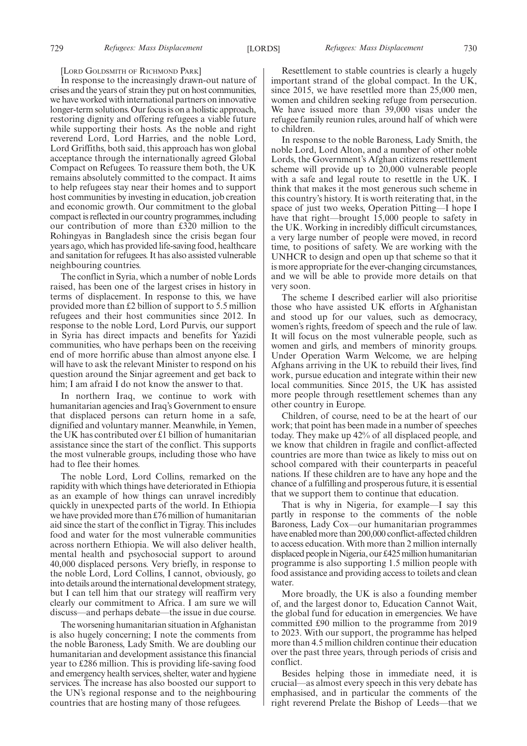[LORD GOLDSMITH OF RICHMOND PARK]

In response to the increasingly drawn-out nature of crises and the years of strain they put on host communities, we have worked with international partners on innovative longer-term solutions. Our focus is on a holistic approach, restoring dignity and offering refugees a viable future while supporting their hosts. As the noble and right reverend Lord, Lord Harries, and the noble Lord, Lord Griffiths, both said, this approach has won global acceptance through the internationally agreed Global Compact on Refugees. To reassure them both, the UK remains absolutely committed to the compact. It aims to help refugees stay near their homes and to support host communities by investing in education, job creation and economic growth. Our commitment to the global compact is reflected in our country programmes, including our contribution of more than £320 million to the Rohingyas in Bangladesh since the crisis began four years ago, which has provided life-saving food, healthcare and sanitation for refugees. It has also assisted vulnerable neighbouring countries.

The conflict in Syria, which a number of noble Lords raised, has been one of the largest crises in history in terms of displacement. In response to this, we have provided more than £2 billion of support to 5.5 million refugees and their host communities since 2012. In response to the noble Lord, Lord Purvis, our support in Syria has direct impacts and benefits for Yazidi communities, who have perhaps been on the receiving end of more horrific abuse than almost anyone else. I will have to ask the relevant Minister to respond on his question around the Sinjar agreement and get back to him; I am afraid I do not know the answer to that.

In northern Iraq, we continue to work with humanitarian agencies and Iraq's Government to ensure that displaced persons can return home in a safe, dignified and voluntary manner. Meanwhile, in Yemen, the UK has contributed over £1 billion of humanitarian assistance since the start of the conflict. This supports the most vulnerable groups, including those who have had to flee their homes.

The noble Lord, Lord Collins, remarked on the rapidity with which things have deteriorated in Ethiopia as an example of how things can unravel incredibly quickly in unexpected parts of the world. In Ethiopia we have provided more than £76 million of humanitarian aid since the start of the conflict in Tigray. This includes food and water for the most vulnerable communities across northern Ethiopia. We will also deliver health, mental health and psychosocial support to around 40,000 displaced persons. Very briefly, in response to the noble Lord, Lord Collins, I cannot, obviously, go into details around the international development strategy, but I can tell him that our strategy will reaffirm very clearly our commitment to Africa. I am sure we will discuss—and perhaps debate—the issue in due course.

The worsening humanitarian situation in Afghanistan is also hugely concerning; I note the comments from the noble Baroness, Lady Smith. We are doubling our humanitarian and development assistance this financial year to £286 million. This is providing life-saving food and emergency health services, shelter, water and hygiene services. The increase has also boosted our support to the UN's regional response and to the neighbouring countries that are hosting many of those refugees.

Resettlement to stable countries is clearly a hugely important strand of the global compact. In the UK, since 2015, we have resettled more than 25,000 men, women and children seeking refuge from persecution. We have issued more than 39,000 visas under the refugee family reunion rules, around half of which were to children.

In response to the noble Baroness, Lady Smith, the noble Lord, Lord Alton, and a number of other noble Lords, the Government's Afghan citizens resettlement scheme will provide up to 20,000 vulnerable people with a safe and legal route to resettle in the UK. I think that makes it the most generous such scheme in this country's history. It is worth reiterating that, in the space of just two weeks, Operation Pitting—I hope I have that right—brought 15,000 people to safety in the UK. Working in incredibly difficult circumstances, a very large number of people were moved, in record time, to positions of safety. We are working with the UNHCR to design and open up that scheme so that it is more appropriate for the ever-changing circumstances, and we will be able to provide more details on that very soon.

The scheme I described earlier will also prioritise those who have assisted UK efforts in Afghanistan and stood up for our values, such as democracy, women's rights, freedom of speech and the rule of law. It will focus on the most vulnerable people, such as women and girls, and members of minority groups. Under Operation Warm Welcome, we are helping Afghans arriving in the UK to rebuild their lives, find work, pursue education and integrate within their new local communities. Since 2015, the UK has assisted more people through resettlement schemes than any other country in Europe.

Children, of course, need to be at the heart of our work; that point has been made in a number of speeches today. They make up 42% of all displaced people, and we know that children in fragile and conflict-affected countries are more than twice as likely to miss out on school compared with their counterparts in peaceful nations. If these children are to have any hope and the chance of a fulfilling and prosperous future, it is essential that we support them to continue that education.

That is why in Nigeria, for example—I say this partly in response to the comments of the noble Baroness, Lady Cox—our humanitarian programmes have enabled more than 200,000 conflict-affected children to access education. With more than 2 million internally displaced people in Nigeria, our £425 million humanitarian programme is also supporting 1.5 million people with food assistance and providing access to toilets and clean water.

More broadly, the UK is also a founding member of, and the largest donor to, Education Cannot Wait, the global fund for education in emergencies. We have committed £90 million to the programme from 2019 to 2023. With our support, the programme has helped more than 4.5 million children continue their education over the past three years, through periods of crisis and conflict.

Besides helping those in immediate need, it is crucial—as almost every speech in this very debate has emphasised, and in particular the comments of the right reverend Prelate the Bishop of Leeds—that we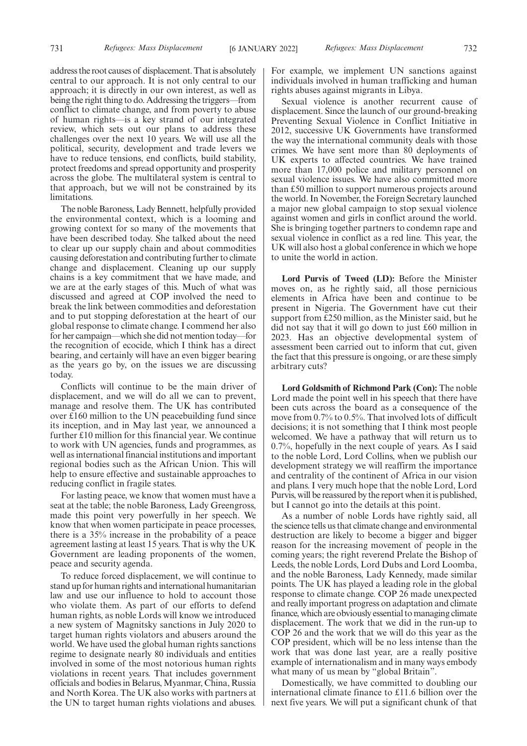address the root causes of displacement. That is absolutely central to our approach. It is not only central to our approach; it is directly in our own interest, as well as being the right thing to do. Addressing the triggers—from conflict to climate change, and from poverty to abuse of human rights—is a key strand of our integrated review, which sets out our plans to address these challenges over the next 10 years. We will use all the political, security, development and trade levers we have to reduce tensions, end conflicts, build stability, protect freedoms and spread opportunity and prosperity across the globe. The multilateral system is central to that approach, but we will not be constrained by its limitations.

The noble Baroness, Lady Bennett, helpfully provided the environmental context, which is a looming and growing context for so many of the movements that have been described today. She talked about the need to clear up our supply chain and about commodities causing deforestation and contributing further to climate change and displacement. Cleaning up our supply chains is a key commitment that we have made, and we are at the early stages of this. Much of what was discussed and agreed at COP involved the need to break the link between commodities and deforestation and to put stopping deforestation at the heart of our global response to climate change. I commend her also for her campaign—which she did not mention today—for the recognition of ecocide, which I think has a direct bearing, and certainly will have an even bigger bearing as the years go by, on the issues we are discussing today.

Conflicts will continue to be the main driver of displacement, and we will do all we can to prevent, manage and resolve them. The UK has contributed over £160 million to the UN peacebuilding fund since its inception, and in May last year, we announced a further £10 million for this financial year. We continue to work with UN agencies, funds and programmes, as well as international financial institutions and important regional bodies such as the African Union. This will help to ensure effective and sustainable approaches to reducing conflict in fragile states.

For lasting peace, we know that women must have a seat at the table; the noble Baroness, Lady Greengross, made this point very powerfully in her speech. We know that when women participate in peace processes, there is a 35% increase in the probability of a peace agreement lasting at least 15 years. That is why the UK Government are leading proponents of the women, peace and security agenda.

To reduce forced displacement, we will continue to stand up for human rights and international humanitarian law and use our influence to hold to account those who violate them. As part of our efforts to defend human rights, as noble Lords will know we introduced a new system of Magnitsky sanctions in July 2020 to target human rights violators and abusers around the world. We have used the global human rights sanctions regime to designate nearly 80 individuals and entities involved in some of the most notorious human rights violations in recent years. That includes government officials and bodies in Belarus, Myanmar, China, Russia and North Korea. The UK also works with partners at the UN to target human rights violations and abuses.

For example, we implement UN sanctions against individuals involved in human trafficking and human rights abuses against migrants in Libya.

Sexual violence is another recurrent cause of displacement. Since the launch of our ground-breaking Preventing Sexual Violence in Conflict Initiative in 2012, successive UK Governments have transformed the way the international community deals with those crimes. We have sent more than 80 deployments of UK experts to affected countries. We have trained more than 17,000 police and military personnel on sexual violence issues. We have also committed more than £50 million to support numerous projects around the world. In November, the Foreign Secretary launched a major new global campaign to stop sexual violence against women and girls in conflict around the world. She is bringing together partners to condemn rape and sexual violence in conflict as a red line. This year, the UK will also host a global conference in which we hope to unite the world in action.

**Lord Purvis of Tweed (LD):** Before the Minister moves on, as he rightly said, all those pernicious elements in Africa have been and continue to be present in Nigeria. The Government have cut their support from £250 million, as the Minister said, but he did not say that it will go down to just £60 million in 2023. Has an objective developmental system of assessment been carried out to inform that cut, given the fact that this pressure is ongoing, or are these simply arbitrary cuts?

**Lord Goldsmith of Richmond Park (Con):** The noble Lord made the point well in his speech that there have been cuts across the board as a consequence of the move from 0.7% to 0.5%. That involved lots of difficult decisions; it is not something that I think most people welcomed. We have a pathway that will return us to 0.7%, hopefully in the next couple of years. As I said to the noble Lord, Lord Collins, when we publish our development strategy we will reaffirm the importance and centrality of the continent of Africa in our vision and plans. I very much hope that the noble Lord, Lord Purvis, will be reassured by the report when it is published, but I cannot go into the details at this point.

As a number of noble Lords have rightly said, all the science tells us that climate change and environmental destruction are likely to become a bigger and bigger reason for the increasing movement of people in the coming years; the right reverend Prelate the Bishop of Leeds, the noble Lords, Lord Dubs and Lord Loomba, and the noble Baroness, Lady Kennedy, made similar points. The UK has played a leading role in the global response to climate change. COP 26 made unexpected and really important progress on adaptation and climate finance, which are obviously essential to managing climate displacement. The work that we did in the run-up to COP 26 and the work that we will do this year as the COP president, which will be no less intense than the work that was done last year, are a really positive example of internationalism and in many ways embody what many of us mean by "global Britain".

Domestically, we have committed to doubling our international climate finance to £11.6 billion over the next five years. We will put a significant chunk of that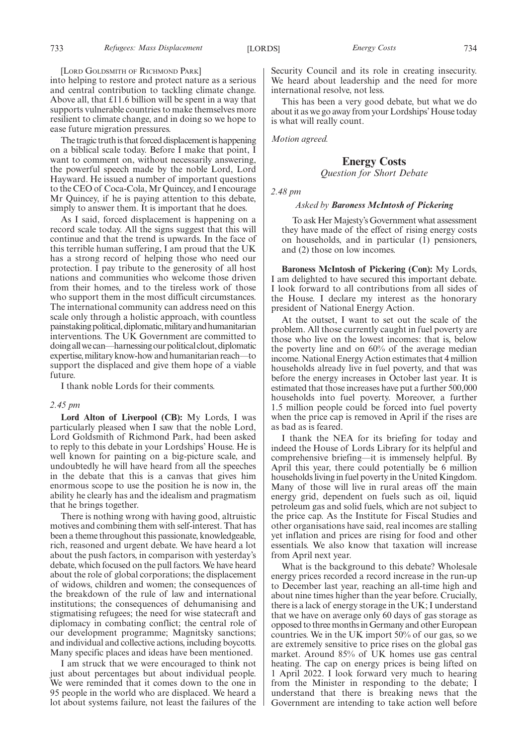[LORD GOLDSMITH OF RICHMOND PARK]

into helping to restore and protect nature as a serious and central contribution to tackling climate change. Above all, that £11.6 billion will be spent in a way that supports vulnerable countries to make themselves more resilient to climate change, and in doing so we hope to ease future migration pressures.

The tragic truth is that forced displacement is happening on a biblical scale today. Before I make that point, I want to comment on, without necessarily answering, the powerful speech made by the noble Lord, Lord Hayward. He issued a number of important questions to the CEO of Coca-Cola, Mr Quincey, and I encourage Mr Quincey, if he is paying attention to this debate, simply to answer them. It is important that he does.

As I said, forced displacement is happening on a record scale today. All the signs suggest that this will continue and that the trend is upwards. In the face of this terrible human suffering, I am proud that the UK has a strong record of helping those who need our protection. I pay tribute to the generosity of all host nations and communities who welcome those driven from their homes, and to the tireless work of those who support them in the most difficult circumstances. The international community can address need on this scale only through a holistic approach, with countless painstaking political, diplomatic, military and humanitarian interventions. The UK Government are committed to doing all we can—harnessing our political clout, diplomatic expertise, military know-how and humanitarian reach—to support the displaced and give them hope of a viable future.

I thank noble Lords for their comments.

## *2.45 pm*

**Lord Alton of Liverpool (CB):** My Lords, I was particularly pleased when I saw that the noble Lord, Lord Goldsmith of Richmond Park, had been asked to reply to this debate in your Lordships' House. He is well known for painting on a big-picture scale, and undoubtedly he will have heard from all the speeches in the debate that this is a canvas that gives him enormous scope to use the position he is now in, the ability he clearly has and the idealism and pragmatism that he brings together.

There is nothing wrong with having good, altruistic motives and combining them with self-interest. That has been a theme throughout this passionate, knowledgeable, rich, reasoned and urgent debate. We have heard a lot about the push factors, in comparison with yesterday's debate, which focused on the pull factors. We have heard about the role of global corporations; the displacement of widows, children and women; the consequences of the breakdown of the rule of law and international institutions; the consequences of dehumanising and stigmatising refugees; the need for wise statecraft and diplomacy in combating conflict; the central role of our development programme; Magnitsky sanctions; and individual and collective actions, including boycotts. Many specific places and ideas have been mentioned.

I am struck that we were encouraged to think not just about percentages but about individual people. We were reminded that it comes down to the one in 95 people in the world who are displaced. We heard a lot about systems failure, not least the failures of the

Security Council and its role in creating insecurity. We heard about leadership and the need for more international resolve, not less.

This has been a very good debate, but what we do about it as we go away from your Lordships'House today is what will really count.

*Motion agreed.*

## **Energy Costs**

*Question for Short Debate*

*2.48 pm*

## *Asked by Baroness McIntosh of Pickering*

To ask Her Majesty's Government what assessment they have made of the effect of rising energy costs on households, and in particular (1) pensioners, and (2) those on low incomes.

**Baroness McIntosh of Pickering (Con):** My Lords, I am delighted to have secured this important debate. I look forward to all contributions from all sides of the House. I declare my interest as the honorary president of National Energy Action.

At the outset, I want to set out the scale of the problem. All those currently caught in fuel poverty are those who live on the lowest incomes: that is, below the poverty line and on 60% of the average median income. National Energy Action estimates that 4 million households already live in fuel poverty, and that was before the energy increases in October last year. It is estimated that those increases have put a further 500,000 households into fuel poverty. Moreover, a further 1.5 million people could be forced into fuel poverty when the price cap is removed in April if the rises are as bad as is feared.

I thank the NEA for its briefing for today and indeed the House of Lords Library for its helpful and comprehensive briefing—it is immensely helpful. By April this year, there could potentially be 6 million households living in fuel poverty in the United Kingdom. Many of those will live in rural areas off the main energy grid, dependent on fuels such as oil, liquid petroleum gas and solid fuels, which are not subject to the price cap. As the Institute for Fiscal Studies and other organisations have said, real incomes are stalling yet inflation and prices are rising for food and other essentials. We also know that taxation will increase from April next year.

What is the background to this debate? Wholesale energy prices recorded a record increase in the run-up to December last year, reaching an all-time high and about nine times higher than the year before. Crucially, there is a lack of energy storage in the UK; I understand that we have on average only 60 days of gas storage as opposed to three months in Germany and other European countries. We in the UK import 50% of our gas, so we are extremely sensitive to price rises on the global gas market. Around 85% of UK homes use gas central heating. The cap on energy prices is being lifted on 1 April 2022. I look forward very much to hearing from the Minister in responding to the debate; I understand that there is breaking news that the Government are intending to take action well before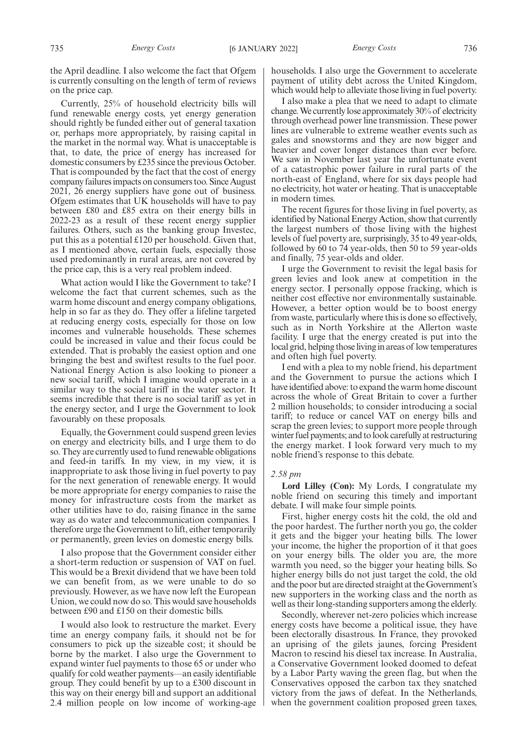the April deadline. I also welcome the fact that Ofgem is currently consulting on the length of term of reviews on the price cap.

Currently, 25% of household electricity bills will fund renewable energy costs, yet energy generation should rightly be funded either out of general taxation or, perhaps more appropriately, by raising capital in the market in the normal way. What is unacceptable is that, to date, the price of energy has increased for domestic consumers by £235 since the previous October. That is compounded by the fact that the cost of energy company failures impacts on consumers too. Since August 2021, 26 energy suppliers have gone out of business. Ofgem estimates that UK households will have to pay between £80 and £85 extra on their energy bills in 2022-23 as a result of these recent energy supplier failures. Others, such as the banking group Investec, put this as a potential £120 per household. Given that, as I mentioned above, certain fuels, especially those used predominantly in rural areas, are not covered by the price cap, this is a very real problem indeed.

What action would I like the Government to take? I welcome the fact that current schemes, such as the warm home discount and energy company obligations, help in so far as they do. They offer a lifeline targeted at reducing energy costs, especially for those on low incomes and vulnerable households. These schemes could be increased in value and their focus could be extended. That is probably the easiest option and one bringing the best and swiftest results to the fuel poor. National Energy Action is also looking to pioneer a new social tariff, which I imagine would operate in a similar way to the social tariff in the water sector. It seems incredible that there is no social tariff as yet in the energy sector, and I urge the Government to look favourably on these proposals.

Equally, the Government could suspend green levies on energy and electricity bills, and I urge them to do so. They are currently used to fund renewable obligations and feed-in tariffs. In my view, in my view, it is inappropriate to ask those living in fuel poverty to pay for the next generation of renewable energy. It would be more appropriate for energy companies to raise the money for infrastructure costs from the market as other utilities have to do, raising finance in the same way as do water and telecommunication companies. I therefore urge the Government to lift, either temporarily or permanently, green levies on domestic energy bills.

I also propose that the Government consider either a short-term reduction or suspension of VAT on fuel. This would be a Brexit dividend that we have been told we can benefit from, as we were unable to do so previously. However, as we have now left the European Union, we could now do so. This would save households between £90 and £150 on their domestic bills.

I would also look to restructure the market. Every time an energy company fails, it should not be for consumers to pick up the sizeable cost; it should be borne by the market. I also urge the Government to expand winter fuel payments to those 65 or under who qualify for cold weather payments—an easily identifiable group. They could benefit by up to a £300 discount in this way on their energy bill and support an additional 2.4 million people on low income of working-age households. I also urge the Government to accelerate payment of utility debt across the United Kingdom, which would help to alleviate those living in fuel poverty.

I also make a plea that we need to adapt to climate change. We currently lose approximately 30% of electricity through overhead power line transmission. These power lines are vulnerable to extreme weather events such as gales and snowstorms and they are now bigger and heavier and cover longer distances than ever before. We saw in November last year the unfortunate event of a catastrophic power failure in rural parts of the north-east of England, where for six days people had no electricity, hot water or heating. That is unacceptable in modern times.

The recent figures for those living in fuel poverty, as identified by National Energy Action, show that currently the largest numbers of those living with the highest levels of fuel poverty are, surprisingly, 35 to 49 year-olds, followed by 60 to 74 year-olds, then 50 to 59 year-olds and finally, 75 year-olds and older.

I urge the Government to revisit the legal basis for green levies and look anew at competition in the energy sector. I personally oppose fracking, which is neither cost effective nor environmentally sustainable. However, a better option would be to boost energy from waste, particularly where this is done so effectively, such as in North Yorkshire at the Allerton waste facility. I urge that the energy created is put into the local grid, helping those living in areas of low temperatures and often high fuel poverty.

I end with a plea to my noble friend, his department and the Government to pursue the actions which I have identified above: to expand the warm home discount across the whole of Great Britain to cover a further 2 million households; to consider introducing a social tariff; to reduce or cancel VAT on energy bills and scrap the green levies; to support more people through winter fuel payments; and to look carefully at restructuring the energy market. I look forward very much to my noble friend's response to this debate.

## *2.58 pm*

**Lord Lilley (Con):** My Lords, I congratulate my noble friend on securing this timely and important debate. I will make four simple points.

First, higher energy costs hit the cold, the old and the poor hardest. The further north you go, the colder it gets and the bigger your heating bills. The lower your income, the higher the proportion of it that goes on your energy bills. The older you are, the more warmth you need, so the bigger your heating bills. So higher energy bills do not just target the cold, the old and the poor but are directed straight at the Government's new supporters in the working class and the north as well as their long-standing supporters among the elderly.

Secondly, wherever net-zero policies which increase energy costs have become a political issue, they have been electorally disastrous. In France, they provoked an uprising of the gilets jaunes, forcing President Macron to rescind his diesel tax increase. In Australia, a Conservative Government looked doomed to defeat by a Labor Party waving the green flag, but when the Conservatives opposed the carbon tax they snatched victory from the jaws of defeat. In the Netherlands, when the government coalition proposed green taxes,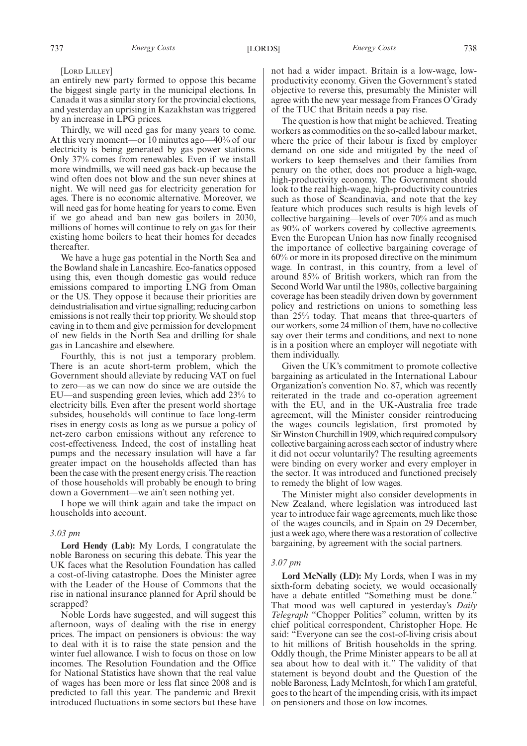an entirely new party formed to oppose this became the biggest single party in the municipal elections. In Canada it was a similar story for the provincial elections, and yesterday an uprising in Kazakhstan was triggered by an increase in LPG prices.

Thirdly, we will need gas for many years to come. At this very moment—or 10 minutes ago—40% of our electricity is being generated by gas power stations. Only 37% comes from renewables. Even if we install more windmills, we will need gas back-up because the wind often does not blow and the sun never shines at night. We will need gas for electricity generation for ages. There is no economic alternative. Moreover, we will need gas for home heating for years to come. Even if we go ahead and ban new gas boilers in 2030, millions of homes will continue to rely on gas for their existing home boilers to heat their homes for decades thereafter.

We have a huge gas potential in the North Sea and the Bowland shale in Lancashire. Eco-fanatics opposed using this, even though domestic gas would reduce emissions compared to importing LNG from Oman or the US. They oppose it because their priorities are deindustrialisation and virtue signalling; reducing carbon emissions is not really their top priority. We should stop caving in to them and give permission for development of new fields in the North Sea and drilling for shale gas in Lancashire and elsewhere.

Fourthly, this is not just a temporary problem. There is an acute short-term problem, which the Government should alleviate by reducing VAT on fuel to zero—as we can now do since we are outside the EU—and suspending green levies, which add 23% to electricity bills. Even after the present world shortage subsides, households will continue to face long-term rises in energy costs as long as we pursue a policy of net-zero carbon emissions without any reference to cost-effectiveness. Indeed, the cost of installing heat pumps and the necessary insulation will have a far greater impact on the households affected than has been the case with the present energy crisis. The reaction of those households will probably be enough to bring down a Government—we ain't seen nothing yet.

I hope we will think again and take the impact on households into account.

#### *3.03 pm*

**Lord Hendy (Lab):** My Lords, I congratulate the noble Baroness on securing this debate. This year the UK faces what the Resolution Foundation has called a cost-of-living catastrophe. Does the Minister agree with the Leader of the House of Commons that the rise in national insurance planned for April should be scrapped?

Noble Lords have suggested, and will suggest this afternoon, ways of dealing with the rise in energy prices. The impact on pensioners is obvious: the way to deal with it is to raise the state pension and the winter fuel allowance. I wish to focus on those on low incomes. The Resolution Foundation and the Office for National Statistics have shown that the real value of wages has been more or less flat since 2008 and is predicted to fall this year. The pandemic and Brexit introduced fluctuations in some sectors but these have not had a wider impact. Britain is a low-wage, lowproductivity economy. Given the Government's stated objective to reverse this, presumably the Minister will agree with the new year message from Frances O'Grady of the TUC that Britain needs a pay rise.

The question is how that might be achieved. Treating workers as commodities on the so-called labour market, where the price of their labour is fixed by employer demand on one side and mitigated by the need of workers to keep themselves and their families from penury on the other, does not produce a high-wage, high-productivity economy. The Government should look to the real high-wage, high-productivity countries such as those of Scandinavia, and note that the key feature which produces such results is high levels of collective bargaining—levels of over 70% and as much as 90% of workers covered by collective agreements. Even the European Union has now finally recognised the importance of collective bargaining coverage of 60% or more in its proposed directive on the minimum wage. In contrast, in this country, from a level of around 85% of British workers, which ran from the Second World War until the 1980s, collective bargaining coverage has been steadily driven down by government policy and restrictions on unions to something less than 25% today. That means that three-quarters of our workers, some 24 million of them, have no collective say over their terms and conditions, and next to none is in a position where an employer will negotiate with them individually.

Given the UK's commitment to promote collective bargaining as articulated in the International Labour Organization's convention No. 87, which was recently reiterated in the trade and co-operation agreement with the EU, and in the UK-Australia free trade agreement, will the Minister consider reintroducing the wages councils legislation, first promoted by Sir Winston Churchill in 1909, which required compulsory collective bargaining across each sector of industry where it did not occur voluntarily? The resulting agreements were binding on every worker and every employer in the sector. It was introduced and functioned precisely to remedy the blight of low wages.

The Minister might also consider developments in New Zealand, where legislation was introduced last year to introduce fair wage agreements, much like those of the wages councils, and in Spain on 29 December, just a week ago, where there was a restoration of collective bargaining, by agreement with the social partners.

## *3.07 pm*

**Lord McNally (LD):** My Lords, when I was in my sixth-form debating society, we would occasionally have a debate entitled "Something must be done." That mood was well captured in yesterday's *Daily Telegraph* "Chopper Politics" column, written by its chief political correspondent, Christopher Hope. He said: "Everyone can see the cost-of-living crisis about to hit millions of British households in the spring. Oddly though, the Prime Minister appears to be all at sea about how to deal with it." The validity of that statement is beyond doubt and the Question of the noble Baroness, Lady McIntosh, for which I am grateful, goes to the heart of the impending crisis, with its impact on pensioners and those on low incomes.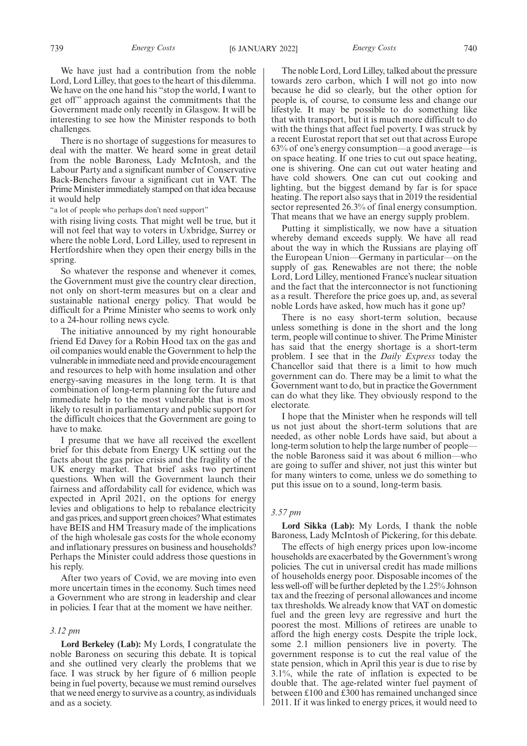We have just had a contribution from the noble Lord, Lord Lilley, that goes to the heart of this dilemma. We have on the one hand his "stop the world, I want to get off" approach against the commitments that the Government made only recently in Glasgow. It will be interesting to see how the Minister responds to both challenges.

There is no shortage of suggestions for measures to deal with the matter. We heard some in great detail from the noble Baroness, Lady McIntosh, and the Labour Party and a significant number of Conservative Back-Benchers favour a significant cut in VAT. The Prime Minister immediately stamped on that idea because it would help

"a lot of people who perhaps don't need support"

with rising living costs. That might well be true, but it will not feel that way to voters in Uxbridge, Surrey or where the noble Lord, Lord Lilley, used to represent in Hertfordshire when they open their energy bills in the spring.

So whatever the response and whenever it comes, the Government must give the country clear direction, not only on short-term measures but on a clear and sustainable national energy policy. That would be difficult for a Prime Minister who seems to work only to a 24-hour rolling news cycle.

The initiative announced by my right honourable friend Ed Davey for a Robin Hood tax on the gas and oil companies would enable the Government to help the vulnerable in immediate need and provide encouragement and resources to help with home insulation and other energy-saving measures in the long term. It is that combination of long-term planning for the future and immediate help to the most vulnerable that is most likely to result in parliamentary and public support for the difficult choices that the Government are going to have to make.

I presume that we have all received the excellent brief for this debate from Energy UK setting out the facts about the gas price crisis and the fragility of the UK energy market. That brief asks two pertinent questions. When will the Government launch their fairness and affordability call for evidence, which was expected in April 2021, on the options for energy levies and obligations to help to rebalance electricity and gas prices, and support green choices? What estimates have BEIS and HM Treasury made of the implications of the high wholesale gas costs for the whole economy and inflationary pressures on business and households? Perhaps the Minister could address those questions in his reply.

After two years of Covid, we are moving into even more uncertain times in the economy. Such times need a Government who are strong in leadership and clear in policies. I fear that at the moment we have neither.

## *3.12 pm*

**Lord Berkeley (Lab):** My Lords, I congratulate the noble Baroness on securing this debate. It is topical and she outlined very clearly the problems that we face. I was struck by her figure of 6 million people being in fuel poverty, because we must remind ourselves that we need energy to survive as a country, as individuals and as a society.

The noble Lord, Lord Lilley, talked about the pressure towards zero carbon, which I will not go into now because he did so clearly, but the other option for people is, of course, to consume less and change our lifestyle. It may be possible to do something like that with transport, but it is much more difficult to do with the things that affect fuel poverty. I was struck by a recent Eurostat report that set out that across Europe 63% of one's energy consumption—a good average—is on space heating. If one tries to cut out space heating, one is shivering. One can cut out water heating and have cold showers. One can cut out cooking and lighting, but the biggest demand by far is for space heating. The report also says that in 2019 the residential sector represented 26.3% of final energy consumption. That means that we have an energy supply problem.

Putting it simplistically, we now have a situation whereby demand exceeds supply. We have all read about the way in which the Russians are playing off the European Union—Germany in particular—on the supply of gas. Renewables are not there; the noble Lord, Lord Lilley, mentioned France's nuclear situation and the fact that the interconnector is not functioning as a result. Therefore the price goes up, and, as several noble Lords have asked, how much has it gone up?

There is no easy short-term solution, because unless something is done in the short and the long term, people will continue to shiver. The Prime Minister has said that the energy shortage is a short-term problem. I see that in the *Daily Express* today the Chancellor said that there is a limit to how much government can do. There may be a limit to what the Government want to do, but in practice the Government can do what they like. They obviously respond to the electorate.

I hope that the Minister when he responds will tell us not just about the short-term solutions that are needed, as other noble Lords have said, but about a long-term solution to help the large number of people the noble Baroness said it was about 6 million—who are going to suffer and shiver, not just this winter but for many winters to come, unless we do something to put this issue on to a sound, long-term basis.

## *3.57 pm*

**Lord Sikka (Lab):** My Lords, I thank the noble Baroness, Lady McIntosh of Pickering, for this debate.

The effects of high energy prices upon low-income households are exacerbated by the Government's wrong policies. The cut in universal credit has made millions of households energy poor. Disposable incomes of the less well-off will be further depleted by the 1.25% Johnson tax and the freezing of personal allowances and income tax thresholds. We already know that VAT on domestic fuel and the green levy are regressive and hurt the poorest the most. Millions of retirees are unable to afford the high energy costs. Despite the triple lock, some 2.1 million pensioners live in poverty. The government response is to cut the real value of the state pension, which in April this year is due to rise by 3.1%, while the rate of inflation is expected to be double that. The age-related winter fuel payment of between £100 and £300 has remained unchanged since 2011. If it was linked to energy prices, it would need to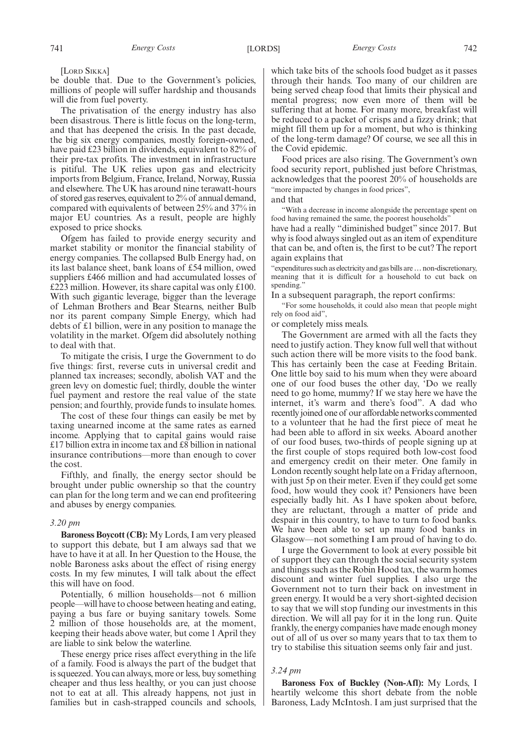[LORD SIKKA]

be double that. Due to the Government's policies, millions of people will suffer hardship and thousands will die from fuel poverty.

The privatisation of the energy industry has also been disastrous. There is little focus on the long-term, and that has deepened the crisis. In the past decade, the big six energy companies, mostly foreign-owned, have paid £23 billion in dividends, equivalent to 82% of their pre-tax profits. The investment in infrastructure is pitiful. The UK relies upon gas and electricity imports from Belgium, France, Ireland, Norway, Russia and elsewhere. The UK has around nine terawatt-hours of stored gas reserves, equivalent to 2% of annual demand, compared with equivalents of between 25% and 37% in major EU countries. As a result, people are highly exposed to price shocks.

Ofgem has failed to provide energy security and market stability or monitor the financial stability of energy companies. The collapsed Bulb Energy had, on its last balance sheet, bank loans of £54 million, owed suppliers £466 million and had accumulated losses of  $\text{\pounds}223$  million. However, its share capital was only  $\text{\pounds}100$ . With such gigantic leverage, bigger than the leverage of Lehman Brothers and Bear Stearns, neither Bulb nor its parent company Simple Energy, which had debts of £1 billion, were in any position to manage the volatility in the market. Ofgem did absolutely nothing to deal with that.

To mitigate the crisis, I urge the Government to do five things: first, reverse cuts in universal credit and planned tax increases; secondly, abolish VAT and the green levy on domestic fuel; thirdly, double the winter fuel payment and restore the real value of the state pension; and fourthly, provide funds to insulate homes.

The cost of these four things can easily be met by taxing unearned income at the same rates as earned income. Applying that to capital gains would raise £17 billion extra in income tax and £8 billion in national insurance contributions—more than enough to cover the cost.

Fifthly, and finally, the energy sector should be brought under public ownership so that the country can plan for the long term and we can end profiteering and abuses by energy companies.

## *3.20 pm*

**Baroness Boycott (CB):** My Lords, I am very pleased to support this debate, but I am always sad that we have to have it at all. In her Question to the House, the noble Baroness asks about the effect of rising energy costs. In my few minutes, I will talk about the effect this will have on food.

Potentially, 6 million households—not 6 million people—will have to choose between heating and eating, paying a bus fare or buying sanitary towels. Some 2 million of those households are, at the moment, keeping their heads above water, but come 1 April they are liable to sink below the waterline.

These energy price rises affect everything in the life of a family. Food is always the part of the budget that is squeezed. You can always, more or less, buy something cheaper and thus less healthy, or you can just choose not to eat at all. This already happens, not just in families but in cash-strapped councils and schools, which take bits of the schools food budget as it passes through their hands. Too many of our children are being served cheap food that limits their physical and mental progress; now even more of them will be suffering that at home. For many more, breakfast will be reduced to a packet of crisps and a fizzy drink; that might fill them up for a moment, but who is thinking of the long-term damage? Of course, we see all this in the Covid epidemic.

Food prices are also rising. The Government's own food security report, published just before Christmas, acknowledges that the poorest 20% of households are "more impacted by changes in food prices",

and that

"With a decrease in income alongside the percentage spent on food having remained the same, the poorest households"

have had a really "diminished budget" since 2017. But why is food always singled out as an item of expenditure that can be, and often is, the first to be cut? The report again explains that

"expenditures such as electricity and gas bills are…non-discretionary, meaning that it is difficult for a household to cut back on spending."

In a subsequent paragraph, the report confirms:

"For some households, it could also mean that people might rely on food aid",

or completely miss meals.

The Government are armed with all the facts they need to justify action. They know full well that without such action there will be more visits to the food bank. This has certainly been the case at Feeding Britain. One little boy said to his mum when they were aboard one of our food buses the other day, 'Do we really need to go home, mummy? If we stay here we have the internet, it's warm and there's food". A dad who recently joined one of our affordable networks commented to a volunteer that he had the first piece of meat he had been able to afford in six weeks. Aboard another of our food buses, two-thirds of people signing up at the first couple of stops required both low-cost food and emergency credit on their meter. One family in London recently sought help late on a Friday afternoon, with just 5p on their meter. Even if they could get some food, how would they cook it? Pensioners have been especially badly hit. As I have spoken about before, they are reluctant, through a matter of pride and despair in this country, to have to turn to food banks. We have been able to set up many food banks in Glasgow—not something I am proud of having to do.

I urge the Government to look at every possible bit of support they can through the social security system and things such as the Robin Hood tax, the warm homes discount and winter fuel supplies. I also urge the Government not to turn their back on investment in green energy. It would be a very short-sighted decision to say that we will stop funding our investments in this direction. We will all pay for it in the long run. Quite frankly, the energy companies have made enough money out of all of us over so many years that to tax them to try to stabilise this situation seems only fair and just.

## *3.24 pm*

**Baroness Fox of Buckley (Non-Afl):** My Lords, I heartily welcome this short debate from the noble Baroness, Lady McIntosh. I am just surprised that the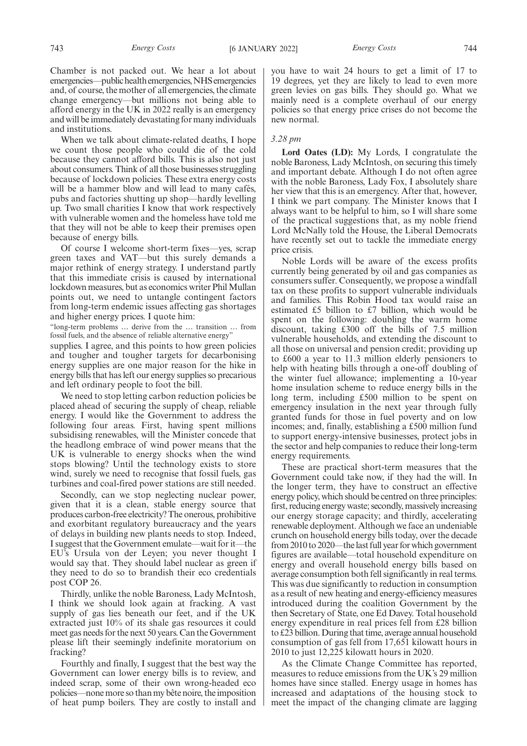Chamber is not packed out. We hear a lot about emergencies—publichealthemergencies,NHSemergencies and, of course, the mother of all emergencies, the climate change emergency—but millions not being able to afford energy in the UK in 2022 really is an emergency and will be immediately devastating for many individuals and institutions.

When we talk about climate-related deaths, I hope we count those people who could die of the cold because they cannot afford bills. This is also not just about consumers. Think of all those businesses struggling because of lockdown policies. These extra energy costs will be a hammer blow and will lead to many cafés, pubs and factories shutting up shop—hardly levelling up. Two small charities I know that work respectively with vulnerable women and the homeless have told me that they will not be able to keep their premises open because of energy bills.

Of course I welcome short-term fixes—yes, scrap green taxes and VAT—but this surely demands a major rethink of energy strategy. I understand partly that this immediate crisis is caused by international lockdown measures, but as economics writer Phil Mullan points out, we need to untangle contingent factors from long-term endemic issues affecting gas shortages and higher energy prices. I quote him:

"long-term problems … derive from the … transition … from fossil fuels, and the absence of reliable alternative energy"

supplies. I agree, and this points to how green policies and tougher and tougher targets for decarbonising energy supplies are one major reason for the hike in energy bills that has left our energy supplies so precarious and left ordinary people to foot the bill.

We need to stop letting carbon reduction policies be placed ahead of securing the supply of cheap, reliable energy. I would like the Government to address the following four areas. First, having spent millions subsidising renewables, will the Minister concede that the headlong embrace of wind power means that the UK is vulnerable to energy shocks when the wind stops blowing? Until the technology exists to store wind, surely we need to recognise that fossil fuels, gas turbines and coal-fired power stations are still needed.

Secondly, can we stop neglecting nuclear power, given that it is a clean, stable energy source that produces carbon-free electricity? The onerous, prohibitive and exorbitant regulatory bureaucracy and the years of delays in building new plants needs to stop. Indeed, I suggest that the Government emulate—wait for it—the EU's Ursula von der Leyen; you never thought I would say that. They should label nuclear as green if they need to do so to brandish their eco credentials post COP 26.

Thirdly, unlike the noble Baroness, Lady McIntosh, I think we should look again at fracking. A vast supply of gas lies beneath our feet, and if the UK extracted just 10% of its shale gas resources it could meet gas needs for the next 50 years. Can the Government please lift their seemingly indefinite moratorium on fracking?

Fourthly and finally, I suggest that the best way the Government can lower energy bills is to review, and indeed scrap, some of their own wrong-headed eco policies—none more so than my bête noire, the imposition of heat pump boilers. They are costly to install and you have to wait 24 hours to get a limit of 17 to 19 degrees, yet they are likely to lead to even more green levies on gas bills. They should go. What we mainly need is a complete overhaul of our energy policies so that energy price crises do not become the new normal.

## *3.28 pm*

**Lord Oates (LD):** My Lords, I congratulate the noble Baroness, Lady McIntosh, on securing this timely and important debate. Although I do not often agree with the noble Baroness, Lady Fox, I absolutely share her view that this is an emergency. After that, however, I think we part company. The Minister knows that I always want to be helpful to him, so I will share some of the practical suggestions that, as my noble friend Lord McNally told the House, the Liberal Democrats have recently set out to tackle the immediate energy price crisis.

Noble Lords will be aware of the excess profits currently being generated by oil and gas companies as consumers suffer. Consequently, we propose a windfall tax on these profits to support vulnerable individuals and families. This Robin Hood tax would raise an estimated £5 billion to £7 billion, which would be spent on the following: doubling the warm home discount, taking £300 off the bills of 7.5 million vulnerable households, and extending the discount to all those on universal and pension credit; providing up to £600 a year to 11.3 million elderly pensioners to help with heating bills through a one-off doubling of the winter fuel allowance; implementing a 10-year home insulation scheme to reduce energy bills in the long term, including £500 million to be spent on emergency insulation in the next year through fully granted funds for those in fuel poverty and on low incomes; and, finally, establishing a £500 million fund to support energy-intensive businesses, protect jobs in the sector and help companies to reduce their long-term energy requirements.

These are practical short-term measures that the Government could take now, if they had the will. In the longer term, they have to construct an effective energy policy, which should be centred on three principles: first, reducing energy waste; secondly, massively increasing our energy storage capacity; and thirdly, accelerating renewable deployment. Although we face an undeniable crunch on household energy bills today, over the decade from 2010 to 2020—the last full year for which government figures are available—total household expenditure on energy and overall household energy bills based on average consumption both fell significantly in real terms. This was due significantly to reduction in consumption as a result of new heating and energy-efficiency measures introduced during the coalition Government by the then Secretary of State, one Ed Davey. Total household energy expenditure in real prices fell from £28 billion to £23 billion. During that time, average annual household consumption of gas fell from 17,651 kilowatt hours in 2010 to just 12,225 kilowatt hours in 2020.

As the Climate Change Committee has reported, measures to reduce emissions from the UK's 29 million homes have since stalled. Energy usage in homes has increased and adaptations of the housing stock to meet the impact of the changing climate are lagging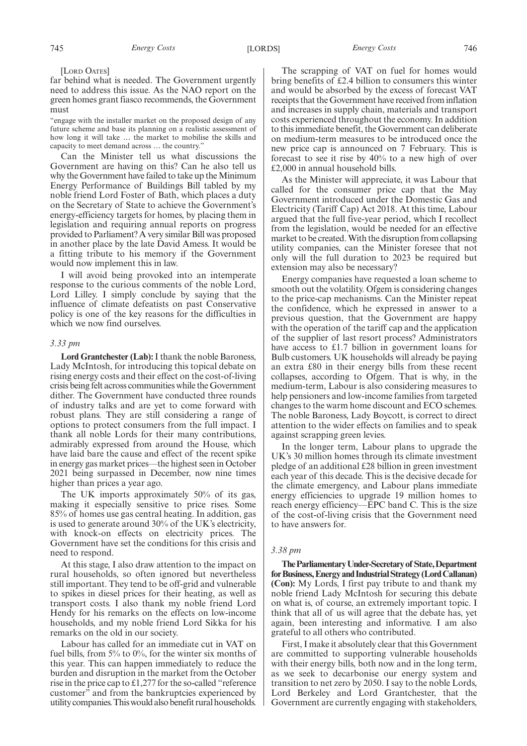## [LORD OATES]

far behind what is needed. The Government urgently need to address this issue. As the NAO report on the green homes grant fiasco recommends, the Government must

"engage with the installer market on the proposed design of any future scheme and base its planning on a realistic assessment of how long it will take … the market to mobilise the skills and capacity to meet demand across … the country."

Can the Minister tell us what discussions the Government are having on this? Can he also tell us why the Government have failed to take up the Minimum Energy Performance of Buildings Bill tabled by my noble friend Lord Foster of Bath, which places a duty on the Secretary of State to achieve the Government's energy-efficiency targets for homes, by placing them in legislation and requiring annual reports on progress provided to Parliament? A very similar Bill was proposed in another place by the late David Amess. It would be a fitting tribute to his memory if the Government would now implement this in law.

I will avoid being provoked into an intemperate response to the curious comments of the noble Lord, Lord Lilley. I simply conclude by saying that the influence of climate defeatists on past Conservative policy is one of the key reasons for the difficulties in which we now find ourselves.

## *3.33 pm*

**Lord Grantchester (Lab):**I thank the noble Baroness, Lady McIntosh, for introducing this topical debate on rising energy costs and their effect on the cost-of-living crisis being felt across communities while the Government dither. The Government have conducted three rounds of industry talks and are yet to come forward with robust plans. They are still considering a range of options to protect consumers from the full impact. I thank all noble Lords for their many contributions, admirably expressed from around the House, which have laid bare the cause and effect of the recent spike in energy gas market prices—the highest seen in October 2021 being surpassed in December, now nine times higher than prices a year ago.

The UK imports approximately 50% of its gas, making it especially sensitive to price rises. Some 85% of homes use gas central heating. In addition, gas is used to generate around 30% of the UK's electricity, with knock-on effects on electricity prices. The Government have set the conditions for this crisis and need to respond.

At this stage, I also draw attention to the impact on rural households, so often ignored but nevertheless still important. They tend to be off-grid and vulnerable to spikes in diesel prices for their heating, as well as transport costs. I also thank my noble friend Lord Hendy for his remarks on the effects on low-income households, and my noble friend Lord Sikka for his remarks on the old in our society.

Labour has called for an immediate cut in VAT on fuel bills, from  $5\%$  to  $0\%$ , for the winter six months of this year. This can happen immediately to reduce the burden and disruption in the market from the October rise in the price cap to £1,277 for the so-called "reference customer" and from the bankruptcies experienced by utilitycompanies.Thiswouldalsobenefitruralhouseholds.

The scrapping of VAT on fuel for homes would bring benefits of £2.4 billion to consumers this winter and would be absorbed by the excess of forecast VAT receipts that the Government have received from inflation and increases in supply chain, materials and transport costs experienced throughout the economy. In addition to this immediate benefit, the Government can deliberate on medium-term measures to be introduced once the new price cap is announced on 7 February. This is forecast to see it rise by 40% to a new high of over £2,000 in annual household bills.

As the Minister will appreciate, it was Labour that called for the consumer price cap that the May Government introduced under the Domestic Gas and Electricity (Tariff Cap) Act 2018. At this time, Labour argued that the full five-year period, which I recollect from the legislation, would be needed for an effective market to be created. With the disruption from collapsing utility companies, can the Minister foresee that not only will the full duration to 2023 be required but extension may also be necessary?

Energy companies have requested a loan scheme to smooth out the volatility. Ofgem is considering changes to the price-cap mechanisms. Can the Minister repeat the confidence, which he expressed in answer to a previous question, that the Government are happy with the operation of the tariff cap and the application of the supplier of last resort process? Administrators have access to £1.7 billion in government loans for Bulb customers. UK households will already be paying an extra £80 in their energy bills from these recent collapses, according to Ofgem. That is why, in the medium-term, Labour is also considering measures to help pensioners and low-income families from targeted changes to the warm home discount and ECO schemes. The noble Baroness, Lady Boycott, is correct to direct attention to the wider effects on families and to speak against scrapping green levies.

In the longer term, Labour plans to upgrade the UK's 30 million homes through its climate investment pledge of an additional £28 billion in green investment each year of this decade. This is the decisive decade for the climate emergency, and Labour plans immediate energy efficiencies to upgrade 19 million homes to reach energy efficiency—EPC band C. This is the size of the cost-of-living crisis that the Government need to have answers for.

## *3.38 pm*

**TheParliamentaryUnder-Secretaryof State,Department** for Business, Energy and Industrial Strategy (Lord Callanan) **(Con):** My Lords, I first pay tribute to and thank my noble friend Lady McIntosh for securing this debate on what is, of course, an extremely important topic. I think that all of us will agree that the debate has, yet again, been interesting and informative. I am also grateful to all others who contributed.

First, I make it absolutely clear that this Government are committed to supporting vulnerable households with their energy bills, both now and in the long term, as we seek to decarbonise our energy system and transition to net zero by 2050. I say to the noble Lords, Lord Berkeley and Lord Grantchester, that the Government are currently engaging with stakeholders,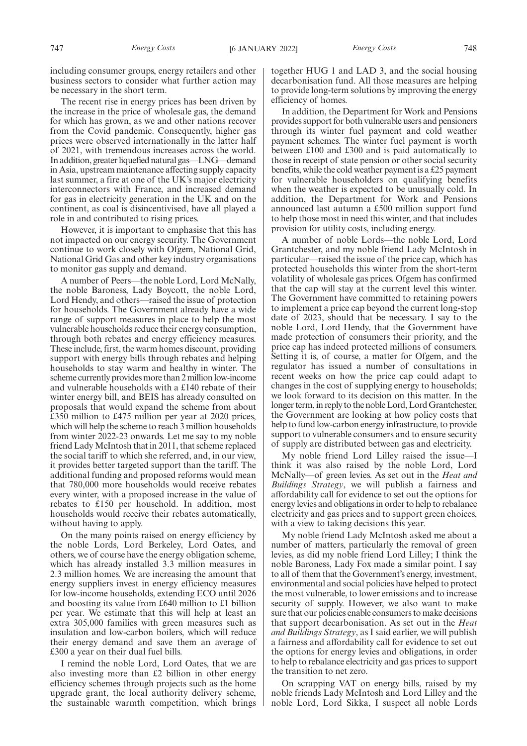including consumer groups, energy retailers and other business sectors to consider what further action may be necessary in the short term.

The recent rise in energy prices has been driven by the increase in the price of wholesale gas, the demand for which has grown, as we and other nations recover from the Covid pandemic. Consequently, higher gas prices were observed internationally in the latter half of 2021, with tremendous increases across the world. In addition, greater liquefied natural gas—LNG—demand in Asia, upstream maintenance affecting supply capacity last summer, a fire at one of the UK's major electricity interconnectors with France, and increased demand for gas in electricity generation in the UK and on the continent, as coal is disincentivised, have all played a role in and contributed to rising prices.

However, it is important to emphasise that this has not impacted on our energy security. The Government continue to work closely with Ofgem, National Grid, National Grid Gas and other key industry organisations to monitor gas supply and demand.

A number of Peers—the noble Lord, Lord McNally, the noble Baroness, Lady Boycott, the noble Lord, Lord Hendy, and others—raised the issue of protection for households. The Government already have a wide range of support measures in place to help the most vulnerable households reduce their energy consumption, through both rebates and energy efficiency measures. These include, first, the warm homes discount, providing support with energy bills through rebates and helping households to stay warm and healthy in winter. The scheme currently provides more than 2 million low-income and vulnerable households with a £140 rebate of their winter energy bill, and BEIS has already consulted on proposals that would expand the scheme from about £350 million to £475 million per year at 2020 prices, which will help the scheme to reach 3 million households from winter 2022-23 onwards. Let me say to my noble friend Lady McIntosh that in 2011, that scheme replaced the social tariff to which she referred, and, in our view, it provides better targeted support than the tariff. The additional funding and proposed reforms would mean that 780,000 more households would receive rebates every winter, with a proposed increase in the value of rebates to £150 per household. In addition, most households would receive their rebates automatically, without having to apply.

On the many points raised on energy efficiency by the noble Lords, Lord Berkeley, Lord Oates, and others, we of course have the energy obligation scheme, which has already installed 3.3 million measures in 2.3 million homes. We are increasing the amount that energy suppliers invest in energy efficiency measures for low-income households, extending ECO until 2026 and boosting its value from £640 million to £1 billion per year. We estimate that this will help at least an extra 305,000 families with green measures such as insulation and low-carbon boilers, which will reduce their energy demand and save them an average of £300 a year on their dual fuel bills.

I remind the noble Lord, Lord Oates, that we are also investing more than £2 billion in other energy efficiency schemes through projects such as the home upgrade grant, the local authority delivery scheme, the sustainable warmth competition, which brings together HUG 1 and LAD 3, and the social housing decarbonisation fund. All those measures are helping to provide long-term solutions by improving the energy efficiency of homes.

In addition, the Department for Work and Pensions provides support for both vulnerable users and pensioners through its winter fuel payment and cold weather payment schemes. The winter fuel payment is worth between £100 and £300 and is paid automatically to those in receipt of state pension or other social security benefits, while the cold weather payment is a £25 payment for vulnerable householders on qualifying benefits when the weather is expected to be unusually cold. In addition, the Department for Work and Pensions announced last autumn a £500 million support fund to help those most in need this winter, and that includes provision for utility costs, including energy.

A number of noble Lords—the noble Lord, Lord Grantchester, and my noble friend Lady McIntosh in particular—raised the issue of the price cap, which has protected households this winter from the short-term volatility of wholesale gas prices. Ofgem has confirmed that the cap will stay at the current level this winter. The Government have committed to retaining powers to implement a price cap beyond the current long-stop date of 2023, should that be necessary. I say to the noble Lord, Lord Hendy, that the Government have made protection of consumers their priority, and the price cap has indeed protected millions of consumers. Setting it is, of course, a matter for Ofgem, and the regulator has issued a number of consultations in recent weeks on how the price cap could adapt to changes in the cost of supplying energy to households; we look forward to its decision on this matter. In the longer term, in reply to the noble Lord, Lord Grantchester, the Government are looking at how policy costs that help to fund low-carbon energy infrastructure, to provide support to vulnerable consumers and to ensure security of supply are distributed between gas and electricity.

My noble friend Lord Lilley raised the issue—I think it was also raised by the noble Lord, Lord McNally—of green levies. As set out in the *Heat and Buildings Strategy*, we will publish a fairness and affordability call for evidence to set out the options for energy levies and obligations in order to help to rebalance electricity and gas prices and to support green choices, with a view to taking decisions this year.

My noble friend Lady McIntosh asked me about a number of matters, particularly the removal of green levies, as did my noble friend Lord Lilley; I think the noble Baroness, Lady Fox made a similar point. I say to all of them that the Government's energy, investment, environmental and social policies have helped to protect the most vulnerable, to lower emissions and to increase security of supply. However, we also want to make sure that our policies enable consumers to make decisions that support decarbonisation. As set out in the *Heat and Buildings Strategy*, as I said earlier, we will publish a fairness and affordability call for evidence to set out the options for energy levies and obligations, in order to help to rebalance electricity and gas prices to support the transition to net zero.

On scrapping VAT on energy bills, raised by my noble friends Lady McIntosh and Lord Lilley and the noble Lord, Lord Sikka, I suspect all noble Lords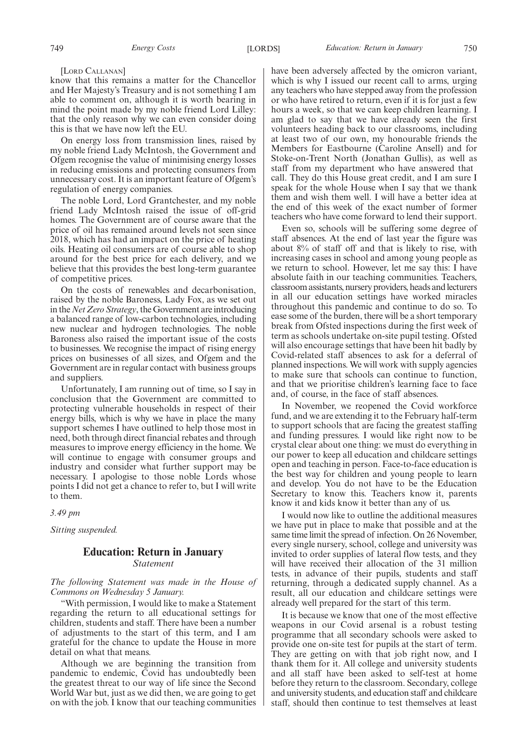#### [LORD CALLANAN]

know that this remains a matter for the Chancellor and Her Majesty's Treasury and is not something I am able to comment on, although it is worth bearing in mind the point made by my noble friend Lord Lilley: that the only reason why we can even consider doing this is that we have now left the EU.

On energy loss from transmission lines, raised by my noble friend Lady McIntosh, the Government and Ofgem recognise the value of minimising energy losses in reducing emissions and protecting consumers from unnecessary cost. It is an important feature of Ofgem's regulation of energy companies.

The noble Lord, Lord Grantchester, and my noble friend Lady McIntosh raised the issue of off-grid homes. The Government are of course aware that the price of oil has remained around levels not seen since 2018, which has had an impact on the price of heating oils. Heating oil consumers are of course able to shop around for the best price for each delivery, and we believe that this provides the best long-term guarantee of competitive prices.

On the costs of renewables and decarbonisation, raised by the noble Baroness, Lady Fox, as we set out in the*Net Zero Strategy*, the Government are introducing a balanced range of low-carbon technologies, including new nuclear and hydrogen technologies. The noble Baroness also raised the important issue of the costs to businesses. We recognise the impact of rising energy prices on businesses of all sizes, and Ofgem and the Government are in regular contact with business groups and suppliers.

Unfortunately, I am running out of time, so I say in conclusion that the Government are committed to protecting vulnerable households in respect of their energy bills, which is why we have in place the many support schemes I have outlined to help those most in need, both through direct financial rebates and through measures to improve energy efficiency in the home. We will continue to engage with consumer groups and industry and consider what further support may be necessary. I apologise to those noble Lords whose points I did not get a chance to refer to, but I will write to them.

*3.49 pm*

*Sitting suspended.*

## **Education: Return in January** *Statement*

*The following Statement was made in the House of Commons on Wednesday 5 January.*

"With permission, I would like to make a Statement regarding the return to all educational settings for children, students and staff. There have been a number of adjustments to the start of this term, and I am grateful for the chance to update the House in more detail on what that means.

Although we are beginning the transition from pandemic to endemic, Covid has undoubtedly been the greatest threat to our way of life since the Second World War but, just as we did then, we are going to get on with the job. I know that our teaching communities have been adversely affected by the omicron variant, which is why I issued our recent call to arms, urging any teachers who have stepped away from the profession or who have retired to return, even if it is for just a few hours a week, so that we can keep children learning. I am glad to say that we have already seen the first volunteers heading back to our classrooms, including at least two of our own, my honourable friends the Members for Eastbourne (Caroline Ansell) and for Stoke-on-Trent North (Jonathan Gullis), as well as staff from my department who have answered that call. They do this House great credit, and I am sure I speak for the whole House when I say that we thank them and wish them well. I will have a better idea at the end of this week of the exact number of former teachers who have come forward to lend their support.

Even so, schools will be suffering some degree of staff absences. At the end of last year the figure was about 8% of staff off and that is likely to rise, with increasing cases in school and among young people as we return to school. However, let me say this: I have absolute faith in our teaching communities. Teachers, classroom assistants, nursery providers, heads and lecturers in all our education settings have worked miracles throughout this pandemic and continue to do so. To ease some of the burden, there will be a short temporary break from Ofsted inspections during the first week of term as schools undertake on-site pupil testing. Ofsted will also encourage settings that have been hit badly by Covid-related staff absences to ask for a deferral of planned inspections. We will work with supply agencies to make sure that schools can continue to function, and that we prioritise children's learning face to face and, of course, in the face of staff absences.

In November, we reopened the Covid workforce fund, and we are extending it to the February half-term to support schools that are facing the greatest staffing and funding pressures. I would like right now to be crystal clear about one thing: we must do everything in our power to keep all education and childcare settings open and teaching in person. Face-to-face education is the best way for children and young people to learn and develop. You do not have to be the Education Secretary to know this. Teachers know it, parents know it and kids know it better than any of us.

I would now like to outline the additional measures we have put in place to make that possible and at the same time limit the spread of infection. On 26 November, every single nursery, school, college and university was invited to order supplies of lateral flow tests, and they will have received their allocation of the 31 million tests, in advance of their pupils, students and staff returning, through a dedicated supply channel. As a result, all our education and childcare settings were already well prepared for the start of this term.

It is because we know that one of the most effective weapons in our Covid arsenal is a robust testing programme that all secondary schools were asked to provide one on-site test for pupils at the start of term. They are getting on with that job right now, and I thank them for it. All college and university students and all staff have been asked to self-test at home before they return to the classroom. Secondary, college and university students, and education staff and childcare staff, should then continue to test themselves at least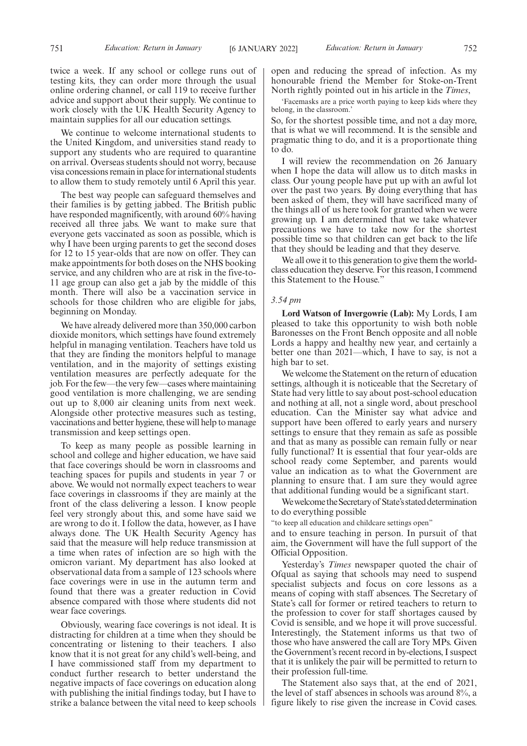We continue to welcome international students to the United Kingdom, and universities stand ready to support any students who are required to quarantine on arrival. Overseas students should not worry, because visa concessions remain in place for international students to allow them to study remotely until 6 April this year.

The best way people can safeguard themselves and their families is by getting jabbed. The British public have responded magnificently, with around 60% having received all three jabs. We want to make sure that everyone gets vaccinated as soon as possible, which is why I have been urging parents to get the second doses for 12 to 15 year-olds that are now on offer. They can make appointments for both doses on the NHS booking service, and any children who are at risk in the five-to-11 age group can also get a jab by the middle of this month. There will also be a vaccination service in schools for those children who are eligible for jabs, beginning on Monday.

We have already delivered more than 350,000 carbon dioxide monitors, which settings have found extremely helpful in managing ventilation. Teachers have told us that they are finding the monitors helpful to manage ventilation, and in the majority of settings existing ventilation measures are perfectly adequate for the job. For the few—the very few—cases where maintaining good ventilation is more challenging, we are sending out up to 8,000 air cleaning units from next week. Alongside other protective measures such as testing, vaccinations and better hygiene, these will help to manage transmission and keep settings open.

To keep as many people as possible learning in school and college and higher education, we have said that face coverings should be worn in classrooms and teaching spaces for pupils and students in year 7 or above. We would not normally expect teachers to wear face coverings in classrooms if they are mainly at the front of the class delivering a lesson. I know people feel very strongly about this, and some have said we are wrong to do it. I follow the data, however, as I have always done. The UK Health Security Agency has said that the measure will help reduce transmission at a time when rates of infection are so high with the omicron variant. My department has also looked at observational data from a sample of 123 schools where face coverings were in use in the autumn term and found that there was a greater reduction in Covid absence compared with those where students did not wear face coverings.

Obviously, wearing face coverings is not ideal. It is distracting for children at a time when they should be concentrating or listening to their teachers. I also know that it is not great for any child's well-being, and I have commissioned staff from my department to conduct further research to better understand the negative impacts of face coverings on education along with publishing the initial findings today, but I have to strike a balance between the vital need to keep schools

open and reducing the spread of infection. As my honourable friend the Member for Stoke-on-Trent North rightly pointed out in his article in the *Times*,

'Facemasks are a price worth paying to keep kids where they belong, in the classroom.'

So, for the shortest possible time, and not a day more, that is what we will recommend. It is the sensible and pragmatic thing to do, and it is a proportionate thing to do.

I will review the recommendation on 26 January when I hope the data will allow us to ditch masks in class. Our young people have put up with an awful lot over the past two years. By doing everything that has been asked of them, they will have sacrificed many of the things all of us here took for granted when we were growing up. I am determined that we take whatever precautions we have to take now for the shortest possible time so that children can get back to the life that they should be leading and that they deserve.

We all owe it to this generation to give them the worldclass education they deserve. For this reason, I commend this Statement to the House."

#### *3.54 pm*

**Lord Watson of Invergowrie (Lab):** My Lords, I am pleased to take this opportunity to wish both noble Baronesses on the Front Bench opposite and all noble Lords a happy and healthy new year, and certainly a better one than 2021—which, I have to say, is not a high bar to set.

We welcome the Statement on the return of education settings, although it is noticeable that the Secretary of State had very little to say about post-school education and nothing at all, not a single word, about preschool education. Can the Minister say what advice and support have been offered to early years and nursery settings to ensure that they remain as safe as possible and that as many as possible can remain fully or near fully functional? It is essential that four year-olds are school ready come September, and parents would value an indication as to what the Government are planning to ensure that. I am sure they would agree that additional funding would be a significant start.

We welcome the Secretary of State's stated determination to do everything possible

"to keep all education and childcare settings open"

and to ensure teaching in person. In pursuit of that aim, the Government will have the full support of the Official Opposition.

Yesterday's *Times* newspaper quoted the chair of Ofqual as saying that schools may need to suspend specialist subjects and focus on core lessons as a means of coping with staff absences. The Secretary of State's call for former or retired teachers to return to the profession to cover for staff shortages caused by Covid is sensible, and we hope it will prove successful. Interestingly, the Statement informs us that two of those who have answered the call are Tory MPs. Given the Government's recent record in by-elections, I suspect that it is unlikely the pair will be permitted to return to their profession full-time.

The Statement also says that, at the end of 2021, the level of staff absences in schools was around 8%, a figure likely to rise given the increase in Covid cases.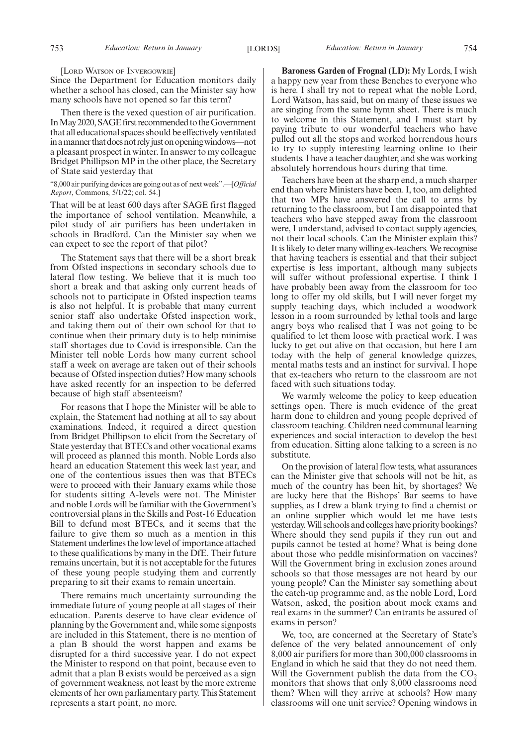#### [LORD WATSON OF INVERGOWRIE]

Since the Department for Education monitors daily whether a school has closed, can the Minister say how many schools have not opened so far this term?

Then there is the vexed question of air purification. In May 2020, SAGE first recommended to the Government that all educational spaces should be effectively ventilated inamannerthatdoesnotrelyjustonopeningwindows—not a pleasant prospect in winter. In answer to my colleague Bridget Phillipson MP in the other place, the Secretary of State said yesterday that

## "8,000 air purifying devices are going out as of next week".—[*Official Report*, Commons, 5/1/22; col. 54.]

That will be at least 600 days after SAGE first flagged the importance of school ventilation. Meanwhile, a pilot study of air purifiers has been undertaken in schools in Bradford. Can the Minister say when we can expect to see the report of that pilot?

The Statement says that there will be a short break from Ofsted inspections in secondary schools due to lateral flow testing. We believe that it is much too short a break and that asking only current heads of schools not to participate in Ofsted inspection teams is also not helpful. It is probable that many current senior staff also undertake Ofsted inspection work, and taking them out of their own school for that to continue when their primary duty is to help minimise staff shortages due to Covid is irresponsible. Can the Minister tell noble Lords how many current school staff a week on average are taken out of their schools because of Ofsted inspection duties? How many schools have asked recently for an inspection to be deferred because of high staff absenteeism?

For reasons that I hope the Minister will be able to explain, the Statement had nothing at all to say about examinations. Indeed, it required a direct question from Bridget Phillipson to elicit from the Secretary of State yesterday that BTECs and other vocational exams will proceed as planned this month. Noble Lords also heard an education Statement this week last year, and one of the contentious issues then was that BTECs were to proceed with their January exams while those for students sitting A-levels were not. The Minister and noble Lords will be familiar with the Government's controversial plans in the Skills and Post-16 Education Bill to defund most BTECs, and it seems that the failure to give them so much as a mention in this Statement underlines the low level of importance attached to these qualifications by many in the DfE. Their future remains uncertain, but it is not acceptable for the futures of these young people studying them and currently preparing to sit their exams to remain uncertain.

There remains much uncertainty surrounding the immediate future of young people at all stages of their education. Parents deserve to have clear evidence of planning by the Government and, while some signposts are included in this Statement, there is no mention of a plan B should the worst happen and exams be disrupted for a third successive year. I do not expect the Minister to respond on that point, because even to admit that a plan B exists would be perceived as a sign of government weakness, not least by the more extreme elements of her own parliamentary party. This Statement represents a start point, no more.

**Baroness Garden of Frognal (LD):** My Lords, I wish a happy new year from these Benches to everyone who is here. I shall try not to repeat what the noble Lord, Lord Watson, has said, but on many of these issues we are singing from the same hymn sheet. There is much to welcome in this Statement, and I must start by paying tribute to our wonderful teachers who have pulled out all the stops and worked horrendous hours to try to supply interesting learning online to their students. I have a teacher daughter, and she was working absolutely horrendous hours during that time.

Teachers have been at the sharp end, a much sharper end than where Ministers have been. I, too, am delighted that two MPs have answered the call to arms by returning to the classroom, but I am disappointed that teachers who have stepped away from the classroom were, I understand, advised to contact supply agencies, not their local schools. Can the Minister explain this? It is likely to deter many willing ex-teachers. We recognise that having teachers is essential and that their subject expertise is less important, although many subjects will suffer without professional expertise. I think I have probably been away from the classroom for too long to offer my old skills, but I will never forget my supply teaching days, which included a woodwork lesson in a room surrounded by lethal tools and large angry boys who realised that I was not going to be qualified to let them loose with practical work. I was lucky to get out alive on that occasion, but here I am today with the help of general knowledge quizzes, mental maths tests and an instinct for survival. I hope that ex-teachers who return to the classroom are not faced with such situations today.

We warmly welcome the policy to keep education settings open. There is much evidence of the great harm done to children and young people deprived of classroom teaching. Children need communal learning experiences and social interaction to develop the best from education. Sitting alone talking to a screen is no substitute.

On the provision of lateral flow tests, what assurances can the Minister give that schools will not be hit, as much of the country has been hit, by shortages? We are lucky here that the Bishops' Bar seems to have supplies, as I drew a blank trying to find a chemist or an online supplier which would let me have tests yesterday. Will schools and colleges have priority bookings? Where should they send pupils if they run out and pupils cannot be tested at home? What is being done about those who peddle misinformation on vaccines? Will the Government bring in exclusion zones around schools so that those messages are not heard by our young people? Can the Minister say something about the catch-up programme and, as the noble Lord, Lord Watson, asked, the position about mock exams and real exams in the summer? Can entrants be assured of exams in person?

We, too, are concerned at the Secretary of State's defence of the very belated announcement of only 8,000 air purifiers for more than 300,000 classrooms in England in which he said that they do not need them. Will the Government publish the data from the  $CO<sub>2</sub>$ monitors that shows that only 8,000 classrooms need them? When will they arrive at schools? How many classrooms will one unit service? Opening windows in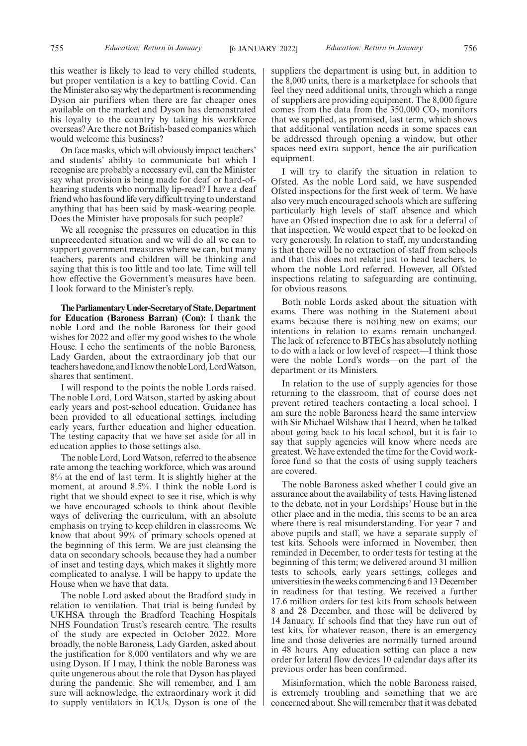this weather is likely to lead to very chilled students, but proper ventilation is a key to battling Covid. Can the Minister also say why the department is recommending Dyson air purifiers when there are far cheaper ones available on the market and Dyson has demonstrated his loyalty to the country by taking his workforce overseas? Are there not British-based companies which would welcome this business?

On face masks, which will obviously impact teachers' and students' ability to communicate but which I recognise are probably a necessary evil, can the Minister say what provision is being made for deaf or hard-ofhearing students who normally lip-read? I have a deaf friend who has found life very difficult trying to understand anything that has been said by mask-wearing people. Does the Minister have proposals for such people?

We all recognise the pressures on education in this unprecedented situation and we will do all we can to support government measures where we can, but many teachers, parents and children will be thinking and saying that this is too little and too late. Time will tell how effective the Government's measures have been. I look forward to the Minister's reply.

**TheParliamentaryUnder-Secretaryof State,Department for Education (Baroness Barran) (Con):** I thank the noble Lord and the noble Baroness for their good wishes for 2022 and offer my good wishes to the whole House. I echo the sentiments of the noble Baroness, Lady Garden, about the extraordinary job that our teachershavedone,andIknowthenobleLord,LordWatson, shares that sentiment.

I will respond to the points the noble Lords raised. The noble Lord, Lord Watson, started by asking about early years and post-school education. Guidance has been provided to all educational settings, including early years, further education and higher education. The testing capacity that we have set aside for all in education applies to those settings also.

The noble Lord, Lord Watson, referred to the absence rate among the teaching workforce, which was around 8% at the end of last term. It is slightly higher at the moment, at around 8.5%. I think the noble Lord is right that we should expect to see it rise, which is why we have encouraged schools to think about flexible ways of delivering the curriculum, with an absolute emphasis on trying to keep children in classrooms. We know that about 99% of primary schools opened at the beginning of this term. We are just cleansing the data on secondary schools, because they had a number of inset and testing days, which makes it slightly more complicated to analyse. I will be happy to update the House when we have that data.

The noble Lord asked about the Bradford study in relation to ventilation. That trial is being funded by UKHSA through the Bradford Teaching Hospitals NHS Foundation Trust's research centre. The results of the study are expected in October 2022. More broadly, the noble Baroness, Lady Garden, asked about the justification for 8,000 ventilators and why we are using Dyson. If I may, I think the noble Baroness was quite ungenerous about the role that Dyson has played during the pandemic. She will remember, and I am sure will acknowledge, the extraordinary work it did to supply ventilators in ICUs. Dyson is one of the

suppliers the department is using but, in addition to the 8,000 units, there is a marketplace for schools that feel they need additional units, through which a range of suppliers are providing equipment. The 8,000 figure comes from the data from the  $350,000$  CO<sub>2</sub> monitors that we supplied, as promised, last term, which shows that additional ventilation needs in some spaces can be addressed through opening a window, but other spaces need extra support, hence the air purification equipment.

I will try to clarify the situation in relation to Ofsted. As the noble Lord said, we have suspended Ofsted inspections for the first week of term. We have also very much encouraged schools which are suffering particularly high levels of staff absence and which have an Ofsted inspection due to ask for a deferral of that inspection. We would expect that to be looked on very generously. In relation to staff, my understanding is that there will be no extraction of staff from schools and that this does not relate just to head teachers, to whom the noble Lord referred. However, all Ofsted inspections relating to safeguarding are continuing, for obvious reasons.

Both noble Lords asked about the situation with exams. There was nothing in the Statement about exams because there is nothing new on exams; our intentions in relation to exams remain unchanged. The lack of reference to BTECs has absolutely nothing to do with a lack or low level of respect—I think those were the noble Lord's words—on the part of the department or its Ministers.

In relation to the use of supply agencies for those returning to the classroom, that of course does not prevent retired teachers contacting a local school. I am sure the noble Baroness heard the same interview with Sir Michael Wilshaw that I heard, when he talked about going back to his local school, but it is fair to say that supply agencies will know where needs are greatest. We have extended the time for the Covid workforce fund so that the costs of using supply teachers are covered.

The noble Baroness asked whether I could give an assurance about the availability of tests. Having listened to the debate, not in your Lordships' House but in the other place and in the media, this seems to be an area where there is real misunderstanding. For year 7 and above pupils and staff, we have a separate supply of test kits. Schools were informed in November, then reminded in December, to order tests for testing at the beginning of this term; we delivered around 31 million tests to schools, early years settings, colleges and universities in the weeks commencing 6 and 13 December in readiness for that testing. We received a further 17.6 million orders for test kits from schools between 8 and 28 December, and those will be delivered by 14 January. If schools find that they have run out of test kits, for whatever reason, there is an emergency line and those deliveries are normally turned around in 48 hours. Any education setting can place a new order for lateral flow devices 10 calendar days after its previous order has been confirmed.

Misinformation, which the noble Baroness raised, is extremely troubling and something that we are concerned about. She will remember that it was debated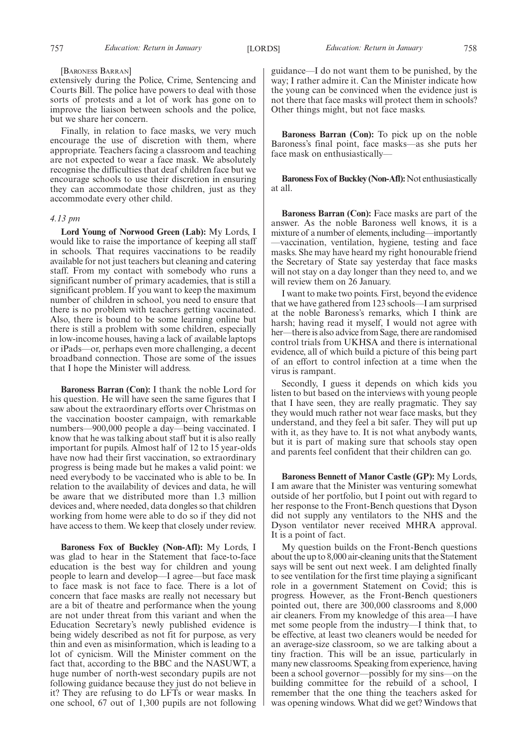#### [BARONESS BARRAN]

extensively during the Police, Crime, Sentencing and Courts Bill. The police have powers to deal with those sorts of protests and a lot of work has gone on to improve the liaison between schools and the police, but we share her concern.

Finally, in relation to face masks, we very much encourage the use of discretion with them, where appropriate. Teachers facing a classroom and teaching are not expected to wear a face mask. We absolutely recognise the difficulties that deaf children face but we encourage schools to use their discretion in ensuring they can accommodate those children, just as they accommodate every other child.

## *4.13 pm*

**Lord Young of Norwood Green (Lab):** My Lords, I would like to raise the importance of keeping all staff in schools. That requires vaccinations to be readily available for not just teachers but cleaning and catering staff. From my contact with somebody who runs a significant number of primary academies, that is still a significant problem. If you want to keep the maximum number of children in school, you need to ensure that there is no problem with teachers getting vaccinated. Also, there is bound to be some learning online but there is still a problem with some children, especially in low-income houses, having a lack of available laptops or iPads—or, perhaps even more challenging, a decent broadband connection. Those are some of the issues that I hope the Minister will address.

**Baroness Barran (Con):** I thank the noble Lord for his question. He will have seen the same figures that I saw about the extraordinary efforts over Christmas on the vaccination booster campaign, with remarkable numbers—900,000 people a day—being vaccinated. I know that he was talking about staff but it is also really important for pupils. Almost half of 12 to 15 year-olds have now had their first vaccination, so extraordinary progress is being made but he makes a valid point: we need everybody to be vaccinated who is able to be. In relation to the availability of devices and data, he will be aware that we distributed more than 1.3 million devices and, where needed, data dongles so that children working from home were able to do so if they did not have access to them. We keep that closely under review.

**Baroness Fox of Buckley (Non-Afl):** My Lords, I was glad to hear in the Statement that face-to-face education is the best way for children and young people to learn and develop—I agree—but face mask to face mask is not face to face. There is a lot of concern that face masks are really not necessary but are a bit of theatre and performance when the young are not under threat from this variant and when the Education Secretary's newly published evidence is being widely described as not fit for purpose, as very thin and even as misinformation, which is leading to a lot of cynicism. Will the Minister comment on the fact that, according to the BBC and the NASUWT, a huge number of north-west secondary pupils are not following guidance because they just do not believe in it? They are refusing to do LFTs or wear masks. In one school, 67 out of 1,300 pupils are not following guidance—I do not want them to be punished, by the way; I rather admire it. Can the Minister indicate how the young can be convinced when the evidence just is not there that face masks will protect them in schools? Other things might, but not face masks.

**Baroness Barran (Con):** To pick up on the noble Baroness's final point, face masks—as she puts her face mask on enthusiastically—

**Baroness Fox of Buckley (Non-Afl):** Not enthusiastically at all.

**Baroness Barran (Con):** Face masks are part of the answer. As the noble Baroness well knows, it is a mixture of a number of elements, including—importantly —vaccination, ventilation, hygiene, testing and face masks. She may have heard my right honourable friend the Secretary of State say yesterday that face masks will not stay on a day longer than they need to, and we will review them on 26 January.

I want to make two points. First, beyond the evidence that we have gathered from 123 schools—I am surprised at the noble Baroness's remarks, which I think are harsh; having read it myself, I would not agree with her—there is also advice from Sage, there are randomised control trials from UKHSA and there is international evidence, all of which build a picture of this being part of an effort to control infection at a time when the virus is rampant.

Secondly, I guess it depends on which kids you listen to but based on the interviews with young people that I have seen, they are really pragmatic. They say they would much rather not wear face masks, but they understand, and they feel a bit safer. They will put up with it, as they have to. It is not what anybody wants, but it is part of making sure that schools stay open and parents feel confident that their children can go.

**Baroness Bennett of Manor Castle (GP):** My Lords, I am aware that the Minister was venturing somewhat outside of her portfolio, but I point out with regard to her response to the Front-Bench questions that Dyson did not supply any ventilators to the NHS and the Dyson ventilator never received MHRA approval. It is a point of fact.

My question builds on the Front-Bench questions about the up to 8,000 air-cleaning units that the Statement says will be sent out next week. I am delighted finally to see ventilation for the first time playing a significant role in a government Statement on Covid; this is progress. However, as the Front-Bench questioners pointed out, there are 300,000 classrooms and 8,000 air cleaners. From my knowledge of this area—I have met some people from the industry—I think that, to be effective, at least two cleaners would be needed for an average-size classroom, so we are talking about a tiny fraction. This will be an issue, particularly in many new classrooms. Speaking from experience, having been a school governor—possibly for my sins—on the building committee for the rebuild of a school, I remember that the one thing the teachers asked for was opening windows. What did we get? Windows that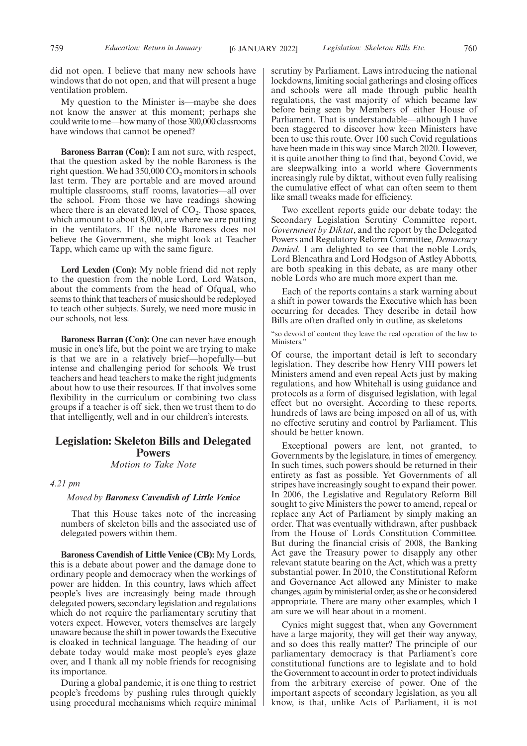did not open. I believe that many new schools have windows that do not open, and that will present a huge ventilation problem.

My question to the Minister is—maybe she does not know the answer at this moment; perhaps she could write to me—how many of those 300,000 classrooms have windows that cannot be opened?

**Baroness Barran (Con):** I am not sure, with respect, that the question asked by the noble Baroness is the right question. We had  $350,000 \text{ CO}$ , monitors in schools last term. They are portable and are moved around multiple classrooms, staff rooms, lavatories—all over the school. From those we have readings showing where there is an elevated level of  $CO<sub>2</sub>$ . Those spaces, which amount to about 8,000, are where we are putting in the ventilators. If the noble Baroness does not believe the Government, she might look at Teacher Tapp, which came up with the same figure.

**Lord Lexden (Con):** My noble friend did not reply to the question from the noble Lord, Lord Watson, about the comments from the head of Ofqual, who seems to think that teachers of music should be redeployed to teach other subjects. Surely, we need more music in our schools, not less.

**Baroness Barran (Con):** One can never have enough music in one's life, but the point we are trying to make is that we are in a relatively brief—hopefully—but intense and challenging period for schools. We trust teachers and head teachers to make the right judgments about how to use their resources. If that involves some flexibility in the curriculum or combining two class groups if a teacher is off sick, then we trust them to do that intelligently, well and in our children's interests.

## **Legislation: Skeleton Bills and Delegated Powers**

*Motion to Take Note*

*4.21 pm*

## *Moved by Baroness Cavendish of Little Venice*

That this House takes note of the increasing numbers of skeleton bills and the associated use of delegated powers within them.

**Baroness Cavendish of Little Venice (CB):** My Lords, this is a debate about power and the damage done to ordinary people and democracy when the workings of power are hidden. In this country, laws which affect people's lives are increasingly being made through delegated powers, secondary legislation and regulations which do not require the parliamentary scrutiny that voters expect. However, voters themselves are largely unaware because the shift in power towards the Executive is cloaked in technical language. The heading of our debate today would make most people's eyes glaze over, and I thank all my noble friends for recognising its importance.

During a global pandemic, it is one thing to restrict people's freedoms by pushing rules through quickly using procedural mechanisms which require minimal scrutiny by Parliament. Laws introducing the national lockdowns, limiting social gatherings and closing offices and schools were all made through public health regulations, the vast majority of which became law before being seen by Members of either House of Parliament. That is understandable—although I have been staggered to discover how keen Ministers have been to use this route. Over 100 such Covid regulations have been made in this way since March 2020. However, it is quite another thing to find that, beyond Covid, we are sleepwalking into a world where Governments increasingly rule by diktat, without even fully realising the cumulative effect of what can often seem to them like small tweaks made for efficiency.

Two excellent reports guide our debate today: the Secondary Legislation Scrutiny Committee report, *Government by Diktat*, and the report by the Delegated Powers and Regulatory Reform Committee, *Democracy Denied*. I am delighted to see that the noble Lords, Lord Blencathra and Lord Hodgson of Astley Abbotts, are both speaking in this debate, as are many other noble Lords who are much more expert than me.

Each of the reports contains a stark warning about a shift in power towards the Executive which has been occurring for decades. They describe in detail how Bills are often drafted only in outline, as skeletons

"so devoid of content they leave the real operation of the law to Ministers.'

Of course, the important detail is left to secondary legislation. They describe how Henry VIII powers let Ministers amend and even repeal Acts just by making regulations, and how Whitehall is using guidance and protocols as a form of disguised legislation, with legal effect but no oversight. According to these reports, hundreds of laws are being imposed on all of us, with no effective scrutiny and control by Parliament. This should be better known.

Exceptional powers are lent, not granted, to Governments by the legislature, in times of emergency. In such times, such powers should be returned in their entirety as fast as possible. Yet Governments of all stripes have increasingly sought to expand their power. In 2006, the Legislative and Regulatory Reform Bill sought to give Ministers the power to amend, repeal or replace any Act of Parliament by simply making an order. That was eventually withdrawn, after pushback from the House of Lords Constitution Committee. But during the financial crisis of 2008, the Banking Act gave the Treasury power to disapply any other relevant statute bearing on the Act, which was a pretty substantial power. In 2010, the Constitutional Reform and Governance Act allowed any Minister to make changes, again by ministerial order, as she or he considered appropriate. There are many other examples, which I am sure we will hear about in a moment.

Cynics might suggest that, when any Government have a large majority, they will get their way anyway, and so does this really matter? The principle of our parliamentary democracy is that Parliament's core constitutional functions are to legislate and to hold the Government to account in order to protect individuals from the arbitrary exercise of power. One of the important aspects of secondary legislation, as you all know, is that, unlike Acts of Parliament, it is not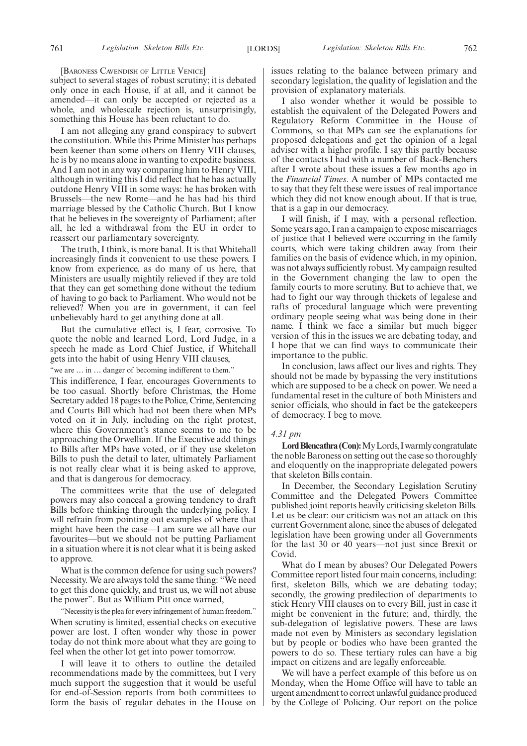[BARONESS CAVENDISH OF LITTLE VENICE]

subject to several stages of robust scrutiny; it is debated only once in each House, if at all, and it cannot be amended—it can only be accepted or rejected as a whole, and wholescale rejection is, unsurprisingly, something this House has been reluctant to do.

I am not alleging any grand conspiracy to subvert the constitution. While this Prime Minister has perhaps been keener than some others on Henry VIII clauses, he is by no means alone in wanting to expedite business. And I am not in any way comparing him to Henry VIII, although in writing this I did reflect that he has actually outdone Henry VIII in some ways: he has broken with Brussels—the new Rome—and he has had his third marriage blessed by the Catholic Church. But I know that he believes in the sovereignty of Parliament; after all, he led a withdrawal from the EU in order to reassert our parliamentary sovereignty.

The truth, I think, is more banal. It is that Whitehall increasingly finds it convenient to use these powers. I know from experience, as do many of us here, that Ministers are usually mightily relieved if they are told that they can get something done without the tedium of having to go back to Parliament. Who would not be relieved? When you are in government, it can feel unbelievably hard to get anything done at all.

But the cumulative effect is, I fear, corrosive. To quote the noble and learned Lord, Lord Judge, in a speech he made as Lord Chief Justice, if Whitehall gets into the habit of using Henry VIII clauses,

"we are … in … danger of becoming indifferent to them." This indifference, I fear, encourages Governments to be too casual. Shortly before Christmas, the Home Secretary added 18 pages to the Police, Crime, Sentencing and Courts Bill which had not been there when MPs voted on it in July, including on the right protest, where this Government's stance seems to me to be approaching the Orwellian. If the Executive add things to Bills after MPs have voted, or if they use skeleton Bills to push the detail to later, ultimately Parliament is not really clear what it is being asked to approve, and that is dangerous for democracy.

The committees write that the use of delegated powers may also conceal a growing tendency to draft Bills before thinking through the underlying policy. I will refrain from pointing out examples of where that might have been the case—I am sure we all have our favourites—but we should not be putting Parliament in a situation where it is not clear what it is being asked to approve.

What is the common defence for using such powers? Necessity. We are always told the same thing: "We need to get this done quickly, and trust us, we will not abuse the power". But as William Pitt once warned,

"Necessity is the plea for every infringement of human freedom." When scrutiny is limited, essential checks on executive power are lost. I often wonder why those in power today do not think more about what they are going to feel when the other lot get into power tomorrow.

I will leave it to others to outline the detailed recommendations made by the committees, but I very much support the suggestion that it would be useful for end-of-Session reports from both committees to form the basis of regular debates in the House on issues relating to the balance between primary and secondary legislation, the quality of legislation and the provision of explanatory materials.

I also wonder whether it would be possible to establish the equivalent of the Delegated Powers and Regulatory Reform Committee in the House of Commons, so that MPs can see the explanations for proposed delegations and get the opinion of a legal adviser with a higher profile. I say this partly because of the contacts I had with a number of Back-Benchers after I wrote about these issues a few months ago in the *Financial Times*. A number of MPs contacted me to say that they felt these were issues of real importance which they did not know enough about. If that is true, that is a gap in our democracy.

I will finish, if I may, with a personal reflection. Some years ago, I ran a campaign to expose miscarriages of justice that I believed were occurring in the family courts, which were taking children away from their families on the basis of evidence which, in my opinion, was not always sufficiently robust. My campaign resulted in the Government changing the law to open the family courts to more scrutiny. But to achieve that, we had to fight our way through thickets of legalese and rafts of procedural language which were preventing ordinary people seeing what was being done in their name. I think we face a similar but much bigger version of this in the issues we are debating today, and I hope that we can find ways to communicate their importance to the public.

In conclusion, laws affect our lives and rights. They should not be made by bypassing the very institutions which are supposed to be a check on power. We need a fundamental reset in the culture of both Ministers and senior officials, who should in fact be the gatekeepers of democracy. I beg to move.

#### *4.31 pm*

Lord Blencathra (Con): My Lords, I warmly congratulate the noble Baroness on setting out the case so thoroughly and eloquently on the inappropriate delegated powers that skeleton Bills contain.

In December, the Secondary Legislation Scrutiny Committee and the Delegated Powers Committee published joint reports heavily criticising skeleton Bills. Let us be clear: our criticism was not an attack on this current Government alone, since the abuses of delegated legislation have been growing under all Governments for the last 30 or 40 years—not just since Brexit or Covid.

What do I mean by abuses? Our Delegated Powers Committee report listed four main concerns, including: first, skeleton Bills, which we are debating today; secondly, the growing predilection of departments to stick Henry VIII clauses on to every Bill, just in case it might be convenient in the future; and, thirdly, the sub-delegation of legislative powers. These are laws made not even by Ministers as secondary legislation but by people or bodies who have been granted the powers to do so. These tertiary rules can have a big impact on citizens and are legally enforceable.

We will have a perfect example of this before us on Monday, when the Home Office will have to table an urgent amendment to correct unlawful guidance produced by the College of Policing. Our report on the police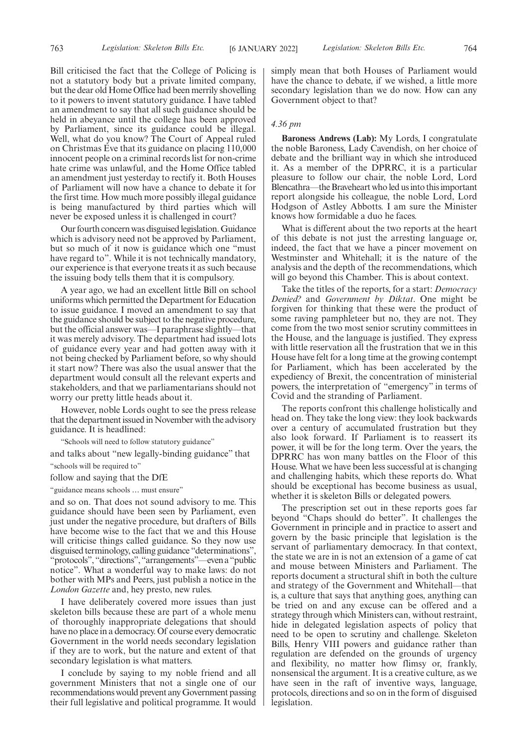Bill criticised the fact that the College of Policing is not a statutory body but a private limited company, but the dear old Home Office had been merrily shovelling to it powers to invent statutory guidance. I have tabled an amendment to say that all such guidance should be held in abeyance until the college has been approved by Parliament, since its guidance could be illegal. Well, what do you know? The Court of Appeal ruled on Christmas Eve that its guidance on placing 110,000 innocent people on a criminal records list for non-crime hate crime was unlawful, and the Home Office tabled an amendment just yesterday to rectify it. Both Houses of Parliament will now have a chance to debate it for the first time. How much more possibly illegal guidance is being manufactured by third parties which will never be exposed unless it is challenged in court?

Our fourth concern was disguised legislation. Guidance which is advisory need not be approved by Parliament, but so much of it now is guidance which one "must have regard to". While it is not technically mandatory, our experience is that everyone treats it as such because the issuing body tells them that it is compulsory.

A year ago, we had an excellent little Bill on school uniforms which permitted the Department for Education to issue guidance. I moved an amendment to say that the guidance should be subject to the negative procedure, but the official answer was—I paraphrase slightly—that it was merely advisory. The department had issued lots of guidance every year and had gotten away with it not being checked by Parliament before, so why should it start now? There was also the usual answer that the department would consult all the relevant experts and stakeholders, and that we parliamentarians should not worry our pretty little heads about it.

However, noble Lords ought to see the press release that the department issued in November with the advisory guidance. It is headlined:

"Schools will need to follow statutory guidance"

and talks about "new legally-binding guidance" that "schools will be required to"

follow and saying that the DfE

"guidance means schools … must ensure"

and so on. That does not sound advisory to me. This guidance should have been seen by Parliament, even just under the negative procedure, but drafters of Bills have become wise to the fact that we and this House will criticise things called guidance. So they now use disguised terminology, calling guidance "determinations", "protocols","directions","arrangements"—evena"public notice". What a wonderful way to make laws: do not bother with MPs and Peers, just publish a notice in the *London Gazette* and, hey presto, new rules.

I have deliberately covered more issues than just skeleton bills because these are part of a whole menu of thoroughly inappropriate delegations that should have no place in a democracy. Of course every democratic Government in the world needs secondary legislation if they are to work, but the nature and extent of that secondary legislation is what matters.

I conclude by saying to my noble friend and all government Ministers that not a single one of our recommendations would prevent any Government passing their full legislative and political programme. It would simply mean that both Houses of Parliament would have the chance to debate, if we wished, a little more secondary legislation than we do now. How can any Government object to that?

## *4.36 pm*

**Baroness Andrews (Lab):** My Lords, I congratulate the noble Baroness, Lady Cavendish, on her choice of debate and the brilliant way in which she introduced it. As a member of the DPRRC, it is a particular pleasure to follow our chair, the noble Lord, Lord Blencathra—the Braveheart who led us into this important report alongside his colleague, the noble Lord, Lord Hodgson of Astley Abbotts. I am sure the Minister knows how formidable a duo he faces.

What is different about the two reports at the heart of this debate is not just the arresting language or, indeed, the fact that we have a pincer movement on Westminster and Whitehall; it is the nature of the analysis and the depth of the recommendations, which will go beyond this Chamber. This is about context.

Take the titles of the reports, for a start: *Democracy Denied?* and *Government by Diktat*. One might be forgiven for thinking that these were the product of some raving pamphleteer but no, they are not. They come from the two most senior scrutiny committees in the House, and the language is justified. They express with little reservation all the frustration that we in this House have felt for a long time at the growing contempt for Parliament, which has been accelerated by the expediency of Brexit, the concentration of ministerial powers, the interpretation of "emergency" in terms of Covid and the stranding of Parliament.

The reports confront this challenge holistically and head on. They take the long view: they look backwards over a century of accumulated frustration but they also look forward. If Parliament is to reassert its power, it will be for the long term. Over the years, the DPRRC has won many battles on the Floor of this House. What we have been less successful at is changing and challenging habits, which these reports do. What should be exceptional has become business as usual, whether it is skeleton Bills or delegated powers.

The prescription set out in these reports goes far beyond "Chaps should do better". It challenges the Government in principle and in practice to assert and govern by the basic principle that legislation is the servant of parliamentary democracy. In that context, the state we are in is not an extension of a game of cat and mouse between Ministers and Parliament. The reports document a structural shift in both the culture and strategy of the Government and Whitehall—that is, a culture that says that anything goes, anything can be tried on and any excuse can be offered and a strategy through which Ministers can, without restraint, hide in delegated legislation aspects of policy that need to be open to scrutiny and challenge. Skeleton Bills, Henry VIII powers and guidance rather than regulation are defended on the grounds of urgency and flexibility, no matter how flimsy or, frankly, nonsensical the argument. It is a creative culture, as we have seen in the raft of inventive ways, language, protocols, directions and so on in the form of disguised legislation.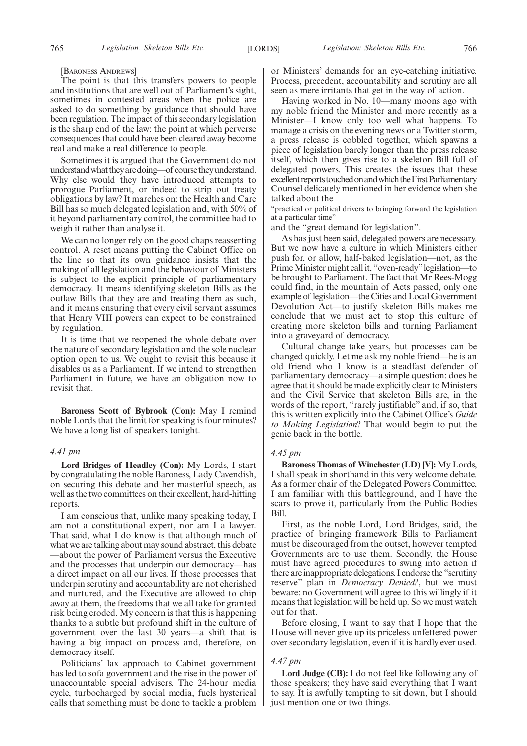[BARONESS ANDREWS]

The point is that this transfers powers to people and institutions that are well out of Parliament's sight, sometimes in contested areas when the police are asked to do something by guidance that should have been regulation. The impact of this secondary legislation is the sharp end of the law: the point at which perverse consequences that could have been cleared away become real and make a real difference to people.

Sometimes it is argued that the Government do not understand what they are doing—of course they understand. Why else would they have introduced attempts to prorogue Parliament, or indeed to strip out treaty obligations by law? It marches on: the Health and Care Bill has so much delegated legislation and, with 50% of it beyond parliamentary control, the committee had to weigh it rather than analyse it.

We can no longer rely on the good chaps reasserting control. A reset means putting the Cabinet Office on the line so that its own guidance insists that the making of all legislation and the behaviour of Ministers is subject to the explicit principle of parliamentary democracy. It means identifying skeleton Bills as the outlaw Bills that they are and treating them as such, and it means ensuring that every civil servant assumes that Henry VIII powers can expect to be constrained by regulation.

It is time that we reopened the whole debate over the nature of secondary legislation and the sole nuclear option open to us. We ought to revisit this because it disables us as a Parliament. If we intend to strengthen Parliament in future, we have an obligation now to revisit that.

**Baroness Scott of Bybrook (Con):** May I remind noble Lords that the limit for speaking is four minutes? We have a long list of speakers tonight.

## *4.41 pm*

**Lord Bridges of Headley (Con):** My Lords, I start by congratulating the noble Baroness, Lady Cavendish, on securing this debate and her masterful speech, as well as the two committees on their excellent, hard-hitting reports.

I am conscious that, unlike many speaking today, I am not a constitutional expert, nor am I a lawyer. That said, what I do know is that although much of what we are talking about may sound abstract, this debate —about the power of Parliament versus the Executive and the processes that underpin our democracy—has a direct impact on all our lives. If those processes that underpin scrutiny and accountability are not cherished and nurtured, and the Executive are allowed to chip away at them, the freedoms that we all take for granted risk being eroded. My concern is that this is happening thanks to a subtle but profound shift in the culture of government over the last 30 years—a shift that is having a big impact on process and, therefore, on democracy itself.

Politicians' lax approach to Cabinet government has led to sofa government and the rise in the power of unaccountable special advisers. The 24-hour media cycle, turbocharged by social media, fuels hysterical calls that something must be done to tackle a problem or Ministers' demands for an eye-catching initiative. Process, precedent, accountability and scrutiny are all seen as mere irritants that get in the way of action.

Having worked in No. 10—many moons ago with my noble friend the Minister and more recently as a Minister—I know only too well what happens. To manage a crisis on the evening news or a Twitter storm, a press release is cobbled together, which spawns a piece of legislation barely longer than the press release itself, which then gives rise to a skeleton Bill full of delegated powers. This creates the issues that these excellent reports touched on and which the First Parliamentary Counsel delicately mentioned in her evidence when she talked about the

"practical or political drivers to bringing forward the legislation at a particular time"

and the "great demand for legislation".

As has just been said, delegated powers are necessary. But we now have a culture in which Ministers either push for, or allow, half-baked legislation—not, as the Prime Minister might call it, "oven-ready"legislation—to be brought to Parliament. The fact that Mr Rees-Mogg could find, in the mountain of Acts passed, only one example of legislation—the Cities and Local Government Devolution Act—to justify skeleton Bills makes me conclude that we must act to stop this culture of creating more skeleton bills and turning Parliament into a graveyard of democracy.

Cultural change take years, but processes can be changed quickly. Let me ask my noble friend—he is an old friend who I know is a steadfast defender of parliamentary democracy—a simple question: does he agree that it should be made explicitly clear to Ministers and the Civil Service that skeleton Bills are, in the words of the report, "rarely justifiable" and, if so, that this is written explicitly into the Cabinet Office's *Guide to Making Legislation*? That would begin to put the genie back in the bottle.

## *4.45 pm*

**Baroness Thomas of Winchester (LD) [V]:** My Lords, I shall speak in shorthand in this very welcome debate. As a former chair of the Delegated Powers Committee, I am familiar with this battleground, and I have the scars to prove it, particularly from the Public Bodies Bill.

First, as the noble Lord, Lord Bridges, said, the practice of bringing framework Bills to Parliament must be discouraged from the outset, however tempted Governments are to use them. Secondly, the House must have agreed procedures to swing into action if there are inappropriate delegations. I endorse the "scrutiny reserve" plan in *Democracy Denied?*, but we must beware: no Government will agree to this willingly if it means that legislation will be held up. So we must watch out for that.

Before closing, I want to say that I hope that the House will never give up its priceless unfettered power over secondary legislation, even if it is hardly ever used.

## *4.47 pm*

**Lord Judge (CB):** I do not feel like following any of those speakers; they have said everything that I want to say. It is awfully tempting to sit down, but I should just mention one or two things.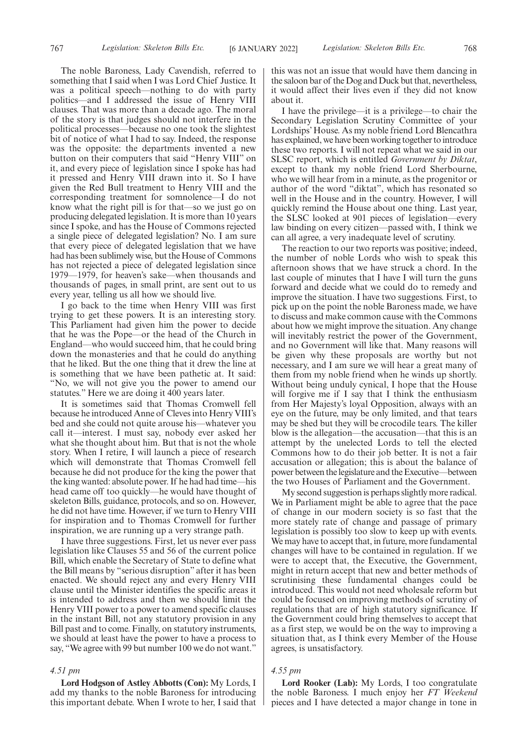The noble Baroness, Lady Cavendish, referred to something that I said when I was Lord Chief Justice. It was a political speech—nothing to do with party politics—and I addressed the issue of Henry VIII clauses. That was more than a decade ago. The moral of the story is that judges should not interfere in the political processes—because no one took the slightest bit of notice of what I had to say. Indeed, the response was the opposite: the departments invented a new button on their computers that said "Henry VIII" on it, and every piece of legislation since I spoke has had it pressed and Henry VIII drawn into it. So I have given the Red Bull treatment to Henry VIII and the corresponding treatment for somnolence—I do not know what the right pill is for that—so we just go on producing delegated legislation. It is more than 10 years since I spoke, and has the House of Commons rejected a single piece of delegated legislation? No. I am sure that every piece of delegated legislation that we have had has been sublimely wise, but the House of Commons has not rejected a piece of delegated legislation since 1979—1979, for heaven's sake—when thousands and thousands of pages, in small print, are sent out to us every year, telling us all how we should live.

I go back to the time when Henry VIII was first trying to get these powers. It is an interesting story. This Parliament had given him the power to decide that he was the Pope—or the head of the Church in England—who would succeed him, that he could bring down the monasteries and that he could do anything that he liked. But the one thing that it drew the line at is something that we have been pathetic at. It said: "No, we will not give you the power to amend our statutes." Here we are doing it 400 years later.

It is sometimes said that Thomas Cromwell fell because he introduced Anne of Cleves into Henry VIII's bed and she could not quite arouse his—whatever you call it—interest. I must say, nobody ever asked her what she thought about him. But that is not the whole story. When I retire, I will launch a piece of research which will demonstrate that Thomas Cromwell fell because he did not produce for the king the power that the king wanted: absolute power. If he had had time—his head came off too quickly—he would have thought of skeleton Bills, guidance, protocols, and so on. However, he did not have time. However, if we turn to Henry VIII for inspiration and to Thomas Cromwell for further inspiration, we are running up a very strange path.

I have three suggestions. First, let us never ever pass legislation like Clauses 55 and 56 of the current police Bill, which enable the Secretary of State to define what the Bill means by "serious disruption" after it has been enacted. We should reject any and every Henry VIII clause until the Minister identifies the specific areas it is intended to address and then we should limit the Henry VIII power to a power to amend specific clauses in the instant Bill, not any statutory provision in any Bill past and to come. Finally, on statutory instruments, we should at least have the power to have a process to say, "We agree with 99 but number 100 we do not want."

## *4.51 pm*

**Lord Hodgson of Astley Abbotts (Con):** My Lords, I add my thanks to the noble Baroness for introducing this important debate. When I wrote to her, I said that this was not an issue that would have them dancing in the saloon bar of the Dog and Duck but that, nevertheless, it would affect their lives even if they did not know about it.

I have the privilege—it is a privilege—to chair the Secondary Legislation Scrutiny Committee of your Lordships' House. As my noble friend Lord Blencathra has explained, we have been working together to introduce these two reports. I will not repeat what we said in our SLSC report, which is entitled *Government by Diktat*, except to thank my noble friend Lord Sherbourne, who we will hear from in a minute, as the progenitor or author of the word "diktat", which has resonated so well in the House and in the country. However, I will quickly remind the House about one thing. Last year, the SLSC looked at 901 pieces of legislation—every law binding on every citizen—passed with, I think we can all agree, a very inadequate level of scrutiny.

The reaction to our two reports was positive; indeed, the number of noble Lords who wish to speak this afternoon shows that we have struck a chord. In the last couple of minutes that I have I will turn the guns forward and decide what we could do to remedy and improve the situation. I have two suggestions. First, to pick up on the point the noble Baroness made, we have to discuss and make common cause with the Commons about how we might improve the situation. Any change will inevitably restrict the power of the Government, and no Government will like that. Many reasons will be given why these proposals are worthy but not necessary, and I am sure we will hear a great many of them from my noble friend when he winds up shortly. Without being unduly cynical, I hope that the House will forgive me if I say that I think the enthusiasm from Her Majesty's loyal Opposition, always with an eye on the future, may be only limited, and that tears may be shed but they will be crocodile tears. The killer blow is the allegation—the accusation—that this is an attempt by the unelected Lords to tell the elected Commons how to do their job better. It is not a fair accusation or allegation; this is about the balance of power between the legislature and the Executive—between the two Houses of Parliament and the Government.

My second suggestion is perhaps slightly more radical. We in Parliament might be able to agree that the pace of change in our modern society is so fast that the more stately rate of change and passage of primary legislation is possibly too slow to keep up with events. We may have to accept that, in future, more fundamental changes will have to be contained in regulation. If we were to accept that, the Executive, the Government, might in return accept that new and better methods of scrutinising these fundamental changes could be introduced. This would not need wholesale reform but could be focused on improving methods of scrutiny of regulations that are of high statutory significance. If the Government could bring themselves to accept that as a first step, we would be on the way to improving a situation that, as I think every Member of the House agrees, is unsatisfactory.

## *4.55 pm*

**Lord Rooker (Lab):** My Lords, I too congratulate the noble Baroness. I much enjoy her *FT Weekend* pieces and I have detected a major change in tone in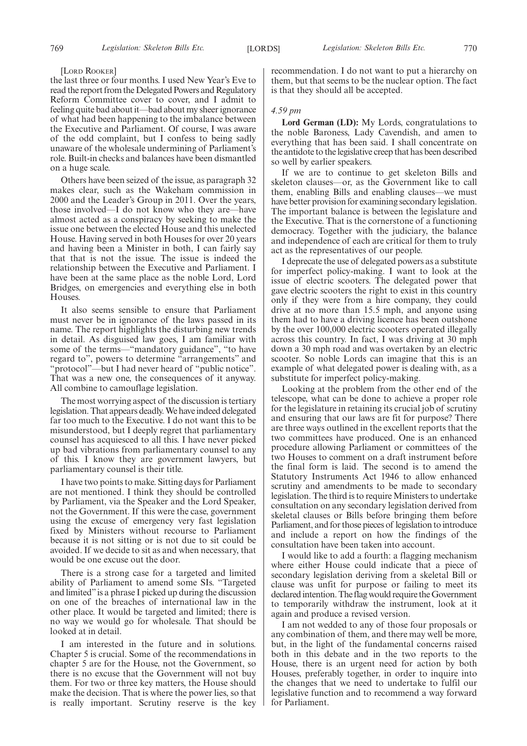## [LORD ROOKER]

the last three or four months. I used New Year's Eve to read the report from the Delegated Powers and Regulatory Reform Committee cover to cover, and I admit to feeling quite bad about it—bad about my sheer ignorance of what had been happening to the imbalance between the Executive and Parliament. Of course, I was aware of the odd complaint, but I confess to being sadly unaware of the wholesale undermining of Parliament's role. Built-in checks and balances have been dismantled on a huge scale.

Others have been seized of the issue, as paragraph 32 makes clear, such as the Wakeham commission in 2000 and the Leader's Group in 2011. Over the years, those involved—I do not know who they are—have almost acted as a conspiracy by seeking to make the issue one between the elected House and this unelected House. Having served in both Houses for over 20 years and having been a Minister in both, I can fairly say that that is not the issue. The issue is indeed the relationship between the Executive and Parliament. I have been at the same place as the noble Lord, Lord Bridges, on emergencies and everything else in both Houses.

It also seems sensible to ensure that Parliament must never be in ignorance of the laws passed in its name. The report highlights the disturbing new trends in detail. As disguised law goes, I am familiar with some of the terms—"mandatory guidance", "to have regard to", powers to determine "arrangements" and "protocol"—but I had never heard of "public notice". That was a new one, the consequences of it anyway. All combine to camouflage legislation.

The most worrying aspect of the discussion is tertiary legislation. That appears deadly. We have indeed delegated far too much to the Executive. I do not want this to be misunderstood, but I deeply regret that parliamentary counsel has acquiesced to all this. I have never picked up bad vibrations from parliamentary counsel to any of this. I know they are government lawyers, but parliamentary counsel is their title.

I have two points to make. Sitting days for Parliament are not mentioned. I think they should be controlled by Parliament, via the Speaker and the Lord Speaker, not the Government. If this were the case, government using the excuse of emergency very fast legislation fixed by Ministers without recourse to Parliament because it is not sitting or is not due to sit could be avoided. If we decide to sit as and when necessary, that would be one excuse out the door.

There is a strong case for a targeted and limited ability of Parliament to amend some SIs. "Targeted and limited"is a phrase I picked up during the discussion on one of the breaches of international law in the other place. It would be targeted and limited; there is no way we would go for wholesale. That should be looked at in detail.

I am interested in the future and in solutions. Chapter 5 is crucial. Some of the recommendations in chapter 5 are for the House, not the Government, so there is no excuse that the Government will not buy them. For two or three key matters, the House should make the decision. That is where the power lies, so that is really important. Scrutiny reserve is the key recommendation. I do not want to put a hierarchy on them, but that seems to be the nuclear option. The fact is that they should all be accepted.

## *4.59 pm*

**Lord German (LD):** My Lords, congratulations to the noble Baroness, Lady Cavendish, and amen to everything that has been said. I shall concentrate on the antidote to the legislative creep that has been described so well by earlier speakers.

If we are to continue to get skeleton Bills and skeleton clauses—or, as the Government like to call them, enabling Bills and enabling clauses—we must have better provision for examining secondary legislation. The important balance is between the legislature and the Executive. That is the cornerstone of a functioning democracy. Together with the judiciary, the balance and independence of each are critical for them to truly act as the representatives of our people.

I deprecate the use of delegated powers as a substitute for imperfect policy-making. I want to look at the issue of electric scooters. The delegated power that gave electric scooters the right to exist in this country only if they were from a hire company, they could drive at no more than 15.5 mph, and anyone using them had to have a driving licence has been outshone by the over 100,000 electric scooters operated illegally across this country. In fact, I was driving at 30 mph down a 30 mph road and was overtaken by an electric scooter. So noble Lords can imagine that this is an example of what delegated power is dealing with, as a substitute for imperfect policy-making.

Looking at the problem from the other end of the telescope, what can be done to achieve a proper role for the legislature in retaining its crucial job of scrutiny and ensuring that our laws are fit for purpose? There are three ways outlined in the excellent reports that the two committees have produced. One is an enhanced procedure allowing Parliament or committees of the two Houses to comment on a draft instrument before the final form is laid. The second is to amend the Statutory Instruments Act 1946 to allow enhanced scrutiny and amendments to be made to secondary legislation. The third is to require Ministers to undertake consultation on any secondary legislation derived from skeletal clauses or Bills before bringing them before Parliament, and for those pieces of legislation to introduce and include a report on how the findings of the consultation have been taken into account.

I would like to add a fourth: a flagging mechanism where either House could indicate that a piece of secondary legislation deriving from a skeletal Bill or clause was unfit for purpose or failing to meet its declared intention. The flag would require the Government to temporarily withdraw the instrument, look at it again and produce a revised version.

I am not wedded to any of those four proposals or any combination of them, and there may well be more, but, in the light of the fundamental concerns raised both in this debate and in the two reports to the House, there is an urgent need for action by both Houses, preferably together, in order to inquire into the changes that we need to undertake to fulfil our legislative function and to recommend a way forward for Parliament.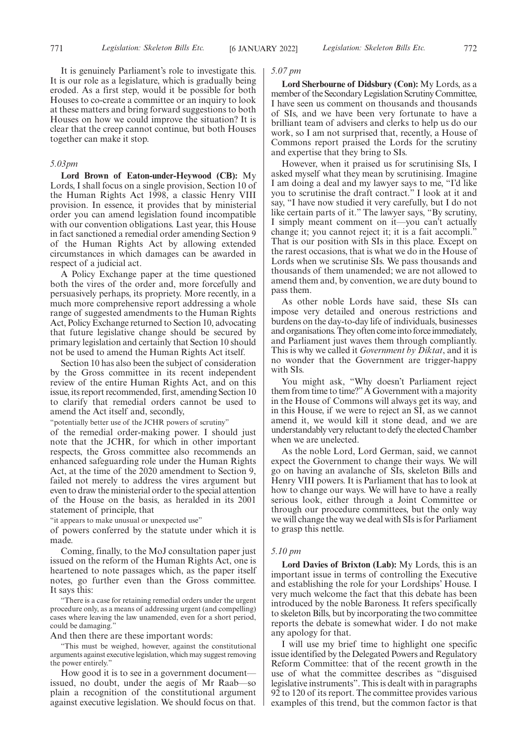It is genuinely Parliament's role to investigate this. It is our role as a legislature, which is gradually being eroded. As a first step, would it be possible for both Houses to co-create a committee or an inquiry to look at these matters and bring forward suggestions to both Houses on how we could improve the situation? It is clear that the creep cannot continue, but both Houses together can make it stop.

## *5.03pm*

**Lord Brown of Eaton-under-Heywood (CB):** My Lords, I shall focus on a single provision, Section 10 of the Human Rights Act 1998, a classic Henry VIII provision. In essence, it provides that by ministerial order you can amend legislation found incompatible with our convention obligations. Last year, this House in fact sanctioned a remedial order amending Section 9 of the Human Rights Act by allowing extended circumstances in which damages can be awarded in respect of a judicial act.

A Policy Exchange paper at the time questioned both the vires of the order and, more forcefully and persuasively perhaps, its propriety. More recently, in a much more comprehensive report addressing a whole range of suggested amendments to the Human Rights Act, Policy Exchange returned to Section 10, advocating that future legislative change should be secured by primary legislation and certainly that Section 10 should not be used to amend the Human Rights Act itself.

Section 10 has also been the subject of consideration by the Gross committee in its recent independent review of the entire Human Rights Act, and on this issue, its report recommended, first, amending Section 10 to clarify that remedial orders cannot be used to amend the Act itself and, secondly,

"potentially better use of the JCHR powers of scrutiny"

of the remedial order-making power. I should just note that the JCHR, for which in other important respects, the Gross committee also recommends an enhanced safeguarding role under the Human Rights Act, at the time of the 2020 amendment to Section 9, failed not merely to address the vires argument but even to draw the ministerial order to the special attention of the House on the basis, as heralded in its 2001 statement of principle, that

"it appears to make unusual or unexpected use"

of powers conferred by the statute under which it is made.

Coming, finally, to the MoJ consultation paper just issued on the reform of the Human Rights Act, one is heartened to note passages which, as the paper itself notes, go further even than the Gross committee. It says this:

"There is a case for retaining remedial orders under the urgent procedure only, as a means of addressing urgent (and compelling) cases where leaving the law unamended, even for a short period, could be damaging.

And then there are these important words:

"This must be weighed, however, against the constitutional arguments against executive legislation, which may suggest removing the power entirely."

How good it is to see in a government document issued, no doubt, under the aegis of Mr Raab—so plain a recognition of the constitutional argument against executive legislation. We should focus on that.

## *5.07 pm*

**Lord Sherbourne of Didsbury (Con):** My Lords, as a member of the Secondary Legislation Scrutiny Committee, I have seen us comment on thousands and thousands of SIs, and we have been very fortunate to have a brilliant team of advisers and clerks to help us do our work, so I am not surprised that, recently, a House of Commons report praised the Lords for the scrutiny and expertise that they bring to SIs.

However, when it praised us for scrutinising SIs, I asked myself what they mean by scrutinising. Imagine I am doing a deal and my lawyer says to me, "I'd like you to scrutinise the draft contract." I look at it and say, "I have now studied it very carefully, but I do not like certain parts of it." The lawyer says, "By scrutiny, I simply meant comment on it—you can't actually change it; you cannot reject it; it is a fait accompli." That is our position with SIs in this place. Except on the rarest occasions, that is what we do in the House of Lords when we scrutinise SIs. We pass thousands and thousands of them unamended; we are not allowed to amend them and, by convention, we are duty bound to pass them.

As other noble Lords have said, these SIs can impose very detailed and onerous restrictions and burdens on the day-to-day life of individuals, businesses and organisations. They often come into force immediately, and Parliament just waves them through compliantly. This is why we called it *Government by Diktat*, and it is no wonder that the Government are trigger-happy with SIs.

You might ask, "Why doesn't Parliament reject them from time to time?" A Government with a majority in the House of Commons will always get its way, and in this House, if we were to reject an SI, as we cannot amend it, we would kill it stone dead, and we are understandably very reluctant to defy the elected Chamber when we are unelected.

As the noble Lord, Lord German, said, we cannot expect the Government to change their ways. We will go on having an avalanche of SIs, skeleton Bills and Henry VIII powers. It is Parliament that has to look at how to change our ways. We will have to have a really serious look, either through a Joint Committee or through our procedure committees, but the only way we will change the way we deal with SIs is for Parliament to grasp this nettle.

## *5.10 pm*

**Lord Davies of Brixton (Lab):** My Lords, this is an important issue in terms of controlling the Executive and establishing the role for your Lordships' House. I very much welcome the fact that this debate has been introduced by the noble Baroness. It refers specifically to skeleton Bills, but by incorporating the two committee reports the debate is somewhat wider. I do not make any apology for that.

I will use my brief time to highlight one specific issue identified by the Delegated Powers and Regulatory Reform Committee: that of the recent growth in the use of what the committee describes as "disguised legislative instruments". This is dealt with in paragraphs 92 to 120 of its report. The committee provides various examples of this trend, but the common factor is that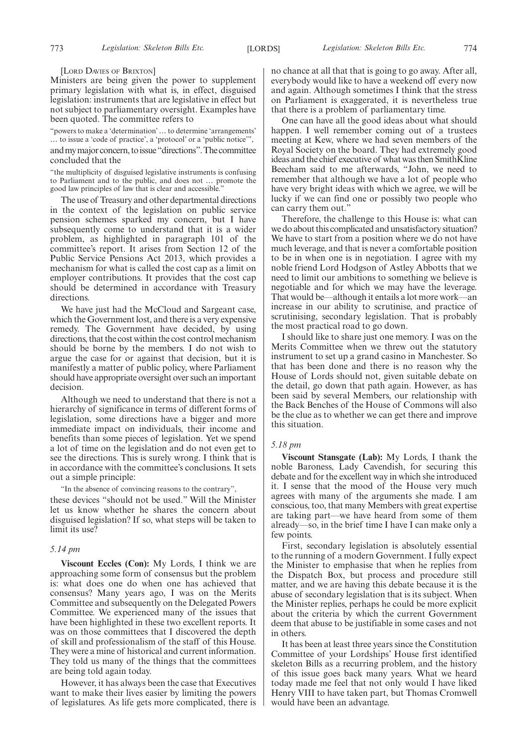## [LORD DAVIES OF BRIXTON]

Ministers are being given the power to supplement primary legislation with what is, in effect, disguised legislation: instruments that are legislative in effect but not subject to parliamentary oversight. Examples have been quoted. The committee refers to

"powers to make a 'determination'… to determine 'arrangements' … to issue a 'code of practice', a 'protocol' or a 'public notice'", and my major concern, to issue "directions". The committee concluded that the

"the multiplicity of disguised legislative instruments is confusing to Parliament and to the public, and does not … promote the good law principles of law that is clear and accessible."

The use of Treasury and other departmental directions in the context of the legislation on public service pension schemes sparked my concern, but I have subsequently come to understand that it is a wider problem, as highlighted in paragraph 101 of the committee's report. It arises from Section 12 of the Public Service Pensions Act 2013, which provides a mechanism for what is called the cost cap as a limit on employer contributions. It provides that the cost cap should be determined in accordance with Treasury directions.

We have just had the McCloud and Sargeant case, which the Government lost, and there is a very expensive remedy. The Government have decided, by using directions, that the cost within the cost control mechanism should be borne by the members. I do not wish to argue the case for or against that decision, but it is manifestly a matter of public policy, where Parliament should have appropriate oversight over such an important decision.

Although we need to understand that there is not a hierarchy of significance in terms of different forms of legislation, some directions have a bigger and more immediate impact on individuals, their income and benefits than some pieces of legislation. Yet we spend a lot of time on the legislation and do not even get to see the directions. This is surely wrong. I think that is in accordance with the committee's conclusions. It sets out a simple principle:

"In the absence of convincing reasons to the contrary",

these devices "should not be used." Will the Minister let us know whether he shares the concern about disguised legislation? If so, what steps will be taken to limit its use?

## *5.14 pm*

**Viscount Eccles (Con):** My Lords, I think we are approaching some form of consensus but the problem is: what does one do when one has achieved that consensus? Many years ago, I was on the Merits Committee and subsequently on the Delegated Powers Committee. We experienced many of the issues that have been highlighted in these two excellent reports. It was on those committees that I discovered the depth of skill and professionalism of the staff of this House. They were a mine of historical and current information. They told us many of the things that the committees are being told again today.

However, it has always been the case that Executives want to make their lives easier by limiting the powers of legislatures. As life gets more complicated, there is no chance at all that that is going to go away. After all, everybody would like to have a weekend off every now and again. Although sometimes I think that the stress on Parliament is exaggerated, it is nevertheless true that there is a problem of parliamentary time.

One can have all the good ideas about what should happen. I well remember coming out of a trustees meeting at Kew, where we had seven members of the Royal Society on the board. They had extremely good ideas and the chief executive of what was then SmithKline Beecham said to me afterwards, "John, we need to remember that although we have a lot of people who have very bright ideas with which we agree, we will be lucky if we can find one or possibly two people who can carry them out."

Therefore, the challenge to this House is: what can we do about this complicated and unsatisfactory situation? We have to start from a position where we do not have much leverage, and that is never a comfortable position to be in when one is in negotiation. I agree with my noble friend Lord Hodgson of Astley Abbotts that we need to limit our ambitions to something we believe is negotiable and for which we may have the leverage. That would be—although it entails a lot more work—an increase in our ability to scrutinise, and practice of scrutinising, secondary legislation. That is probably the most practical road to go down.

I should like to share just one memory. I was on the Merits Committee when we threw out the statutory instrument to set up a grand casino in Manchester. So that has been done and there is no reason why the House of Lords should not, given suitable debate on the detail, go down that path again. However, as has been said by several Members, our relationship with the Back Benches of the House of Commons will also be the clue as to whether we can get there and improve this situation.

## *5.18 pm*

**Viscount Stansgate (Lab):** My Lords, I thank the noble Baroness, Lady Cavendish, for securing this debate and for the excellent way in which she introduced it. I sense that the mood of the House very much agrees with many of the arguments she made. I am conscious, too, that many Members with great expertise are taking part—we have heard from some of them already—so, in the brief time I have I can make only a few points.

First, secondary legislation is absolutely essential to the running of a modern Government. I fully expect the Minister to emphasise that when he replies from the Dispatch Box, but process and procedure still matter, and we are having this debate because it is the abuse of secondary legislation that is its subject. When the Minister replies, perhaps he could be more explicit about the criteria by which the current Government deem that abuse to be justifiable in some cases and not in others.

It has been at least three years since the Constitution Committee of your Lordships' House first identified skeleton Bills as a recurring problem, and the history of this issue goes back many years. What we heard today made me feel that not only would I have liked Henry VIII to have taken part, but Thomas Cromwell would have been an advantage.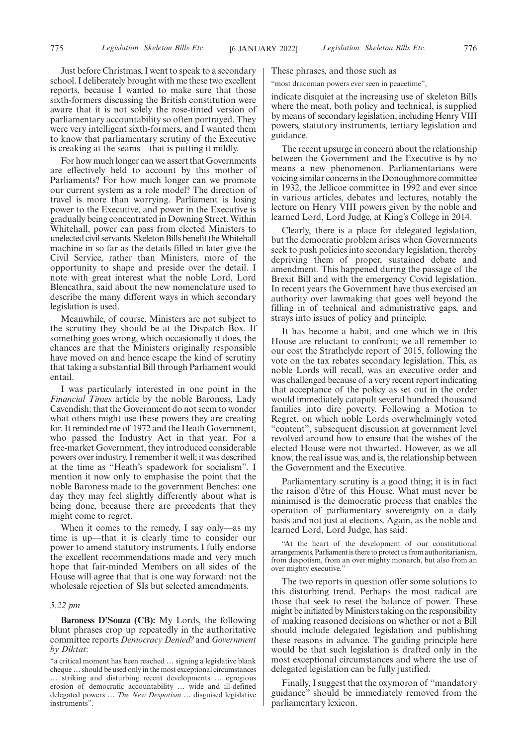Just before Christmas, I went to speak to a secondary school. I deliberately brought with me these two excellent reports, because I wanted to make sure that those sixth-formers discussing the British constitution were aware that it is not solely the rose-tinted version of parliamentary accountability so often portrayed. They were very intelligent sixth-formers, and I wanted them to know that parliamentary scrutiny of the Executive is creaking at the seams—that is putting it mildly.

For how much longer can we assert that Governments are effectively held to account by this mother of Parliaments? For how much longer can we promote our current system as a role model? The direction of travel is more than worrying. Parliament is losing power to the Executive, and power in the Executive is gradually being concentrated in Downing Street. Within Whitehall, power can pass from elected Ministers to unelected civil servants. Skeleton Bills benefit the Whitehall machine in so far as the details filled in later give the Civil Service, rather than Ministers, more of the opportunity to shape and preside over the detail. I note with great interest what the noble Lord, Lord Blencathra, said about the new nomenclature used to describe the many different ways in which secondary legislation is used.

Meanwhile, of course, Ministers are not subject to the scrutiny they should be at the Dispatch Box. If something goes wrong, which occasionally it does, the chances are that the Ministers originally responsible have moved on and hence escape the kind of scrutiny that taking a substantial Bill through Parliament would entail.

I was particularly interested in one point in the *Financial Times* article by the noble Baroness, Lady Cavendish: that the Government do not seem to wonder what others might use these powers they are creating for. It reminded me of 1972 and the Heath Government, who passed the Industry Act in that year. For a free-market Government, they introduced considerable powers over industry. I remember it well; it was described at the time as "Heath's spadework for socialism". I mention it now only to emphasise the point that the noble Baroness made to the government Benches: one day they may feel slightly differently about what is being done, because there are precedents that they might come to regret.

When it comes to the remedy, I say only—as my time is up—that it is clearly time to consider our power to amend statutory instruments. I fully endorse the excellent recommendations made and very much hope that fair-minded Members on all sides of the House will agree that that is one way forward: not the wholesale rejection of SIs but selected amendments.

## *5.22 pm*

**Baroness D'Souza (CB):** My Lords, the following blunt phrases crop up repeatedly in the authoritative committee reports *Democracy Denied?* and *Government by Diktat*:

These phrases, and those such as

"most draconian powers ever seen in peacetime",

indicate disquiet at the increasing use of skeleton Bills where the meat, both policy and technical, is supplied by means of secondary legislation, including Henry VIII powers, statutory instruments, tertiary legislation and guidance.

The recent upsurge in concern about the relationship between the Government and the Executive is by no means a new phenomenon. Parliamentarians were voicing similar concerns in the Donoughmore committee in 1932, the Jellicoe committee in 1992 and ever since in various articles, debates and lectures, notably the lecture on Henry VIII powers given by the noble and learned Lord, Lord Judge, at King's College in 2014.

Clearly, there is a place for delegated legislation, but the democratic problem arises when Governments seek to push policies into secondary legislation, thereby depriving them of proper, sustained debate and amendment. This happened during the passage of the Brexit Bill and with the emergency Covid legislation. In recent years the Government have thus exercised an authority over lawmaking that goes well beyond the filling in of technical and administrative gaps, and strays into issues of policy and principle.

It has become a habit, and one which we in this House are reluctant to confront; we all remember to our cost the Strathclyde report of 2015, following the vote on the tax rebates secondary legislation. This, as noble Lords will recall, was an executive order and was challenged because of a very recent report indicating that acceptance of the policy as set out in the order would immediately catapult several hundred thousand families into dire poverty. Following a Motion to Regret, on which noble Lords overwhelmingly voted "content", subsequent discussion at government level revolved around how to ensure that the wishes of the elected House were not thwarted. However, as we all know, the real issue was, and is, the relationship between the Government and the Executive.

Parliamentary scrutiny is a good thing; it is in fact the raison d'être of this House. What must never be minimised is the democratic process that enables the operation of parliamentary sovereignty on a daily basis and not just at elections. Again, as the noble and learned Lord, Lord Judge, has said:

"At the heart of the development of our constitutional arrangements, Parliament is there to protect us from authoritarianism, from despotism, from an over mighty monarch, but also from an over mighty executive."

The two reports in question offer some solutions to this disturbing trend. Perhaps the most radical are those that seek to reset the balance of power. These might be initiated by Ministers taking on the responsibility of making reasoned decisions on whether or not a Bill should include delegated legislation and publishing these reasons in advance. The guiding principle here would be that such legislation is drafted only in the most exceptional circumstances and where the use of delegated legislation can be fully justified.

Finally, I suggest that the oxymoron of "mandatory guidance" should be immediately removed from the parliamentary lexicon.

<sup>&</sup>quot;a critical moment has been reached … signing a legislative blank cheque…should be used only in the most exceptional circumstances … striking and disturbing recent developments … egregious erosion of democratic accountability … wide and ill-defined delegated powers … *The New Despotism* … disguised legislative instruments".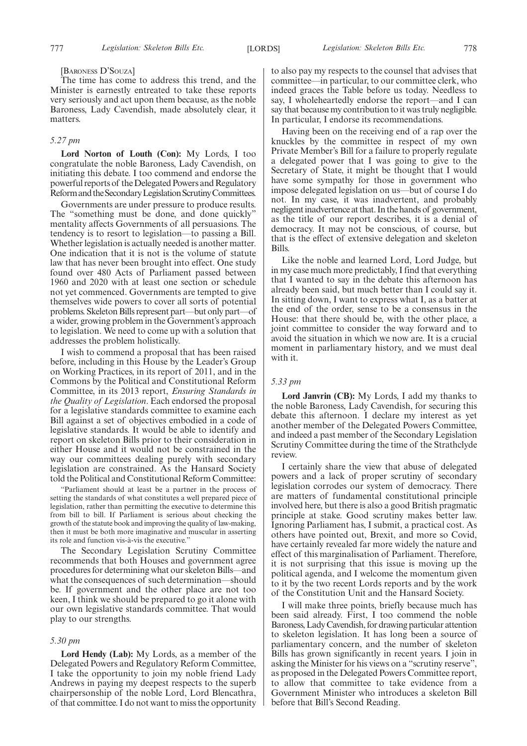## [BARONESS D'SOUZA]

The time has come to address this trend, and the Minister is earnestly entreated to take these reports very seriously and act upon them because, as the noble Baroness, Lady Cavendish, made absolutely clear, it matters.

## *5.27 pm*

**Lord Norton of Louth (Con):** My Lords, I too congratulate the noble Baroness, Lady Cavendish, on initiating this debate. I too commend and endorse the powerful reports of the Delegated Powers and Regulatory Reform and the Secondary Legislation Scrutiny Committees.

Governments are under pressure to produce results. The "something must be done, and done quickly" mentality affects Governments of all persuasions. The tendency is to resort to legislation—to passing a Bill. Whether legislation is actually needed is another matter. One indication that it is not is the volume of statute law that has never been brought into effect. One study found over 480 Acts of Parliament passed between 1960 and 2020 with at least one section or schedule not yet commenced. Governments are tempted to give themselves wide powers to cover all sorts of potential problems. Skeleton Bills represent part—but only part—of a wider, growing problem in the Government's approach to legislation. We need to come up with a solution that addresses the problem holistically.

I wish to commend a proposal that has been raised before, including in this House by the Leader's Group on Working Practices, in its report of 2011, and in the Commons by the Political and Constitutional Reform Committee, in its 2013 report, *Ensuring Standards in the Quality of Legislation*. Each endorsed the proposal for a legislative standards committee to examine each Bill against a set of objectives embodied in a code of legislative standards. It would be able to identify and report on skeleton Bills prior to their consideration in either House and it would not be constrained in the way our committees dealing purely with secondary legislation are constrained. As the Hansard Society told the Political and Constitutional Reform Committee:

"Parliament should at least be a partner in the process of setting the standards of what constitutes a well prepared piece of legislation, rather than permitting the executive to determine this from bill to bill. If Parliament is serious about checking the growth of the statute book and improving the quality of law-making, then it must be both more imaginative and muscular in asserting its role and function vis-à-vis the executive."

The Secondary Legislation Scrutiny Committee recommends that both Houses and government agree procedures for determining what our skeleton Bills—and what the consequences of such determination—should be. If government and the other place are not too keen, I think we should be prepared to go it alone with our own legislative standards committee. That would play to our strengths.

## *5.30 pm*

**Lord Hendy (Lab):** My Lords, as a member of the Delegated Powers and Regulatory Reform Committee, I take the opportunity to join my noble friend Lady Andrews in paying my deepest respects to the superb chairpersonship of the noble Lord, Lord Blencathra, of that committee. I do not want to miss the opportunity to also pay my respects to the counsel that advises that committee—in particular, to our committee clerk, who indeed graces the Table before us today. Needless to say, I wholeheartedly endorse the report—and I can say that because my contribution to it was truly negligible. In particular, I endorse its recommendations.

Having been on the receiving end of a rap over the knuckles by the committee in respect of my own Private Member's Bill for a failure to properly regulate a delegated power that I was going to give to the Secretary of State, it might be thought that I would have some sympathy for those in government who impose delegated legislation on us—but of course I do not. In my case, it was inadvertent, and probably negligent inadvertence at that. In the hands of government, as the title of our report describes, it is a denial of democracy. It may not be conscious, of course, but that is the effect of extensive delegation and skeleton Bills.

Like the noble and learned Lord, Lord Judge, but in my case much more predictably, I find that everything that I wanted to say in the debate this afternoon has already been said, but much better than I could say it. In sitting down, I want to express what I, as a batter at the end of the order, sense to be a consensus in the House: that there should be, with the other place, a joint committee to consider the way forward and to avoid the situation in which we now are. It is a crucial moment in parliamentary history, and we must deal with it.

## *5.33 pm*

**Lord Janvrin (CB):** My Lords, I add my thanks to the noble Baroness, Lady Cavendish, for securing this debate this afternoon. I declare my interest as yet another member of the Delegated Powers Committee, and indeed a past member of the Secondary Legislation Scrutiny Committee during the time of the Strathclyde review.

I certainly share the view that abuse of delegated powers and a lack of proper scrutiny of secondary legislation corrodes our system of democracy. There are matters of fundamental constitutional principle involved here, but there is also a good British pragmatic principle at stake. Good scrutiny makes better law. Ignoring Parliament has, I submit, a practical cost. As others have pointed out, Brexit, and more so Covid, have certainly revealed far more widely the nature and effect of this marginalisation of Parliament. Therefore, it is not surprising that this issue is moving up the political agenda, and I welcome the momentum given to it by the two recent Lords reports and by the work of the Constitution Unit and the Hansard Society.

I will make three points, briefly because much has been said already. First, I too commend the noble Baroness, Lady Cavendish, for drawing particular attention to skeleton legislation. It has long been a source of parliamentary concern, and the number of skeleton Bills has grown significantly in recent years. I join in asking the Minister for his views on a "scrutiny reserve", as proposed in the Delegated Powers Committee report, to allow that committee to take evidence from a Government Minister who introduces a skeleton Bill before that Bill's Second Reading.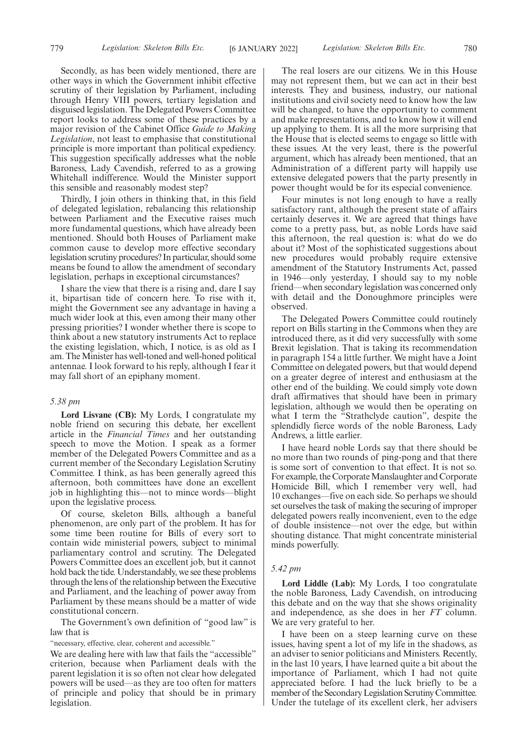Secondly, as has been widely mentioned, there are other ways in which the Government inhibit effective scrutiny of their legislation by Parliament, including through Henry VIII powers, tertiary legislation and disguised legislation. The Delegated Powers Committee report looks to address some of these practices by a major revision of the Cabinet Office *Guide to Making Legislation*, not least to emphasise that constitutional principle is more important than political expediency. This suggestion specifically addresses what the noble Baroness, Lady Cavendish, referred to as a growing Whitehall indifference. Would the Minister support this sensible and reasonably modest step?

Thirdly, I join others in thinking that, in this field of delegated legislation, rebalancing this relationship between Parliament and the Executive raises much more fundamental questions, which have already been mentioned. Should both Houses of Parliament make common cause to develop more effective secondary legislation scrutiny procedures? In particular, should some means be found to allow the amendment of secondary legislation, perhaps in exceptional circumstances?

I share the view that there is a rising and, dare I say it, bipartisan tide of concern here. To rise with it, might the Government see any advantage in having a much wider look at this, even among their many other pressing priorities? I wonder whether there is scope to think about a new statutory instruments Act to replace the existing legislation, which, I notice, is as old as I am. The Minister has well-toned and well-honed political antennae. I look forward to his reply, although I fear it may fall short of an epiphany moment.

## *5.38 pm*

**Lord Lisvane (CB):** My Lords, I congratulate my noble friend on securing this debate, her excellent article in the *Financial Times* and her outstanding speech to move the Motion. I speak as a former member of the Delegated Powers Committee and as a current member of the Secondary Legislation Scrutiny Committee. I think, as has been generally agreed this afternoon, both committees have done an excellent job in highlighting this—not to mince words—blight upon the legislative process.

Of course, skeleton Bills, although a baneful phenomenon, are only part of the problem. It has for some time been routine for Bills of every sort to contain wide ministerial powers, subject to minimal parliamentary control and scrutiny. The Delegated Powers Committee does an excellent job, but it cannot hold back the tide. Understandably, we see these problems through the lens of the relationship between the Executive and Parliament, and the leaching of power away from Parliament by these means should be a matter of wide constitutional concern.

The Government's own definition of "good law" is law that is

"necessary, effective, clear, coherent and accessible."

We are dealing here with law that fails the "accessible" criterion, because when Parliament deals with the parent legislation it is so often not clear how delegated powers will be used—as they are too often for matters of principle and policy that should be in primary legislation.

The real losers are our citizens. We in this House may not represent them, but we can act in their best interests. They and business, industry, our national institutions and civil society need to know how the law will be changed, to have the opportunity to comment and make representations, and to know how it will end up applying to them. It is all the more surprising that the House that is elected seems to engage so little with these issues. At the very least, there is the powerful argument, which has already been mentioned, that an Administration of a different party will happily use extensive delegated powers that the party presently in power thought would be for its especial convenience.

Four minutes is not long enough to have a really satisfactory rant, although the present state of affairs certainly deserves it. We are agreed that things have come to a pretty pass, but, as noble Lords have said this afternoon, the real question is: what do we do about it? Most of the sophisticated suggestions about new procedures would probably require extensive amendment of the Statutory Instruments Act, passed in 1946—only yesterday, I should say to my noble friend—when secondary legislation was concerned only with detail and the Donoughmore principles were observed.

The Delegated Powers Committee could routinely report on Bills starting in the Commons when they are introduced there, as it did very successfully with some Brexit legislation. That is taking its recommendation in paragraph 154 a little further. We might have a Joint Committee on delegated powers, but that would depend on a greater degree of interest and enthusiasm at the other end of the building. We could simply vote down draft affirmatives that should have been in primary legislation, although we would then be operating on what I term the "Strathclyde caution", despite the splendidly fierce words of the noble Baroness, Lady Andrews, a little earlier.

I have heard noble Lords say that there should be no more than two rounds of ping-pong and that there is some sort of convention to that effect. It is not so. For example, the Corporate Manslaughter and Corporate Homicide Bill, which I remember very well, had 10 exchanges—five on each side. So perhaps we should set ourselves the task of making the securing of improper delegated powers really inconvenient, even to the edge of double insistence—not over the edge, but within shouting distance. That might concentrate ministerial minds powerfully.

## *5.42 pm*

**Lord Liddle (Lab):** My Lords, I too congratulate the noble Baroness, Lady Cavendish, on introducing this debate and on the way that she shows originality and independence, as she does in her *FT* column. We are very grateful to her.

I have been on a steep learning curve on these issues, having spent a lot of my life in the shadows, as an adviser to senior politicians and Ministers. Recently, in the last 10 years, I have learned quite a bit about the importance of Parliament, which I had not quite appreciated before. I had the luck briefly to be a member of the Secondary Legislation Scrutiny Committee. Under the tutelage of its excellent clerk, her advisers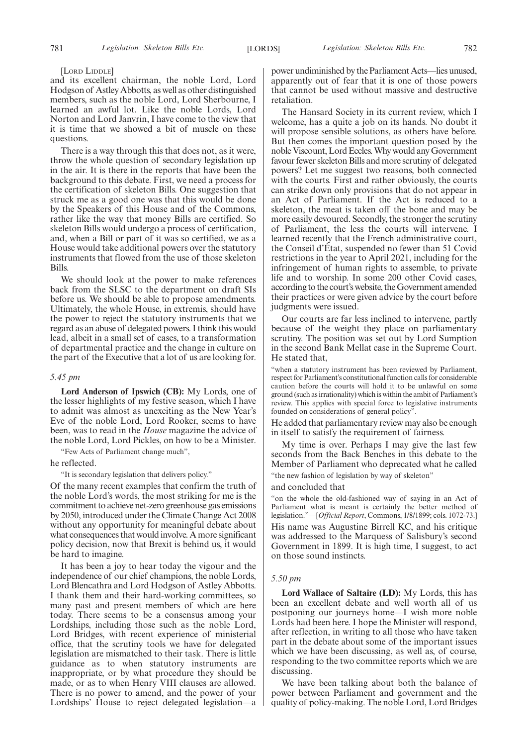## [LORD LIDDLE]

and its excellent chairman, the noble Lord, Lord Hodgson of Astley Abbotts, as well as other distinguished members, such as the noble Lord, Lord Sherbourne, I learned an awful lot. Like the noble Lords, Lord Norton and Lord Janvrin, I have come to the view that it is time that we showed a bit of muscle on these questions.

There is a way through this that does not, as it were, throw the whole question of secondary legislation up in the air. It is there in the reports that have been the background to this debate. First, we need a process for the certification of skeleton Bills. One suggestion that struck me as a good one was that this would be done by the Speakers of this House and of the Commons, rather like the way that money Bills are certified. So skeleton Bills would undergo a process of certification, and, when a Bill or part of it was so certified, we as a House would take additional powers over the statutory instruments that flowed from the use of those skeleton Bills.

We should look at the power to make references back from the SLSC to the department on draft SIs before us. We should be able to propose amendments. Ultimately, the whole House, in extremis, should have the power to reject the statutory instruments that we regard as an abuse of delegated powers. I think this would lead, albeit in a small set of cases, to a transformation of departmental practice and the change in culture on the part of the Executive that a lot of us are looking for.

## *5.45 pm*

**Lord Anderson of Ipswich (CB):** My Lords, one of the lesser highlights of my festive season, which I have to admit was almost as unexciting as the New Year's Eve of the noble Lord, Lord Rooker, seems to have been, was to read in the *House* magazine the advice of the noble Lord, Lord Pickles, on how to be a Minister.

"Few Acts of Parliament change much",

he reflected.

"It is secondary legislation that delivers policy."

Of the many recent examples that confirm the truth of the noble Lord's words, the most striking for me is the commitment to achieve net-zero greenhouse gas emissions by 2050, introduced under the Climate Change Act 2008 without any opportunity for meaningful debate about what consequences that would involve. A more significant policy decision, now that Brexit is behind us, it would be hard to imagine.

It has been a joy to hear today the vigour and the independence of our chief champions, the noble Lords, Lord Blencathra and Lord Hodgson of Astley Abbotts. I thank them and their hard-working committees, so many past and present members of which are here today. There seems to be a consensus among your Lordships, including those such as the noble Lord, Lord Bridges, with recent experience of ministerial office, that the scrutiny tools we have for delegated legislation are mismatched to their task. There is little guidance as to when statutory instruments are inappropriate, or by what procedure they should be made, or as to when Henry VIII clauses are allowed. There is no power to amend, and the power of your Lordships' House to reject delegated legislation—a power undiminished by the Parliament Acts—lies unused, apparently out of fear that it is one of those powers that cannot be used without massive and destructive retaliation.

The Hansard Society in its current review, which I welcome, has a quite a job on its hands. No doubt it will propose sensible solutions, as others have before. But then comes the important question posed by the noble Viscount, Lord Eccles. Why would any Government favour fewer skeleton Bills and more scrutiny of delegated powers? Let me suggest two reasons, both connected with the courts. First and rather obviously, the courts can strike down only provisions that do not appear in an Act of Parliament. If the Act is reduced to a skeleton, the meat is taken off the bone and may be more easily devoured. Secondly, the stronger the scrutiny of Parliament, the less the courts will intervene. I learned recently that the French administrative court, the Conseil d'État, suspended no fewer than 51 Covid restrictions in the year to April 2021, including for the infringement of human rights to assemble, to private life and to worship. In some 200 other Covid cases, according to the court's website, the Government amended their practices or were given advice by the court before judgments were issued.

Our courts are far less inclined to intervene, partly because of the weight they place on parliamentary scrutiny. The position was set out by Lord Sumption in the second Bank Mellat case in the Supreme Court. He stated that,

"when a statutory instrument has been reviewed by Parliament, respect for Parliament's constitutional function calls for considerable caution before the courts will hold it to be unlawful on some ground (such as irrationality) which is within the ambit of Parliament's review. This applies with special force to legislative instruments founded on considerations of general policy".

He added that parliamentary review may also be enough in itself to satisfy the requirement of fairness.

My time is over. Perhaps I may give the last few seconds from the Back Benches in this debate to the Member of Parliament who deprecated what he called

"the new fashion of legislation by way of skeleton"

and concluded that

"on the whole the old-fashioned way of saying in an Act of Parliament what is meant is certainly the better method of legislation."—[*Official Report*, Commons, 1/8/1899; cols. 1072-73.] His name was Augustine Birrell KC, and his critique was addressed to the Marquess of Salisbury's second Government in 1899. It is high time, I suggest, to act on those sound instincts.

## *5.50 pm*

**Lord Wallace of Saltaire (LD):** My Lords, this has been an excellent debate and well worth all of us postponing our journeys home—I wish more noble Lords had been here. I hope the Minister will respond, after reflection, in writing to all those who have taken part in the debate about some of the important issues which we have been discussing, as well as, of course, responding to the two committee reports which we are discussing.

We have been talking about both the balance of power between Parliament and government and the quality of policy-making. The noble Lord, Lord Bridges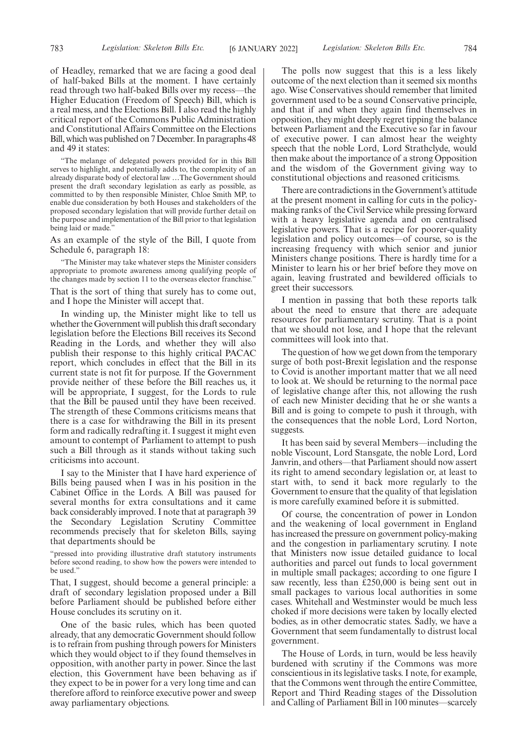of Headley, remarked that we are facing a good deal of half-baked Bills at the moment. I have certainly read through two half-baked Bills over my recess—the Higher Education (Freedom of Speech) Bill, which is a real mess, and the Elections Bill. I also read the highly critical report of the Commons Public Administration and Constitutional Affairs Committee on the Elections Bill, which was published on 7 December. In paragraphs 48 and 49 it states:

"The melange of delegated powers provided for in this Bill serves to highlight, and potentially adds to, the complexity of an already disparate body of electoral law …The Government should present the draft secondary legislation as early as possible, as committed to by then responsible Minister, Chloe Smith MP, to enable due consideration by both Houses and stakeholders of the proposed secondary legislation that will provide further detail on the purpose and implementation of the Bill prior to that legislation being laid or made."

As an example of the style of the Bill, I quote from Schedule 6, paragraph 18:

"The Minister may take whatever steps the Minister considers appropriate to promote awareness among qualifying people of the changes made by section 11 to the overseas elector franchise."

That is the sort of thing that surely has to come out, and I hope the Minister will accept that.

In winding up, the Minister might like to tell us whether the Government will publish this draft secondary legislation before the Elections Bill receives its Second Reading in the Lords, and whether they will also publish their response to this highly critical PACAC report, which concludes in effect that the Bill in its current state is not fit for purpose. If the Government provide neither of these before the Bill reaches us, it will be appropriate, I suggest, for the Lords to rule that the Bill be paused until they have been received. The strength of these Commons criticisms means that there is a case for withdrawing the Bill in its present form and radically redrafting it. I suggest it might even amount to contempt of Parliament to attempt to push such a Bill through as it stands without taking such criticisms into account.

I say to the Minister that I have hard experience of Bills being paused when I was in his position in the Cabinet Office in the Lords. A Bill was paused for several months for extra consultations and it came back considerably improved. I note that at paragraph 39 the Secondary Legislation Scrutiny Committee recommends precisely that for skeleton Bills, saying that departments should be

"pressed into providing illustrative draft statutory instruments before second reading, to show how the powers were intended to be used."

That, I suggest, should become a general principle: a draft of secondary legislation proposed under a Bill before Parliament should be published before either House concludes its scrutiny on it.

One of the basic rules, which has been quoted already, that any democratic Government should follow is to refrain from pushing through powers for Ministers which they would object to if they found themselves in opposition, with another party in power. Since the last election, this Government have been behaving as if they expect to be in power for a very long time and can therefore afford to reinforce executive power and sweep away parliamentary objections.

The polls now suggest that this is a less likely outcome of the next election than it seemed six months ago. Wise Conservatives should remember that limited government used to be a sound Conservative principle, and that if and when they again find themselves in opposition, they might deeply regret tipping the balance between Parliament and the Executive so far in favour of executive power. I can almost hear the weighty speech that the noble Lord, Lord Strathclyde, would then make about the importance of a strong Opposition and the wisdom of the Government giving way to constitutional objections and reasoned criticisms.

There are contradictions in the Government's attitude at the present moment in calling for cuts in the policymaking ranks of the Civil Service while pressing forward with a heavy legislative agenda and on centralised legislative powers. That is a recipe for poorer-quality legislation and policy outcomes—of course, so is the increasing frequency with which senior and junior Ministers change positions. There is hardly time for a Minister to learn his or her brief before they move on again, leaving frustrated and bewildered officials to greet their successors.

I mention in passing that both these reports talk about the need to ensure that there are adequate resources for parliamentary scrutiny. That is a point that we should not lose, and I hope that the relevant committees will look into that.

The question of how we get down from the temporary surge of both post-Brexit legislation and the response to Covid is another important matter that we all need to look at. We should be returning to the normal pace of legislative change after this, not allowing the rush of each new Minister deciding that he or she wants a Bill and is going to compete to push it through, with the consequences that the noble Lord, Lord Norton, suggests.

It has been said by several Members—including the noble Viscount, Lord Stansgate, the noble Lord, Lord Janvrin, and others—that Parliament should now assert its right to amend secondary legislation or, at least to start with, to send it back more regularly to the Government to ensure that the quality of that legislation is more carefully examined before it is submitted.

Of course, the concentration of power in London and the weakening of local government in England has increased the pressure on government policy-making and the congestion in parliamentary scrutiny. I note that Ministers now issue detailed guidance to local authorities and parcel out funds to local government in multiple small packages; according to one figure I saw recently, less than £250,000 is being sent out in small packages to various local authorities in some cases. Whitehall and Westminster would be much less choked if more decisions were taken by locally elected bodies, as in other democratic states. Sadly, we have a Government that seem fundamentally to distrust local government.

The House of Lords, in turn, would be less heavily burdened with scrutiny if the Commons was more conscientious in its legislative tasks. I note, for example, that the Commons went through the entire Committee, Report and Third Reading stages of the Dissolution and Calling of Parliament Bill in 100 minutes—scarcely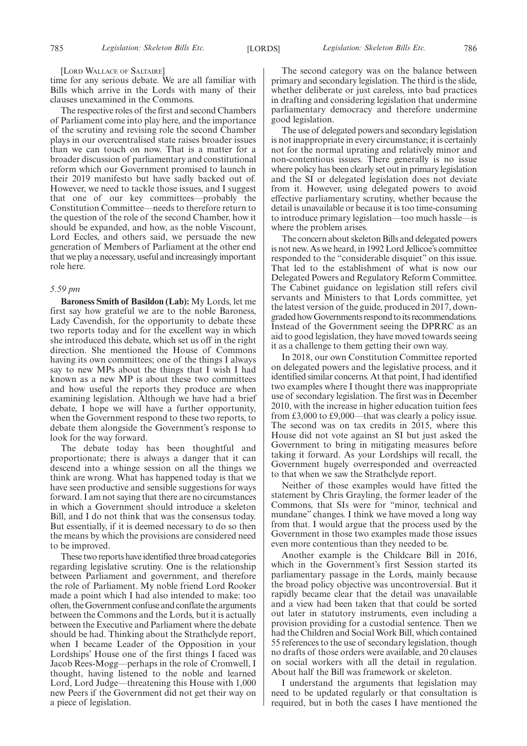[LORD WALLACE OF SALTAIRE]

time for any serious debate. We are all familiar with Bills which arrive in the Lords with many of their clauses unexamined in the Commons.

The respective roles of the first and second Chambers of Parliament come into play here, and the importance of the scrutiny and revising role the second Chamber plays in our overcentralised state raises broader issues than we can touch on now. That is a matter for a broader discussion of parliamentary and constitutional reform which our Government promised to launch in their 2019 manifesto but have sadly backed out of. However, we need to tackle those issues, and I suggest that one of our key committees—probably the Constitution Committee—needs to therefore return to the question of the role of the second Chamber, how it should be expanded, and how, as the noble Viscount, Lord Eccles, and others said, we persuade the new generation of Members of Parliament at the other end that we play a necessary, useful and increasingly important role here.

## *5.59 pm*

**Baroness Smith of Basildon (Lab):** My Lords, let me first say how grateful we are to the noble Baroness, Lady Cavendish, for the opportunity to debate these two reports today and for the excellent way in which she introduced this debate, which set us off in the right direction. She mentioned the House of Commons having its own committees; one of the things I always say to new MPs about the things that I wish I had known as a new MP is about these two committees and how useful the reports they produce are when examining legislation. Although we have had a brief debate, I hope we will have a further opportunity, when the Government respond to these two reports, to debate them alongside the Government's response to look for the way forward.

The debate today has been thoughtful and proportionate; there is always a danger that it can descend into a whinge session on all the things we think are wrong. What has happened today is that we have seen productive and sensible suggestions for ways forward. I am not saying that there are no circumstances in which a Government should introduce a skeleton Bill, and I do not think that was the consensus today. But essentially, if it is deemed necessary to do so then the means by which the provisions are considered need to be improved.

These two reports have identified three broad categories regarding legislative scrutiny. One is the relationship between Parliament and government, and therefore the role of Parliament. My noble friend Lord Rooker made a point which I had also intended to make: too often, the Government confuse and conflate the arguments between the Commons and the Lords, but it is actually between the Executive and Parliament where the debate should be had. Thinking about the Strathclyde report, when I became Leader of the Opposition in your Lordships' House one of the first things I faced was Jacob Rees-Mogg—perhaps in the role of Cromwell, I thought, having listened to the noble and learned Lord, Lord Judge—threatening this House with 1,000 new Peers if the Government did not get their way on a piece of legislation.

The second category was on the balance between primary and secondary legislation. The third is the slide, whether deliberate or just careless, into bad practices in drafting and considering legislation that undermine parliamentary democracy and therefore undermine good legislation.

The use of delegated powers and secondary legislation is not inappropriate in every circumstance; it is certainly not for the normal uprating and relatively minor and non-contentious issues. There generally is no issue where policy has been clearly set out in primary legislation and the SI or delegated legislation does not deviate from it. However, using delegated powers to avoid effective parliamentary scrutiny, whether because the detail is unavailable or because it is too time-consuming to introduce primary legislation—too much hassle—is where the problem arises.

The concern about skeleton Bills and delegated powers is not new. As we heard, in 1992 Lord Jellicoe's committee responded to the "considerable disquiet" on this issue. That led to the establishment of what is now our Delegated Powers and Regulatory Reform Committee. The Cabinet guidance on legislation still refers civil servants and Ministers to that Lords committee, yet the latest version of the guide, produced in 2017, downgraded how Governments respond to its recommendations. Instead of the Government seeing the DPRRC as an aid to good legislation, they have moved towards seeing it as a challenge to them getting their own way.

In 2018, our own Constitution Committee reported on delegated powers and the legislative process, and it identified similar concerns. At that point, I had identified two examples where I thought there was inappropriate use of secondary legislation. The first was in December 2010, with the increase in higher education tuition fees from £3,000 to £9,000—that was clearly a policy issue. The second was on tax credits in 2015, where this House did not vote against an SI but just asked the Government to bring in mitigating measures before taking it forward. As your Lordships will recall, the Government hugely overresponded and overreacted to that when we saw the Strathclyde report.

Neither of those examples would have fitted the statement by Chris Grayling, the former leader of the Commons, that SIs were for "minor, technical and mundane" changes. I think we have moved a long way from that. I would argue that the process used by the Government in those two examples made those issues even more contentious than they needed to be.

Another example is the Childcare Bill in 2016, which in the Government's first Session started its parliamentary passage in the Lords, mainly because the broad policy objective was uncontroversial. But it rapidly became clear that the detail was unavailable and a view had been taken that that could be sorted out later in statutory instruments, even including a provision providing for a custodial sentence. Then we had the Children and Social Work Bill, which contained 55 references to the use of secondary legislation, though no drafts of those orders were available, and 20 clauses on social workers with all the detail in regulation. About half the Bill was framework or skeleton.

I understand the arguments that legislation may need to be updated regularly or that consultation is required, but in both the cases I have mentioned the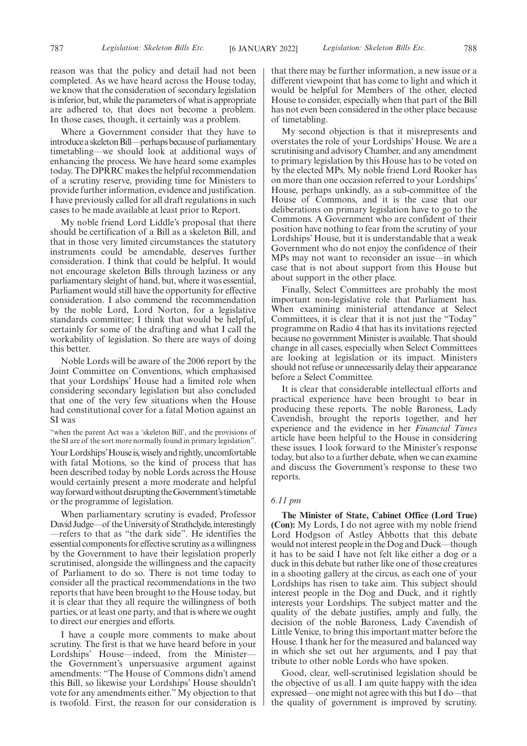Where a Government consider that they have to introduce a skeleton Bill—perhaps because of parliamentary timetabling—we should look at additional ways of enhancing the process. We have heard some examples today. The DPRRC makes the helpful recommendation of a scrutiny reserve, providing time for Ministers to provide further information, evidence and justification. I have previously called for all draft regulations in such cases to be made available at least prior to Report.

My noble friend Lord Liddle's proposal that there should be certification of a Bill as a skeleton Bill, and that in those very limited circumstances the statutory instruments could be amendable, deserves further consideration. I think that could be helpful. It would not encourage skeleton Bills through laziness or any parliamentary sleight of hand, but, where it was essential, Parliament would still have the opportunity for effective consideration. I also commend the recommendation by the noble Lord, Lord Norton, for a legislative standards committee; I think that would be helpful, certainly for some of the drafting and what I call the workability of legislation. So there are ways of doing this better.

Noble Lords will be aware of the 2006 report by the Joint Committee on Conventions, which emphasised that your Lordships' House had a limited role when considering secondary legislation but also concluded that one of the very few situations when the House had constitutional cover for a fatal Motion against an SI was

"when the parent Act was a 'skeleton Bill', and the provisions of the SI are of the sort more normally found in primary legislation".

Your Lordships' House is, wisely and rightly, uncomfortable with fatal Motions, so the kind of process that has been described today by noble Lords across the House would certainly present a more moderate and helpful way forward without disrupting the Government's timetable or the programme of legislation.

When parliamentary scrutiny is evaded, Professor David Judge—of the University of Strathclyde, interestingly —refers to that as "the dark side". He identifies the essential components for effective scrutiny as a willingness by the Government to have their legislation properly scrutinised, alongside the willingness and the capacity of Parliament to do so. There is not time today to consider all the practical recommendations in the two reports that have been brought to the House today, but it is clear that they all require the willingness of both parties, or at least one party, and that is where we ought to direct our energies and efforts.

I have a couple more comments to make about scrutiny. The first is that we have heard before in your Lordships' House—indeed, from the Minister the Government's unpersuasive argument against amendments: "The House of Commons didn't amend this Bill, so likewise your Lordships' House shouldn't vote for any amendments either." My objection to that is twofold. First, the reason for our consideration is

that there may be further information, a new issue or a different viewpoint that has come to light and which it would be helpful for Members of the other, elected House to consider, especially when that part of the Bill has not even been considered in the other place because of timetabling.

My second objection is that it misrepresents and overstates the role of your Lordships' House. We are a scrutinising and advisory Chamber, and any amendment to primary legislation by this House has to be voted on by the elected MPs. My noble friend Lord Rooker has on more than one occasion referred to your Lordships' House, perhaps unkindly, as a sub-committee of the House of Commons, and it is the case that our deliberations on primary legislation have to go to the Commons. A Government who are confident of their position have nothing to fear from the scrutiny of your Lordships' House, but it is understandable that a weak Government who do not enjoy the confidence of their MPs may not want to reconsider an issue—in which case that is not about support from this House but about support in the other place.

Finally, Select Committees are probably the most important non-legislative role that Parliament has. When examining ministerial attendance at Select Committees, it is clear that it is not just the "Today" programme on Radio 4 that has its invitations rejected because no government Minister is available. That should change in all cases, especially when Select Committees are looking at legislation or its impact. Ministers should not refuse or unnecessarily delay their appearance before a Select Committee.

It is clear that considerable intellectual efforts and practical experience have been brought to bear in producing these reports. The noble Baroness, Lady Cavendish, brought the reports together, and her experience and the evidence in her *Financial Times* article have been helpful to the House in considering these issues. I look forward to the Minister's response today, but also to a further debate, when we can examine and discuss the Government's response to these two reports.

## *6.11 pm*

**The Minister of State, Cabinet Office (Lord True) (Con):** My Lords, I do not agree with my noble friend Lord Hodgson of Astley Abbotts that this debate would not interest people in the Dog and Duck—though it has to be said I have not felt like either a dog or a duck in this debate but rather like one of those creatures in a shooting gallery at the circus, as each one of your Lordships has risen to take aim. This subject should interest people in the Dog and Duck, and it rightly interests your Lordships. The subject matter and the quality of the debate justifies, amply and fully, the decision of the noble Baroness, Lady Cavendish of Little Venice, to bring this important matter before the House. I thank her for the measured and balanced way in which she set out her arguments, and I pay that tribute to other noble Lords who have spoken.

Good, clear, well-scrutinised legislation should be the objective of us all. I am quite happy with the idea expressed—one might not agree with this but I do—that the quality of government is improved by scrutiny.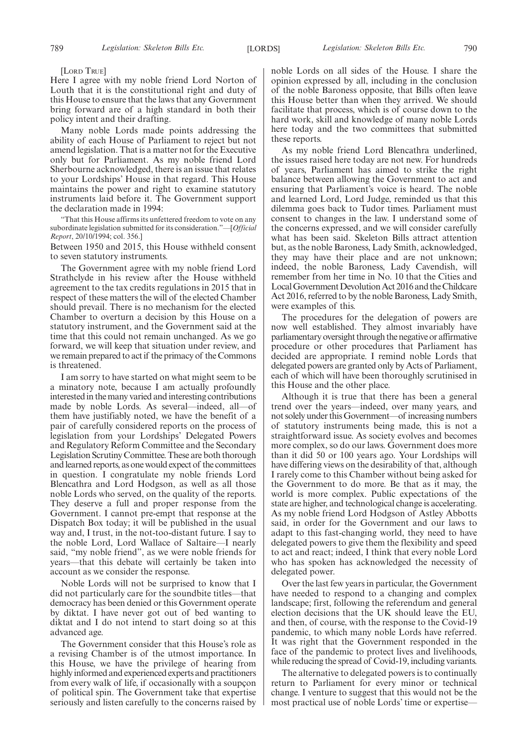[LORD TRUE]

Here I agree with my noble friend Lord Norton of Louth that it is the constitutional right and duty of this House to ensure that the laws that any Government bring forward are of a high standard in both their policy intent and their drafting.

Many noble Lords made points addressing the ability of each House of Parliament to reject but not amend legislation. That is a matter not for the Executive only but for Parliament. As my noble friend Lord Sherbourne acknowledged, there is an issue that relates to your Lordships' House in that regard. This House maintains the power and right to examine statutory instruments laid before it. The Government support the declaration made in 1994:

"That this House affirms its unfettered freedom to vote on any subordinate legislation submitted for its consideration."—[*Official Report*, 20/10/1994; col. 356.]

Between 1950 and 2015, this House withheld consent to seven statutory instruments.

The Government agree with my noble friend Lord Strathclyde in his review after the House withheld agreement to the tax credits regulations in 2015 that in respect of these matters the will of the elected Chamber should prevail. There is no mechanism for the elected Chamber to overturn a decision by this House on a statutory instrument, and the Government said at the time that this could not remain unchanged. As we go forward, we will keep that situation under review, and we remain prepared to act if the primacy of the Commons is threatened.

I am sorry to have started on what might seem to be a minatory note, because I am actually profoundly interested in the many varied and interesting contributions made by noble Lords. As several—indeed, all—of them have justifiably noted, we have the benefit of a pair of carefully considered reports on the process of legislation from your Lordships' Delegated Powers and Regulatory Reform Committee and the Secondary Legislation Scrutiny Committee. These are both thorough and learned reports, as one would expect of the committees in question. I congratulate my noble friends Lord Blencathra and Lord Hodgson, as well as all those noble Lords who served, on the quality of the reports. They deserve a full and proper response from the Government. I cannot pre-empt that response at the Dispatch Box today; it will be published in the usual way and, I trust, in the not-too-distant future. I say to the noble Lord, Lord Wallace of Saltaire—I nearly said, "my noble friend", as we were noble friends for years—that this debate will certainly be taken into account as we consider the response.

Noble Lords will not be surprised to know that I did not particularly care for the soundbite titles—that democracy has been denied or this Government operate by diktat. I have never got out of bed wanting to diktat and I do not intend to start doing so at this advanced age.

The Government consider that this House's role as a revising Chamber is of the utmost importance. In this House, we have the privilege of hearing from highly informed and experienced experts and practitioners from every walk of life, if occasionally with a soupçon of political spin. The Government take that expertise seriously and listen carefully to the concerns raised by noble Lords on all sides of the House. I share the opinion expressed by all, including in the conclusion of the noble Baroness opposite, that Bills often leave this House better than when they arrived. We should facilitate that process, which is of course down to the hard work, skill and knowledge of many noble Lords here today and the two committees that submitted these reports.

As my noble friend Lord Blencathra underlined, the issues raised here today are not new. For hundreds of years, Parliament has aimed to strike the right balance between allowing the Government to act and ensuring that Parliament's voice is heard. The noble and learned Lord, Lord Judge, reminded us that this dilemma goes back to Tudor times. Parliament must consent to changes in the law. I understand some of the concerns expressed, and we will consider carefully what has been said. Skeleton Bills attract attention but, as the noble Baroness, Lady Smith, acknowledged, they may have their place and are not unknown; indeed, the noble Baroness, Lady Cavendish, will remember from her time in No. 10 that the Cities and Local Government Devolution Act 2016 and the Childcare Act 2016, referred to by the noble Baroness, Lady Smith, were examples of this.

The procedures for the delegation of powers are now well established. They almost invariably have parliamentary oversight through the negative or affirmative procedure or other procedures that Parliament has decided are appropriate. I remind noble Lords that delegated powers are granted only by Acts of Parliament, each of which will have been thoroughly scrutinised in this House and the other place.

Although it is true that there has been a general trend over the years—indeed, over many years, and not solely under this Government—of increasing numbers of statutory instruments being made, this is not a straightforward issue. As society evolves and becomes more complex, so do our laws. Government does more than it did 50 or 100 years ago. Your Lordships will have differing views on the desirability of that, although I rarely come to this Chamber without being asked for the Government to do more. Be that as it may, the world is more complex. Public expectations of the state are higher, and technological change is accelerating. As my noble friend Lord Hodgson of Astley Abbotts said, in order for the Government and our laws to adapt to this fast-changing world, they need to have delegated powers to give them the flexibility and speed to act and react; indeed, I think that every noble Lord who has spoken has acknowledged the necessity of delegated power.

Over the last few years in particular, the Government have needed to respond to a changing and complex landscape; first, following the referendum and general election decisions that the UK should leave the EU, and then, of course, with the response to the Covid-19 pandemic, to which many noble Lords have referred. It was right that the Government responded in the face of the pandemic to protect lives and livelihoods, while reducing the spread of Covid-19, including variants.

The alternative to delegated powers is to continually return to Parliament for every minor or technical change. I venture to suggest that this would not be the most practical use of noble Lords' time or expertise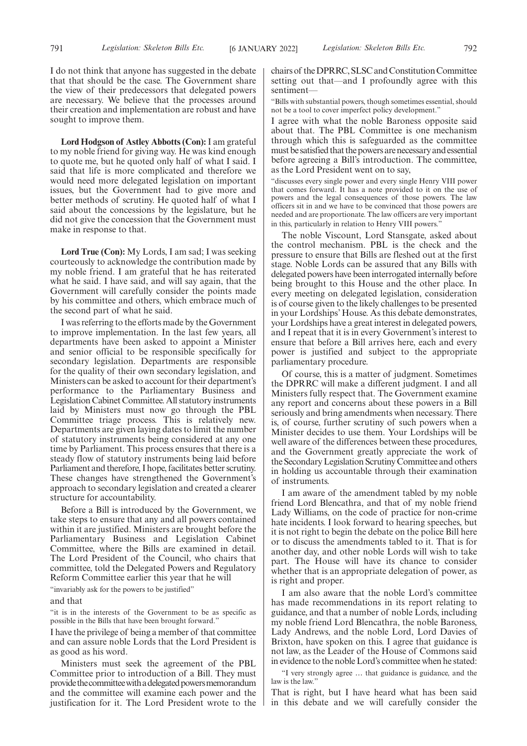I do not think that anyone has suggested in the debate that that should be the case. The Government share the view of their predecessors that delegated powers are necessary. We believe that the processes around their creation and implementation are robust and have sought to improve them.

**Lord Hodgson of Astley Abbotts (Con):**I am grateful to my noble friend for giving way. He was kind enough to quote me, but he quoted only half of what I said. I said that life is more complicated and therefore we would need more delegated legislation on important issues, but the Government had to give more and better methods of scrutiny. He quoted half of what I said about the concessions by the legislature, but he did not give the concession that the Government must make in response to that.

**Lord True (Con):** My Lords, I am sad; I was seeking courteously to acknowledge the contribution made by my noble friend. I am grateful that he has reiterated what he said. I have said, and will say again, that the Government will carefully consider the points made by his committee and others, which embrace much of the second part of what he said.

I was referring to the efforts made by the Government to improve implementation. In the last few years, all departments have been asked to appoint a Minister and senior official to be responsible specifically for secondary legislation. Departments are responsible for the quality of their own secondary legislation, and Ministers can be asked to account for their department's performance to the Parliamentary Business and Legislation Cabinet Committee. All statutory instruments laid by Ministers must now go through the PBL Committee triage process. This is relatively new. Departments are given laying dates to limit the number of statutory instruments being considered at any one time by Parliament. This process ensures that there is a steady flow of statutory instruments being laid before Parliament and therefore, I hope, facilitates better scrutiny. These changes have strengthened the Government's approach to secondary legislation and created a clearer structure for accountability.

Before a Bill is introduced by the Government, we take steps to ensure that any and all powers contained within it are justified. Ministers are brought before the Parliamentary Business and Legislation Cabinet Committee, where the Bills are examined in detail. The Lord President of the Council, who chairs that committee, told the Delegated Powers and Regulatory Reform Committee earlier this year that he will

"invariably ask for the powers to be justified"

#### and that

"it is in the interests of the Government to be as specific as possible in the Bills that have been brought forward."

I have the privilege of being a member of that committee and can assure noble Lords that the Lord President is as good as his word.

Ministers must seek the agreement of the PBL Committee prior to introduction of a Bill. They must provide the committee with a delegated powers memorandum and the committee will examine each power and the justification for it. The Lord President wrote to the chairs of the DPRRC, SLSC and Constitution Committee setting out that—and I profoundly agree with this sentiment-

"Bills with substantial powers, though sometimes essential, should not be a tool to cover imperfect policy development.'

I agree with what the noble Baroness opposite said about that. The PBL Committee is one mechanism through which this is safeguarded as the committee must be satisfied that the powers are necessary and essential before agreeing a Bill's introduction. The committee, as the Lord President went on to say,

"discusses every single power and every single Henry VIII power that comes forward. It has a note provided to it on the use of powers and the legal consequences of those powers. The law officers sit in and we have to be convinced that those powers are needed and are proportionate. The law officers are very important in this, particularly in relation to Henry VIII powers."

The noble Viscount, Lord Stansgate, asked about the control mechanism. PBL is the check and the pressure to ensure that Bills are fleshed out at the first stage. Noble Lords can be assured that any Bills with delegated powers have been interrogated internally before being brought to this House and the other place. In every meeting on delegated legislation, consideration is of course given to the likely challenges to be presented in your Lordships' House. As this debate demonstrates, your Lordships have a great interest in delegated powers, and I repeat that it is in every Government's interest to ensure that before a Bill arrives here, each and every power is justified and subject to the appropriate parliamentary procedure.

Of course, this is a matter of judgment. Sometimes the DPRRC will make a different judgment. I and all Ministers fully respect that. The Government examine any report and concerns about these powers in a Bill seriously and bring amendments when necessary. There is, of course, further scrutiny of such powers when a Minister decides to use them. Your Lordships will be well aware of the differences between these procedures, and the Government greatly appreciate the work of the Secondary Legislation Scrutiny Committee and others in holding us accountable through their examination of instruments.

I am aware of the amendment tabled by my noble friend Lord Blencathra, and that of my noble friend Lady Williams, on the code of practice for non-crime hate incidents. I look forward to hearing speeches, but it is not right to begin the debate on the police Bill here or to discuss the amendments tabled to it. That is for another day, and other noble Lords will wish to take part. The House will have its chance to consider whether that is an appropriate delegation of power, as is right and proper.

I am also aware that the noble Lord's committee has made recommendations in its report relating to guidance, and that a number of noble Lords, including my noble friend Lord Blencathra, the noble Baroness, Lady Andrews, and the noble Lord, Lord Davies of Brixton, have spoken on this. I agree that guidance is not law, as the Leader of the House of Commons said in evidence to the noble Lord's committee when he stated:

"I very strongly agree … that guidance is guidance, and the law is the law.'

That is right, but I have heard what has been said in this debate and we will carefully consider the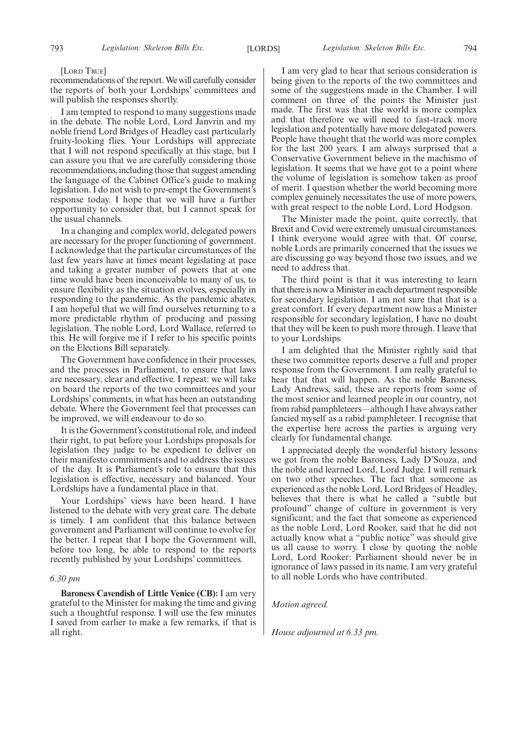## [LORD TRUE]

recommendations of the report. We will carefully consider the reports of both your Lordships' committees and will publish the responses shortly.

I am tempted to respond to many suggestions made in the debate. The noble Lord, Lord Janvrin and my noble friend Lord Bridges of Headley cast particularly fruity-looking flies. Your Lordships will appreciate that I will not respond specifically at this stage, but I can assure you that we are carefully considering those recommendations, including those that suggest amending the language of the Cabinet Office's guide to making legislation. I do not wish to pre-empt the Government's response today. I hope that we will have a further opportunity to consider that, but I cannot speak for the usual channels.

In a changing and complex world, delegated powers are necessary for the proper functioning of government. I acknowledge that the particular circumstances of the last few years have at times meant legislating at pace and taking a greater number of powers that at one time would have been inconceivable to many of us, to ensure flexibility as the situation evolves, especially in responding to the pandemic. As the pandemic abates, I am hopeful that we will find ourselves returning to a more predictable rhythm of producing and passing legislation. The noble Lord, Lord Wallace, referred to this. He will forgive me if I refer to his specific points on the Elections Bill separately.

The Government have confidence in their processes, and the processes in Parliament, to ensure that laws are necessary, clear and effective. I repeat: we will take on board the reports of the two committees and your Lordships' comments, in what has been an outstanding debate. Where the Government feel that processes can be improved, we will endeavour to do so.

It is the Government's constitutional role, and indeed their right, to put before your Lordships proposals for legislation they judge to be expedient to deliver on their manifesto commitments and to address the issues of the day. It is Parliament's role to ensure that this legislation is effective, necessary and balanced. Your Lordships have a fundamental place in that.

Your Lordships' views have been heard. I have listened to the debate with very great care. The debate is timely. I am confident that this balance between government and Parliament will continue to evolve for the better. I repeat that I hope the Government will, before too long, be able to respond to the reports recently published by your Lordships' committees.

## *6.30 pm*

**Baroness Cavendish of Little Venice (CB):** I am very grateful to the Minister for making the time and giving such a thoughtful response. I will use the few minutes I saved from earlier to make a few remarks, if that is all right.

I am very glad to hear that serious consideration is being given to the reports of the two committees and some of the suggestions made in the Chamber. I will comment on three of the points the Minister just made. The first was that the world is more complex and that therefore we will need to fast-track more legislation and potentially have more delegated powers. People have thought that the world was more complex for the last 200 years. I am always surprised that a Conservative Government believe in the machismo of legislation. It seems that we have got to a point where the volume of legislation is somehow taken as proof of merit. I question whether the world becoming more complex genuinely necessitates the use of more powers, with great respect to the noble Lord, Lord Hodgson.

The Minister made the point, quite correctly, that Brexit and Covid were extremely unusual circumstances. I think everyone would agree with that. Of course, noble Lords are primarily concerned that the issues we are discussing go way beyond those two issues, and we need to address that.

The third point is that it was interesting to learn that there is now a Minister in each department responsible for secondary legislation. I am not sure that that is a great comfort. If every department now has a Minister responsible for secondary legislation, I have no doubt that they will be keen to push more through. I leave that to your Lordships.

I am delighted that the Minister rightly said that these two committee reports deserve a full and proper response from the Government. I am really grateful to hear that that will happen. As the noble Baroness, Lady Andrews, said, these are reports from some of the most senior and learned people in our country, not from rabid pamphleteers—although I have always rather fancied myself as a rabid pamphleteer. I recognise that the expertise here across the parties is arguing very clearly for fundamental change.

I appreciated deeply the wonderful history lessons we got from the noble Baroness, Lady D'Souza, and the noble and learned Lord, Lord Judge. I will remark on two other speeches. The fact that someone as experienced as the noble Lord, Lord Bridges of Headley, believes that there is what he called a "subtle but profound" change of culture in government is very significant; and the fact that someone as experienced as the noble Lord, Lord Rooker, said that he did not actually know what a "public notice" was should give us all cause to worry. I close by quoting the noble Lord, Lord Rooker: Parliament should never be in ignorance of laws passed in its name. I am very grateful to all noble Lords who have contributed.

## *Motion agreed.*

*House adjourned at 6.33 pm.*